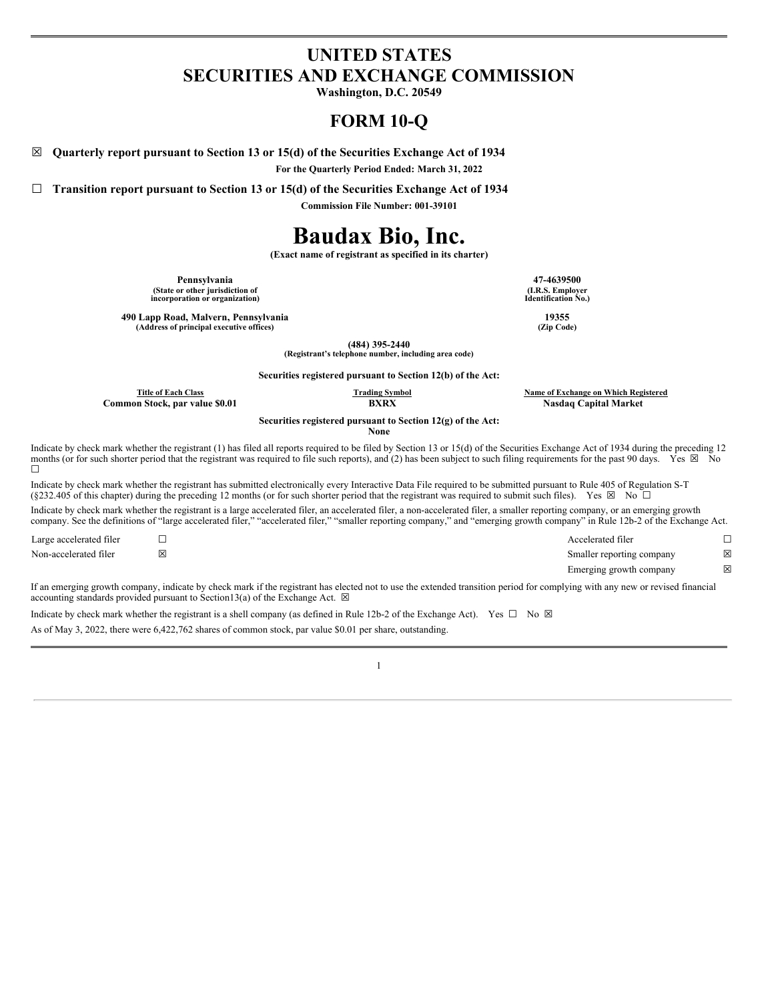# **UNITED STATES SECURITIES AND EXCHANGE COMMISSION**

**Washington, D.C. 20549**

# **FORM 10-Q**

**☒ Quarterly report pursuant to Section 13 or 15(d) of the Securities Exchange Act of 1934**

**For the Quarterly Period Ended: March 31, 2022**

**☐ Transition report pursuant to Section 13 or 15(d) of the Securities Exchange Act of 1934**

**Commission File Number: 001-39101**

# **Baudax Bio, Inc.**

**(Exact name of registrant as specified in its charter)**

**Pennsylvania 47-4639500 (State or other jurisdiction of incorporation or organization)**

**490 Lapp Road, Malvern, Pennsylvania 19355**  $(A$ ddress of principal executive offices)

**(I.R.S. Employer Identification No.)**

**(484) 395-2440 (Registrant's telephone number, including area code)**

**Securities registered pursuant to Section 12(b) of the Act:**

**Title of Each Class Trading Symbol Name of Exchange on Which Registered Common Stock, par value \$0.01 BXRX Nasdaq Capital Market**

**Securities registered pursuant to Section 12(g) of the Act:**

**None**

Indicate by check mark whether the registrant (1) has filed all reports required to be filed by Section 13 or 15(d) of the Securities Exchange Act of 1934 during the preceding 12 months (or for such shorter period that the registrant was required to file such reports), and (2) has been subject to such filing requirements for the past 90 days. Yes  $\boxtimes$  No  $\Box$ 

Indicate by check mark whether the registrant has submitted electronically every Interactive Data File required to be submitted pursuant to Rule 405 of Regulation S-T (§232.405 of this chapter) during the preceding 12 months (or for such shorter period that the registrant was required to submit such files). Yes ⊠ No □

Indicate by check mark whether the registrant is a large accelerated filer, an accelerated filer, a non-accelerated filer, a smaller reporting company, or an emerging growth company. See the definitions of "large accelerated filer," "accelerated filer," "smaller reporting company," and "emerging growth company" in Rule 12b-2 of the Exchange Act.

| Large accelerated filer | Accelerated filer         |             |
|-------------------------|---------------------------|-------------|
| Non-accelerated filer   | Smaller reporting company | $\boxtimes$ |
|                         | Emerging growth company   | $\boxtimes$ |

If an emerging growth company, indicate by check mark if the registrant has elected not to use the extended transition period for complying with any new or revised financial accounting standards provided pursuant to Section13(a) of the Exchange Act.  $\boxtimes$ 

Indicate by check mark whether the registrant is a shell company (as defined in Rule 12b-2 of the Exchange Act). Yes  $\Box$  No  $\boxtimes$ As of May 3, 2022, there were 6,422,762 shares of common stock, par value \$0.01 per share, outstanding.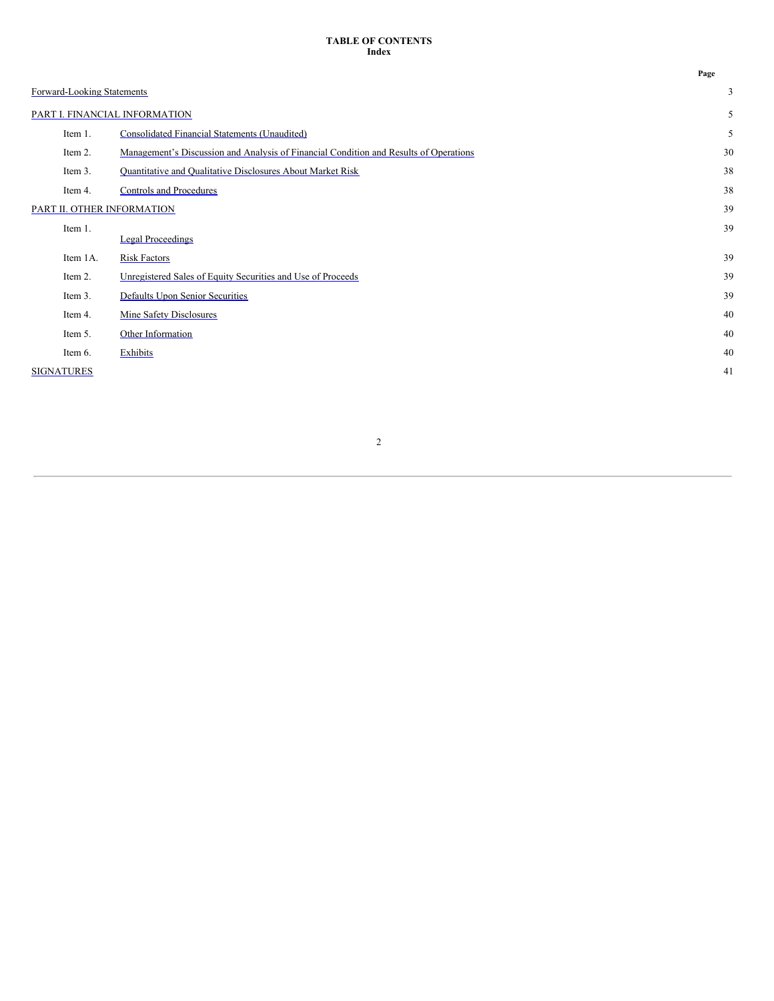#### **TABLE OF CONTENTS Index**

|                            |                                                                                       | Page |
|----------------------------|---------------------------------------------------------------------------------------|------|
| Forward-Looking Statements |                                                                                       | 3    |
|                            | PART I. FINANCIAL INFORMATION                                                         | 5    |
| Item 1.                    | Consolidated Financial Statements (Unaudited)                                         | 5    |
| Item 2.                    | Management's Discussion and Analysis of Financial Condition and Results of Operations | 30   |
| Item 3.                    | Quantitative and Qualitative Disclosures About Market Risk                            | 38   |
| Item 4.                    | <b>Controls and Procedures</b>                                                        | 38   |
|                            | <u>PART II. OTHER INFORMATION</u>                                                     | 39   |
| Item 1.                    | <b>Legal Proceedings</b>                                                              | 39   |
| Item 1A.                   | <b>Risk Factors</b>                                                                   | 39   |
| Item 2.                    | Unregistered Sales of Equity Securities and Use of Proceeds                           | 39   |
| Item 3.                    | Defaults Upon Senior Securities                                                       | 39   |
| Item 4.                    | <b>Mine Safety Disclosures</b>                                                        | 40   |
| Item 5.                    | Other Information                                                                     | 40   |
| Item 6.                    | Exhibits                                                                              | 40   |
| <b>SIGNATURES</b>          |                                                                                       | 41   |
|                            |                                                                                       |      |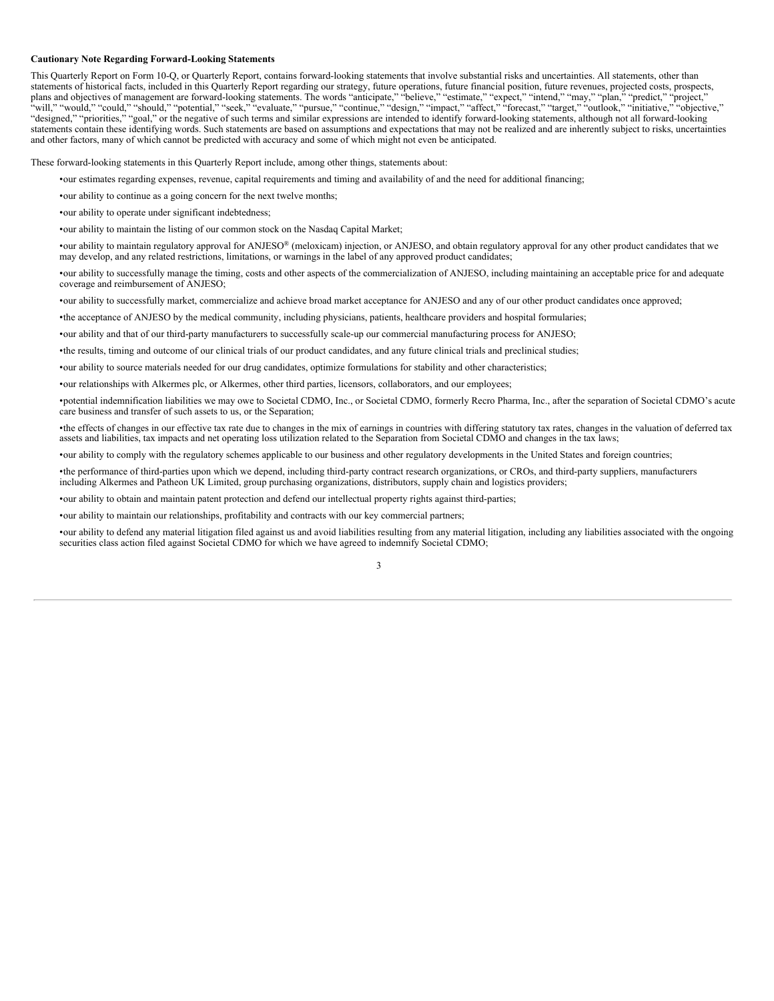#### <span id="page-2-0"></span>**Cautionary Note Regarding Forward-Looking Statements**

This Quarterly Report on Form 10-Q, or Quarterly Report, contains forward-looking statements that involve substantial risks and uncertainties. All statements, other than statements of historical facts, included in this Quarterly Report regarding our strategy, future operations, future financial position, future revenues, projected costs, prospects, plans and objectives of management are forward-looking statements. The words "anticipate," "believe," "estimate," "expect," "intend," "may," "plan," "predict," "project," "will," "would," "could," "should," "potential," "seek," "evaluate," "pursue," "continue," "design," "impact," "affect," "forecast," "target," "outlook," "initiative," "objective," "designed," "priorities," "goal," or the negative of such terms and similar expressions are intended to identify forward-looking statements, although not all forward-looking statements contain these identifying words. Such statements are based on assumptions and expectations that may not be realized and are inherently subject to risks, uncertainties and other factors, many of which cannot be predicted with accuracy and some of which might not even be anticipated.

These forward-looking statements in this Quarterly Report include, among other things, statements about:

•our estimates regarding expenses, revenue, capital requirements and timing and availability of and the need for additional financing;

•our ability to continue as a going concern for the next twelve months;

•our ability to operate under significant indebtedness;

•our ability to maintain the listing of our common stock on the Nasdaq Capital Market;

•our ability to maintain regulatory approval for ANJESO® (meloxicam) injection, or ANJESO, and obtain regulatory approval for any other product candidates that we may develop, and any related restrictions, limitations, or warnings in the label of any approved product candidates;

•our ability to successfully manage the timing, costs and other aspects of the commercialization of ANJESO, including maintaining an acceptable price for and adequate coverage and reimbursement of ANJESO;

•our ability to successfully market, commercialize and achieve broad market acceptance for ANJESO and any of our other product candidates once approved;

•the acceptance of ANJESO by the medical community, including physicians, patients, healthcare providers and hospital formularies;

•our ability and that of our third-party manufacturers to successfully scale-up our commercial manufacturing process for ANJESO;

•the results, timing and outcome of our clinical trials of our product candidates, and any future clinical trials and preclinical studies;

•our ability to source materials needed for our drug candidates, optimize formulations for stability and other characteristics;

•our relationships with Alkermes plc, or Alkermes, other third parties, licensors, collaborators, and our employees;

•potential indemnification liabilities we may owe to Societal CDMO, Inc., or Societal CDMO, formerly Recro Pharma, Inc., after the separation of Societal CDMO's acute care business and transfer of such assets to us, or the Separation;

•the effects of changes in our effective tax rate due to changes in the mix of earnings in countries with differing statutory tax rates, changes in the valuation of deferred tax assets and liabilities, tax impacts and net operating loss utilization related to the Separation from Societal CDMO and changes in the tax laws;

•our ability to comply with the regulatory schemes applicable to our business and other regulatory developments in the United States and foreign countries;

•the performance of third-parties upon which we depend, including third-party contract research organizations, or CROs, and third-party suppliers, manufacturers including Alkermes and Patheon UK Limited, group purchasing organizations, distributors, supply chain and logistics providers;

•our ability to obtain and maintain patent protection and defend our intellectual property rights against third-parties;

•our ability to maintain our relationships, profitability and contracts with our key commercial partners;

•our ability to defend any material litigation filed against us and avoid liabilities resulting from any material litigation, including any liabilities associated with the ongoing securities class action filed against Societal CDMO for which we have agreed to indemnify Societal CDMO;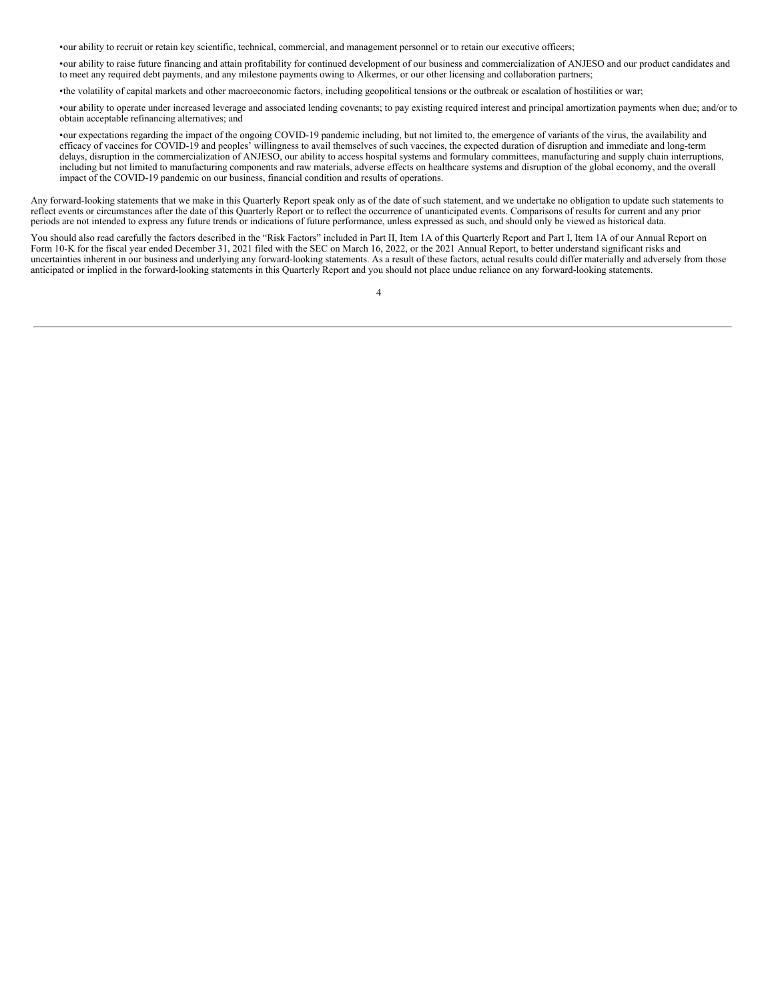•our ability to recruit or retain key scientific, technical, commercial, and management personnel or to retain our executive officers;

•our ability to raise future financing and attain profitability for continued development of our business and commercialization of ANJESO and our product candidates and to meet any required debt payments, and any milestone payments owing to Alkermes, or our other licensing and collaboration partners;

•the volatility of capital markets and other macroeconomic factors, including geopolitical tensions or the outbreak or escalation of hostilities or war;

•our ability to operate under increased leverage and associated lending covenants; to pay existing required interest and principal amortization payments when due; and/or to obtain acceptable refinancing alternatives; and

•our expectations regarding the impact of the ongoing COVID-19 pandemic including, but not limited to, the emergence of variants of the virus, the availability and efficacy of vaccines for COVID-19 and peoples' willingness to avail themselves of such vaccines, the expected duration of disruption and immediate and long-term delays, disruption in the commercialization of ANJESO, our ability to access hospital systems and formulary committees, manufacturing and supply chain interruptions, including but not limited to manufacturing components and raw materials, adverse effects on healthcare systems and disruption of the global economy, and the overall impact of the COVID-19 pandemic on our business, financial condition and results of operations.

Any forward-looking statements that we make in this Quarterly Report speak only as of the date of such statement, and we undertake no obligation to update such statements to reflect events or circumstances after the date of this Quarterly Report or to reflect the occurrence of unanticipated events. Comparisons of results for current and any prior periods are not intended to express any future trends or indications of future performance, unless expressed as such, and should only be viewed as historical data.

You should also read carefully the factors described in the "Risk Factors" included in Part II, Item 1A of this Quarterly Report and Part I, Item 1A of our Annual Report on Form 10-K for the fiscal year ended December 31, 2021 filed with the SEC on March 16, 2022, or the 2021 Annual Report, to better understand significant risks and uncertainties inherent in our business and underlying any forward-looking statements. As a result of these factors, actual results could differ materially and adversely from those anticipated or implied in the forward-looking statements in this Quarterly Report and you should not place undue reliance on any forward-looking statements.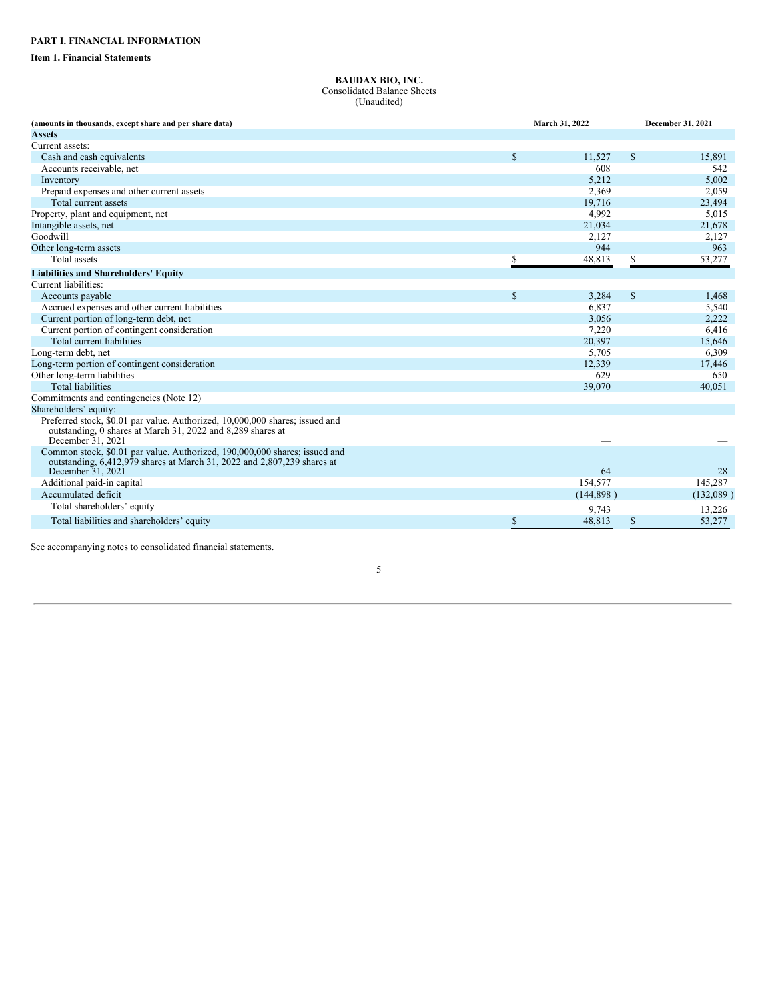<span id="page-4-0"></span>**Item 1. Financial Statements**

#### **BAUDAX BIO, INC.** Consolidated Balance Sheets (Unaudited)

| (amounts in thousands, except share and per share data)                                                                                                                    |              | March 31, 2022 |              | December 31, 2021 |
|----------------------------------------------------------------------------------------------------------------------------------------------------------------------------|--------------|----------------|--------------|-------------------|
| <b>Assets</b>                                                                                                                                                              |              |                |              |                   |
| Current assets:                                                                                                                                                            |              |                |              |                   |
| Cash and cash equivalents                                                                                                                                                  | $\mathbb{S}$ | 11,527         | $\mathbb{S}$ | 15,891            |
| Accounts receivable, net                                                                                                                                                   |              | 608            |              | 542               |
| Inventory                                                                                                                                                                  |              | 5,212          |              | 5,002             |
| Prepaid expenses and other current assets                                                                                                                                  |              | 2,369          |              | 2,059             |
| Total current assets                                                                                                                                                       |              | 19,716         |              | 23,494            |
| Property, plant and equipment, net                                                                                                                                         |              | 4,992          |              | 5,015             |
| Intangible assets, net                                                                                                                                                     |              | 21,034         |              | 21,678            |
| Goodwill                                                                                                                                                                   |              | 2,127          |              | 2,127             |
| Other long-term assets                                                                                                                                                     |              | 944            |              | 963               |
| Total assets                                                                                                                                                               | \$           | 48,813         | \$           | 53,277            |
| <b>Liabilities and Shareholders' Equity</b>                                                                                                                                |              |                |              |                   |
| Current liabilities:                                                                                                                                                       |              |                |              |                   |
| Accounts payable                                                                                                                                                           | $\mathbb{S}$ | 3,284          | \$           | 1,468             |
| Accrued expenses and other current liabilities                                                                                                                             |              | 6,837          |              | 5,540             |
| Current portion of long-term debt, net                                                                                                                                     |              | 3,056          |              | 2,222             |
| Current portion of contingent consideration                                                                                                                                |              | 7,220          |              | 6,416             |
| Total current liabilities                                                                                                                                                  |              | 20,397         |              | 15,646            |
| Long-term debt, net                                                                                                                                                        |              | 5,705          |              | 6,309             |
| Long-term portion of contingent consideration                                                                                                                              |              | 12,339         |              | 17,446            |
| Other long-term liabilities                                                                                                                                                |              | 629            |              | 650               |
| <b>Total liabilities</b>                                                                                                                                                   |              | 39,070         |              | 40,051            |
| Commitments and contingencies (Note 12)                                                                                                                                    |              |                |              |                   |
| Shareholders' equity:                                                                                                                                                      |              |                |              |                   |
| Preferred stock, \$0.01 par value. Authorized, 10,000,000 shares; issued and<br>outstanding, 0 shares at March 31, 2022 and 8,289 shares at<br>December 31, 2021           |              |                |              |                   |
| Common stock, \$0.01 par value. Authorized, 190,000,000 shares; issued and<br>outstanding, 6,412,979 shares at March 31, 2022 and 2,807,239 shares at<br>December 31, 2021 |              | 64             |              | 28                |
| Additional paid-in capital                                                                                                                                                 |              | 154,577        |              | 145,287           |
| Accumulated deficit                                                                                                                                                        |              | (144, 898)     |              | (132,089)         |
| Total shareholders' equity                                                                                                                                                 |              | 9,743          |              | 13,226            |
| Total liabilities and shareholders' equity                                                                                                                                 | \$           | 48,813         | \$           | 53,277            |
|                                                                                                                                                                            |              |                |              |                   |

See accompanying notes to consolidated financial statements.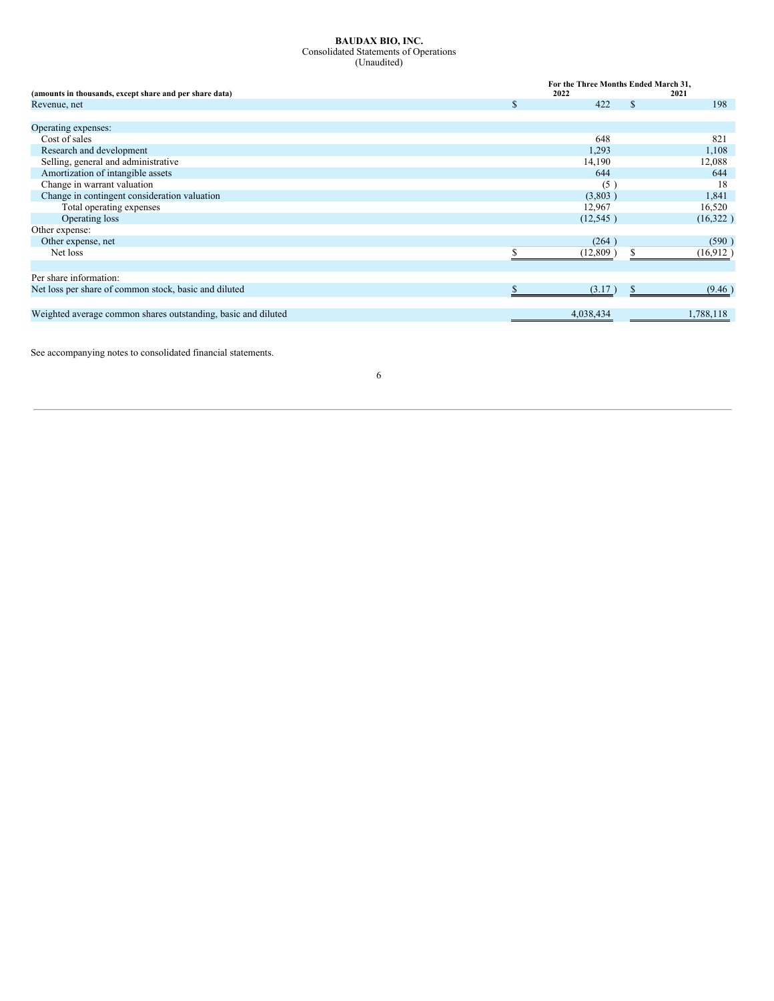#### **BAUDAX BIO, INC.** Consolidated Statements of Operations (Unaudited)

|                                                               | For the Three Months Ended March 31, |               |           |
|---------------------------------------------------------------|--------------------------------------|---------------|-----------|
| (amounts in thousands, except share and per share data)       | 2022                                 |               | 2021      |
| Revenue, net                                                  | \$<br>422                            | <sup>\$</sup> | 198       |
|                                                               |                                      |               |           |
| Operating expenses:                                           |                                      |               |           |
| Cost of sales                                                 | 648                                  |               | 821       |
| Research and development                                      | 1,293                                |               | 1,108     |
| Selling, general and administrative                           | 14,190                               |               | 12,088    |
| Amortization of intangible assets                             | 644                                  |               | 644       |
| Change in warrant valuation                                   | (5)                                  |               | 18        |
| Change in contingent consideration valuation                  | (3,803)                              |               | 1,841     |
| Total operating expenses                                      | 12,967                               |               | 16,520    |
| Operating loss                                                | (12, 545)                            |               | (16,322)  |
| Other expense:                                                |                                      |               |           |
| Other expense, net                                            | (264)                                |               | (590)     |
| Net loss                                                      | (12, 809)                            |               | (16,912)  |
|                                                               |                                      |               |           |
| Per share information:                                        |                                      |               |           |
| Net loss per share of common stock, basic and diluted         | (3.17)                               |               | (9.46)    |
|                                                               |                                      |               |           |
| Weighted average common shares outstanding, basic and diluted | 4,038,434                            |               | 1,788,118 |
|                                                               |                                      |               |           |

See accompanying notes to consolidated financial statements.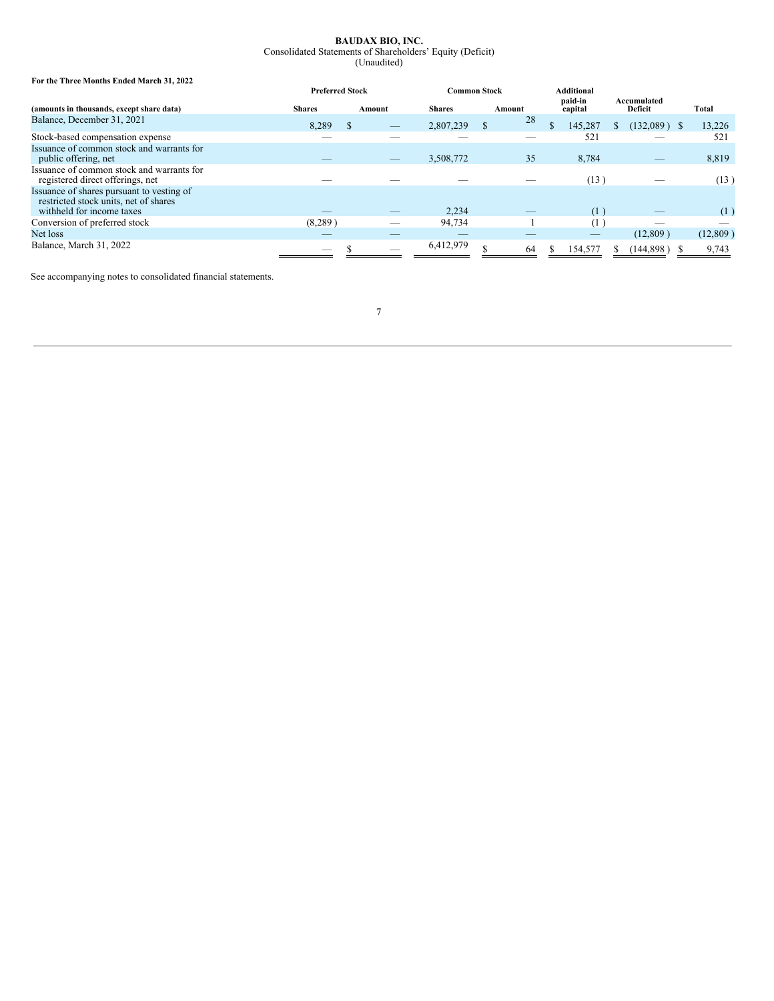#### **BAUDAX BIO, INC.** Consolidated Statements of Shareholders' Equity (Deficit) (Unaudited)

| For the Three Months Ended March 31, 2022                                                                       |                        |        |                |                     |                     |                    |                               |  |           |
|-----------------------------------------------------------------------------------------------------------------|------------------------|--------|----------------|---------------------|---------------------|--------------------|-------------------------------|--|-----------|
|                                                                                                                 | <b>Preferred Stock</b> |        |                | <b>Common Stock</b> |                     | <b>Additional</b>  |                               |  |           |
| (amounts in thousands, except share data)                                                                       | <b>Shares</b>          | Amount | <b>Shares</b>  | Amount              |                     | paid-in<br>capital | Accumulated<br><b>Deficit</b> |  | Total     |
| Balance, December 31, 2021                                                                                      | 8,289                  |        | 2,807,239      | D                   | 28<br>$\sigma$<br>D | 145.287            | $(132,089)$ \$                |  | 13,226    |
| Stock-based compensation expense                                                                                |                        |        |                |                     |                     | 521                |                               |  | 521       |
| Issuance of common stock and warrants for<br>public offering, net                                               |                        |        | 3,508,772<br>_ |                     | 35                  | 8,784              | $\overline{\phantom{a}}$      |  | 8,819     |
| Issuance of common stock and warrants for<br>registered direct offerings, net                                   |                        |        |                |                     |                     | (13)               |                               |  | (13)      |
| Issuance of shares pursuant to vesting of<br>restricted stock units, net of shares<br>withheld for income taxes |                        |        | 2,234          |                     |                     | (1)                |                               |  | (1)       |
| Conversion of preferred stock                                                                                   | (8,289)                |        | 94,734<br>_    |                     |                     | (1)                |                               |  |           |
| Net loss                                                                                                        |                        |        | __             |                     |                     |                    | (12,809)                      |  | (12, 809) |
| Balance, March 31, 2022                                                                                         |                        |        | 6,412,979      |                     | -64                 | 54.5               | (144.898)                     |  | 9,743     |

See accompanying notes to consolidated financial statements.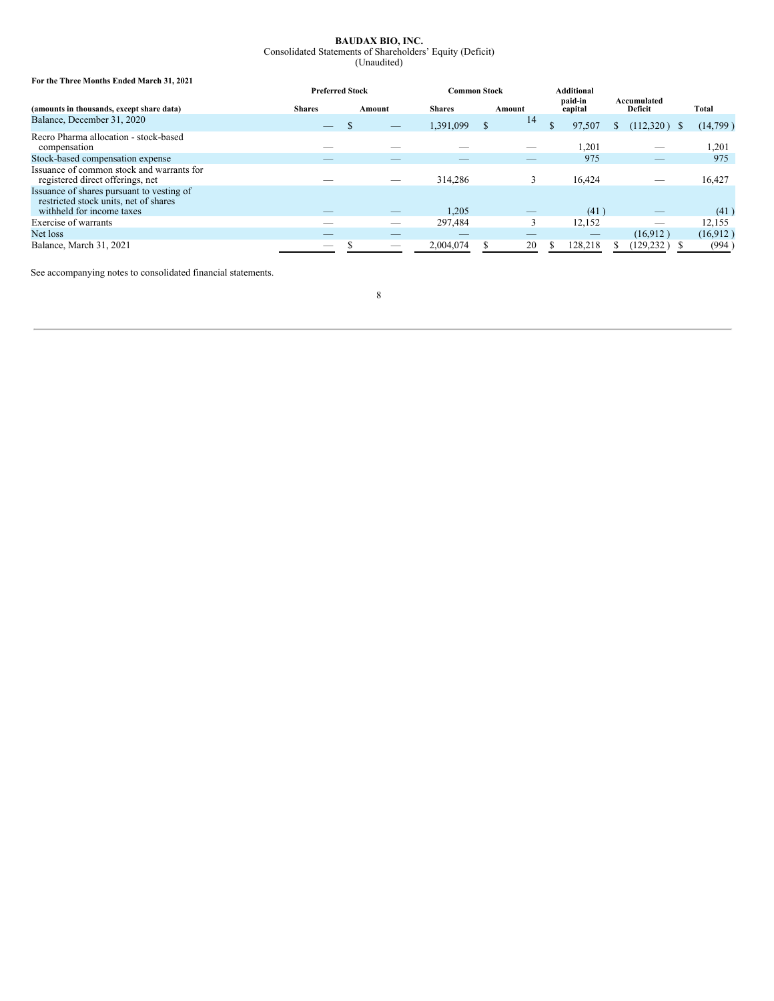#### **BAUDAX BIO, INC.** Consolidated Statements of Shareholders' Equity (Deficit) (Unaudited)

| For the Three Months Ended March 31, 2021                                          |               |                          |               |                     |                              |                               |          |
|------------------------------------------------------------------------------------|---------------|--------------------------|---------------|---------------------|------------------------------|-------------------------------|----------|
|                                                                                    |               | <b>Preferred Stock</b>   |               | <b>Common Stock</b> | <b>Additional</b>            |                               |          |
| (amounts in thousands, except share data)                                          | <b>Shares</b> | Amount                   | <b>Shares</b> | Amount              | paid-in<br>capital           | Accumulated<br><b>Deficit</b> | Total    |
| Balance, December 31, 2020                                                         |               |                          | 1,391,099     | 14<br><sup>S</sup>  | $\triangle$<br>97,507<br>аħ. | $(112,320)$ \$                | (14,799) |
| Recro Pharma allocation - stock-based<br>compensation                              |               |                          |               |                     | 1,201                        |                               | 1,201    |
| Stock-based compensation expense                                                   |               |                          |               |                     | 975                          | _                             | 975      |
| Issuance of common stock and warrants for<br>registered direct offerings, net      |               |                          | 314,286       | 3                   | 16,424                       |                               | 16,427   |
| Issuance of shares pursuant to vesting of<br>restricted stock units, net of shares |               |                          |               |                     |                              |                               |          |
| withheld for income taxes                                                          |               |                          | 1,205         |                     | (41)                         |                               | (41)     |
| Exercise of warrants                                                               |               |                          | 297,484       |                     | 12,152                       |                               | 12,155   |
| Net loss                                                                           |               | __                       |               |                     | _                            | (16.912)                      | (16,912) |
| Balance, March 31, 2021                                                            |               | $\overline{\phantom{a}}$ | 2,004,074     | 20                  | 128,218<br>ж                 | (129, 232)                    | (994)    |

8

See accompanying notes to consolidated financial statements.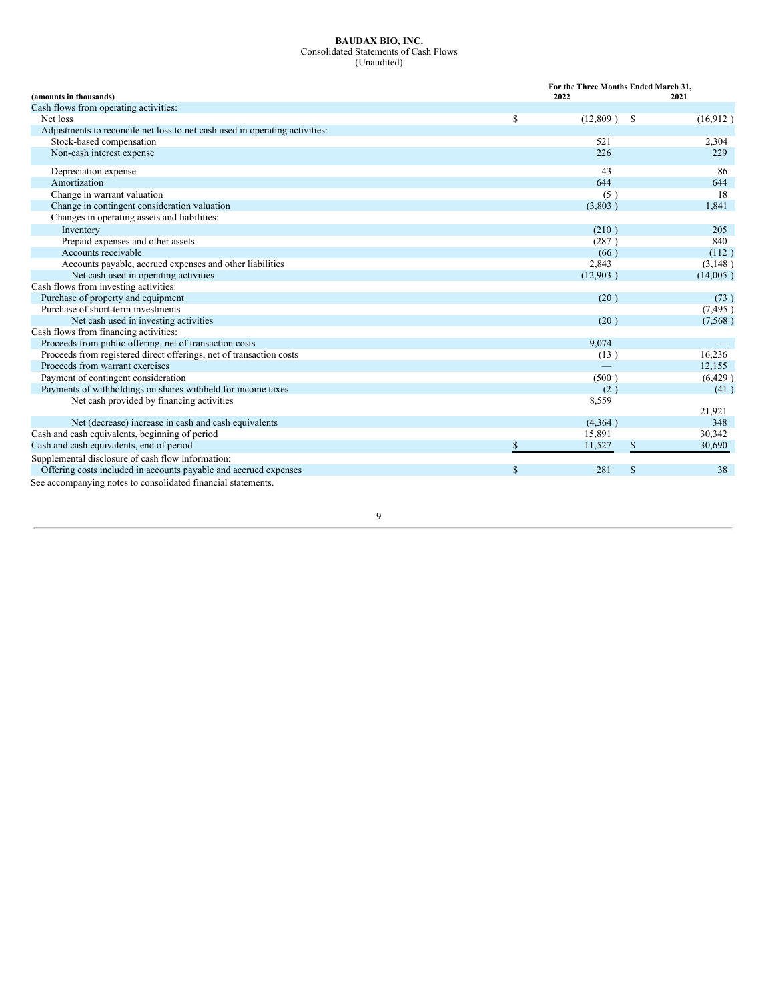#### **BAUDAX BIO, INC.** Consolidated Statements of Cash Flows (Unaudited)

|                                                                             | For the Three Months Ended March 31, |               |               |          |
|-----------------------------------------------------------------------------|--------------------------------------|---------------|---------------|----------|
| (amounts in thousands)                                                      |                                      | 2022          |               | 2021     |
| Cash flows from operating activities:                                       |                                      |               |               |          |
| Net loss                                                                    | \$                                   | $(12,809)$ \$ |               | (16,912) |
| Adjustments to reconcile net loss to net cash used in operating activities: |                                      |               |               |          |
| Stock-based compensation                                                    |                                      | 521           |               | 2,304    |
| Non-cash interest expense                                                   |                                      | 226           |               | 229      |
| Depreciation expense                                                        |                                      | 43            |               | 86       |
| Amortization                                                                |                                      | 644           |               | 644      |
| Change in warrant valuation                                                 |                                      | (5)           |               | 18       |
| Change in contingent consideration valuation                                |                                      | (3,803)       |               | 1,841    |
| Changes in operating assets and liabilities:                                |                                      |               |               |          |
| Inventory                                                                   |                                      | (210)         |               | 205      |
| Prepaid expenses and other assets                                           |                                      | (287)         |               | 840      |
| Accounts receivable                                                         |                                      | (66)          |               | (112)    |
| Accounts payable, accrued expenses and other liabilities                    |                                      | 2,843         |               | (3,148)  |
| Net cash used in operating activities                                       |                                      | (12,903)      |               | (14,005) |
| Cash flows from investing activities:                                       |                                      |               |               |          |
| Purchase of property and equipment                                          |                                      | (20)          |               | (73)     |
| Purchase of short-term investments                                          |                                      |               |               | (7, 495) |
| Net cash used in investing activities                                       |                                      | (20)          |               | (7,568)  |
| Cash flows from financing activities:                                       |                                      |               |               |          |
| Proceeds from public offering, net of transaction costs                     |                                      | 9,074         |               |          |
| Proceeds from registered direct offerings, net of transaction costs         |                                      | (13)          |               | 16,236   |
| Proceeds from warrant exercises                                             |                                      |               |               | 12,155   |
| Payment of contingent consideration                                         |                                      | (500)         |               | (6,429)  |
| Payments of withholdings on shares withheld for income taxes                |                                      | (2)           |               | (41)     |
| Net cash provided by financing activities                                   |                                      | 8,559         |               |          |
|                                                                             |                                      |               |               | 21,921   |
| Net (decrease) increase in cash and cash equivalents                        |                                      | (4,364)       |               | 348      |
| Cash and cash equivalents, beginning of period                              |                                      | 15,891        |               | 30,342   |
| Cash and cash equivalents, end of period                                    | \$                                   | 11,527        | $\mathsf{\$}$ | 30,690   |
| Supplemental disclosure of cash flow information:                           |                                      |               |               |          |
| Offering costs included in accounts payable and accrued expenses            | $\mathbb{S}$                         | 281           | \$            | 38       |
| See accompanying notes to consolidated financial statements.                |                                      |               |               |          |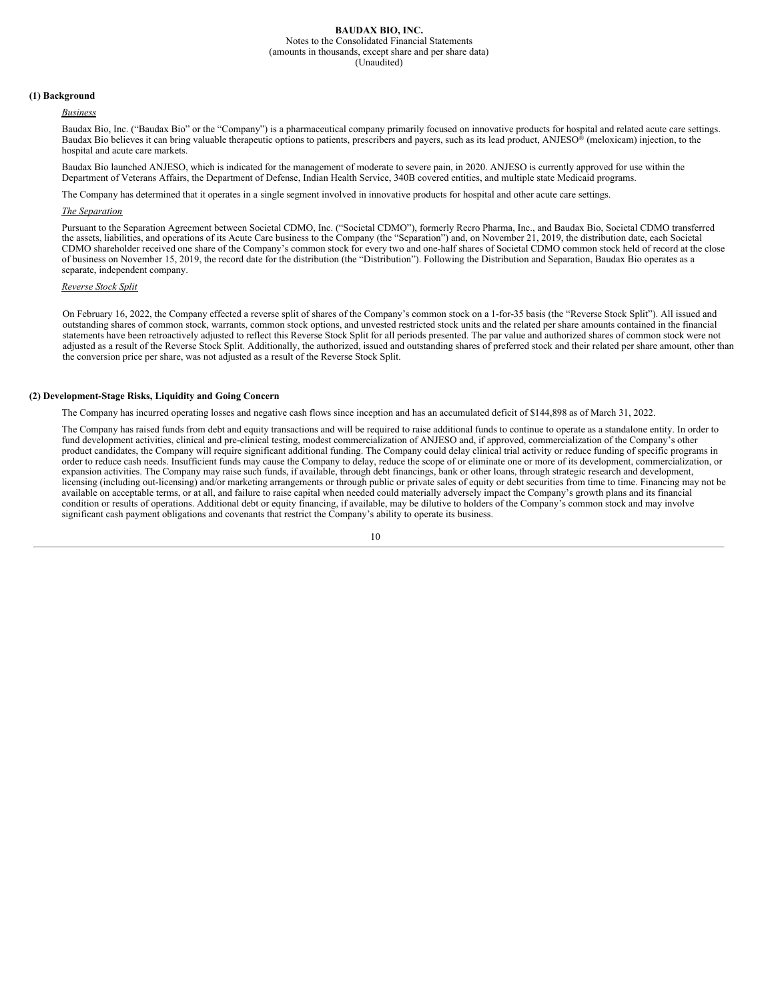Notes to the Consolidated Financial Statements (amounts in thousands, except share and per share data) (Unaudited)

#### **(1) Background**

#### *Business*

Baudax Bio, Inc. ("Baudax Bio" or the "Company") is a pharmaceutical company primarily focused on innovative products for hospital and related acute care settings. Baudax Bio believes it can bring valuable therapeutic options to patients, prescribers and payers, such as its lead product, ANJESO® (meloxicam) injection, to the hospital and acute care markets.

Baudax Bio launched ANJESO, which is indicated for the management of moderate to severe pain, in 2020. ANJESO is currently approved for use within the Department of Veterans Affairs, the Department of Defense, Indian Health Service, 340B covered entities, and multiple state Medicaid programs.

The Company has determined that it operates in a single segment involved in innovative products for hospital and other acute care settings.

# *The Separation*

Pursuant to the Separation Agreement between Societal CDMO, Inc. ("Societal CDMO"), formerly Recro Pharma, Inc., and Baudax Bio, Societal CDMO transferred the assets, liabilities, and operations of its Acute Care business to the Company (the "Separation") and, on November 21, 2019, the distribution date, each Societal CDMO shareholder received one share of the Company's common stock for every two and one-half shares of Societal CDMO common stock held of record at the close of business on November 15, 2019, the record date for the distribution (the "Distribution"). Following the Distribution and Separation, Baudax Bio operates as a separate, independent company.

#### *Reverse Stock Split*

On February 16, 2022, the Company effected a reverse split of shares of the Company's common stock on a 1-for-35 basis (the "Reverse Stock Split"). All issued and outstanding shares of common stock, warrants, common stock options, and unvested restricted stock units and the related per share amounts contained in the financial statements have been retroactively adjusted to reflect this Reverse Stock Split for all periods presented. The par value and authorized shares of common stock were not adjusted as a result of the Reverse Stock Split. Additionally, the authorized, issued and outstanding shares of preferred stock and their related per share amount, other than the conversion price per share, was not adjusted as a result of the Reverse Stock Split.

#### **(2) Development-Stage Risks, Liquidity and Going Concern**

The Company has incurred operating losses and negative cash flows since inception and has an accumulated deficit of \$144,898 as of March 31, 2022.

The Company has raised funds from debt and equity transactions and will be required to raise additional funds to continue to operate as a standalone entity. In order to fund development activities, clinical and pre-clinical testing, modest commercialization of ANJESO and, if approved, commercialization of the Company's other product candidates, the Company will require significant additional funding. The Company could delay clinical trial activity or reduce funding of specific programs in order to reduce cash needs. Insufficient funds may cause the Company to delay, reduce the scope of or eliminate one or more of its development, commercialization, or expansion activities. The Company may raise such funds, if available, through debt financings, bank or other loans, through strategic research and development, licensing (including out-licensing) and/or marketing arrangements or through public or private sales of equity or debt securities from time to time. Financing may not be available on acceptable terms, or at all, and failure to raise capital when needed could materially adversely impact the Company's growth plans and its financial condition or results of operations. Additional debt or equity financing, if available, may be dilutive to holders of the Company's common stock and may involve significant cash payment obligations and covenants that restrict the Company's ability to operate its business.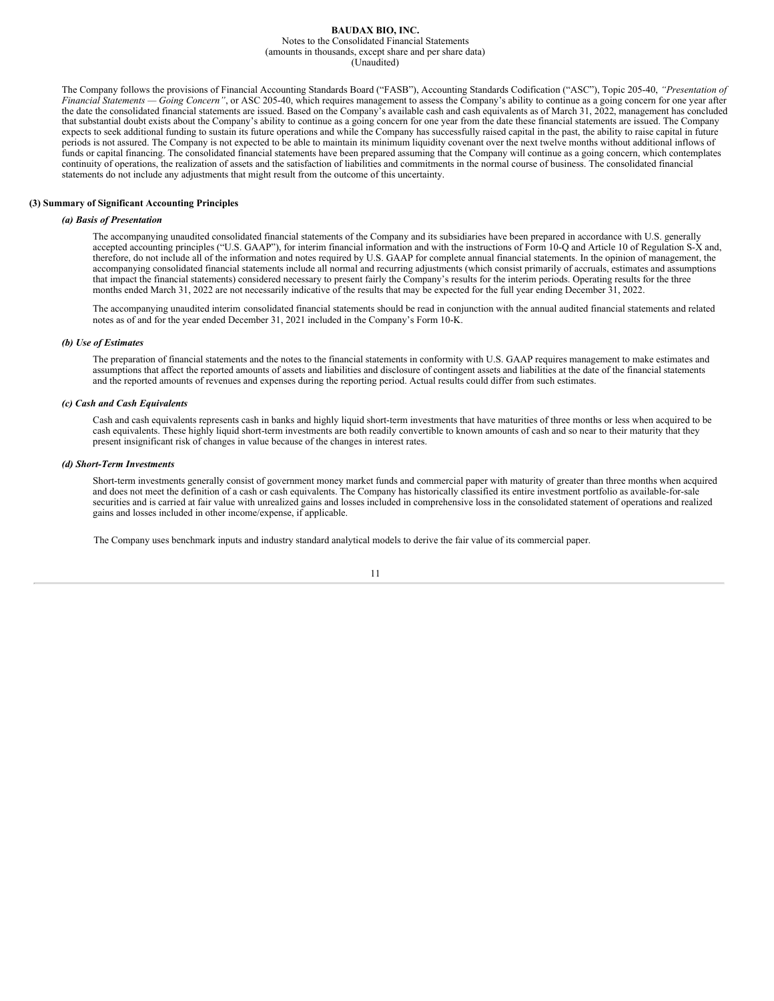Notes to the Consolidated Financial Statements (amounts in thousands, except share and per share data) (Unaudited)

The Company follows the provisions of Financial Accounting Standards Board ("FASB"), Accounting Standards Codification ("ASC"), Topic 205-40, *"Presentation of Financial Statements* — *Going Concern*", or ASC 205-40, which requires management to assess the Company's ability to continue as a going concern for one year after the date the consolidated financial statements are issued. Based on the Company's available cash and cash equivalents as of March 31, 2022, management has concluded that substantial doubt exists about the Company's ability to continue as a going concern for one year from the date these financial statements are issued. The Company expects to seek additional funding to sustain its future operations and while the Company has successfully raised capital in the past, the ability to raise capital in future periods is not assured. The Company is not expected to be able to maintain its minimum liquidity covenant over the next twelve months without additional inflows of funds or capital financing. The consolidated financial statements have been prepared assuming that the Company will continue as a going concern, which contemplates continuity of operations, the realization of assets and the satisfaction of liabilities and commitments in the normal course of business. The consolidated financial statements do not include any adjustments that might result from the outcome of this uncertainty.

# **(3) Summary of Significant Accounting Principles**

# *(a) Basis of Presentation*

The accompanying unaudited consolidated financial statements of the Company and its subsidiaries have been prepared in accordance with U.S. generally accepted accounting principles ("U.S. GAAP"), for interim financial information and with the instructions of Form 10-Q and Article 10 of Regulation S-X and, therefore, do not include all of the information and notes required by U.S. GAAP for complete annual financial statements. In the opinion of management, the accompanying consolidated financial statements include all normal and recurring adjustments (which consist primarily of accruals, estimates and assumptions that impact the financial statements) considered necessary to present fairly the Company's results for the interim periods. Operating results for the three months ended March 31, 2022 are not necessarily indicative of the results that may be expected for the full year ending December 31, 2022.

The accompanying unaudited interim consolidated financial statements should be read in conjunction with the annual audited financial statements and related notes as of and for the year ended December 31, 2021 included in the Company's Form 10-K.

#### *(b) Use of Estimates*

The preparation of financial statements and the notes to the financial statements in conformity with U.S. GAAP requires management to make estimates and assumptions that affect the reported amounts of assets and liabilities and disclosure of contingent assets and liabilities at the date of the financial statements and the reported amounts of revenues and expenses during the reporting period. Actual results could differ from such estimates.

#### *(c) Cash and Cash Equivalents*

Cash and cash equivalents represents cash in banks and highly liquid short-term investments that have maturities of three months or less when acquired to be cash equivalents. These highly liquid short-term investments are both readily convertible to known amounts of cash and so near to their maturity that they present insignificant risk of changes in value because of the changes in interest rates.

#### *(d) Short-Term Investments*

Short-term investments generally consist of government money market funds and commercial paper with maturity of greater than three months when acquired and does not meet the definition of a cash or cash equivalents. The Company has historically classified its entire investment portfolio as available-for-sale securities and is carried at fair value with unrealized gains and losses included in comprehensive loss in the consolidated statement of operations and realized gains and losses included in other income/expense, if applicable.

The Company uses benchmark inputs and industry standard analytical models to derive the fair value of its commercial paper.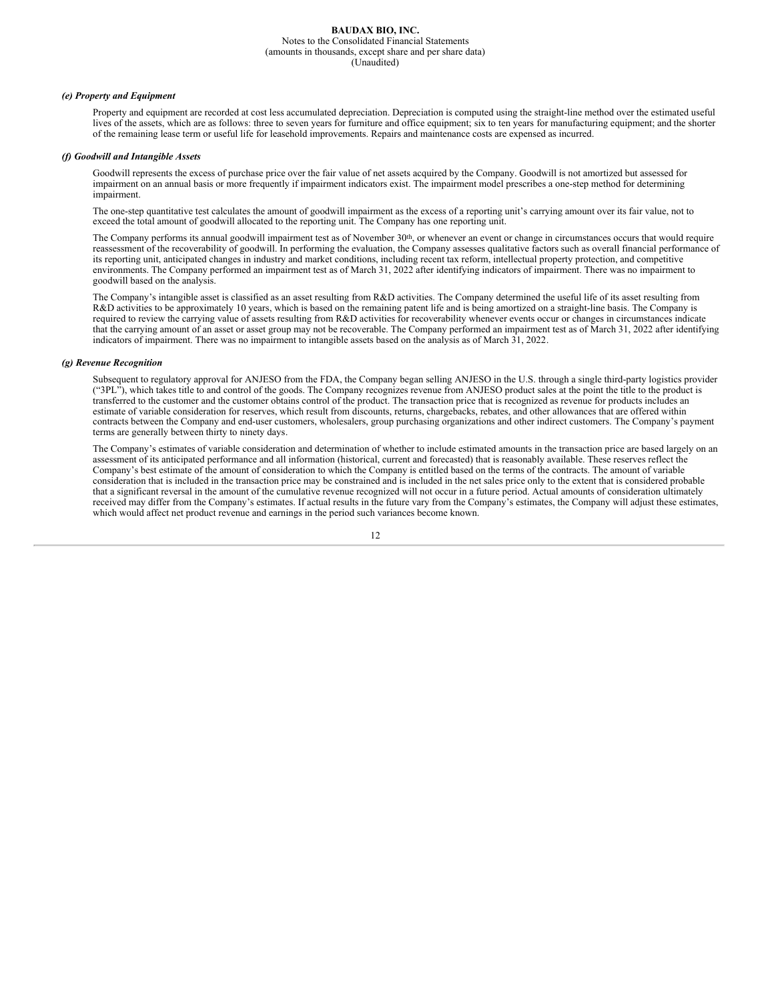#### *(e) Property and Equipment*

Property and equipment are recorded at cost less accumulated depreciation. Depreciation is computed using the straight-line method over the estimated useful lives of the assets, which are as follows: three to seven years for furniture and office equipment; six to ten years for manufacturing equipment; and the shorter of the remaining lease term or useful life for leasehold improvements. Repairs and maintenance costs are expensed as incurred.

#### *(f) Goodwill and Intangible Assets*

Goodwill represents the excess of purchase price over the fair value of net assets acquired by the Company. Goodwill is not amortized but assessed for impairment on an annual basis or more frequently if impairment indicators exist. The impairment model prescribes a one-step method for determining impairment.

The one-step quantitative test calculates the amount of goodwill impairment as the excess of a reporting unit's carrying amount over its fair value, not to exceed the total amount of goodwill allocated to the reporting unit. The Company has one reporting unit.

The Company performs its annual goodwill impairment test as of November 30<sup>th</sup>, or whenever an event or change in circumstances occurs that would require reassessment of the recoverability of goodwill. In performing the evaluation, the Company assesses qualitative factors such as overall financial performance of its reporting unit, anticipated changes in industry and market conditions, including recent tax reform, intellectual property protection, and competitive environments. The Company performed an impairment test as of March 31, 2022 after identifying indicators of impairment. There was no impairment to goodwill based on the analysis.

The Company's intangible asset is classified as an asset resulting from R&D activities. The Company determined the useful life of its asset resulting from R&D activities to be approximately 10 years, which is based on the remaining patent life and is being amortized on a straight-line basis. The Company is required to review the carrying value of assets resulting from R&D activities for recoverability whenever events occur or changes in circumstances indicate that the carrying amount of an asset or asset group may not be recoverable. The Company performed an impairment test as of March 31, 2022 after identifying indicators of impairment. There was no impairment to intangible assets based on the analysis as of March 31, 2022.

#### *(g) Revenue Recognition*

Subsequent to regulatory approval for ANJESO from the FDA, the Company began selling ANJESO in the U.S. through a single third-party logistics provider ("3PL"), which takes title to and control of the goods. The Company recognizes revenue from ANJESO product sales at the point the title to the product is transferred to the customer and the customer obtains control of the product. The transaction price that is recognized as revenue for products includes an estimate of variable consideration for reserves, which result from discounts, returns, chargebacks, rebates, and other allowances that are offered within contracts between the Company and end-user customers, wholesalers, group purchasing organizations and other indirect customers. The Company's payment terms are generally between thirty to ninety days.

The Company's estimates of variable consideration and determination of whether to include estimated amounts in the transaction price are based largely on an assessment of its anticipated performance and all information (historical, current and forecasted) that is reasonably available. These reserves reflect the Company's best estimate of the amount of consideration to which the Company is entitled based on the terms of the contracts. The amount of variable consideration that is included in the transaction price may be constrained and is included in the net sales price only to the extent that is considered probable that a significant reversal in the amount of the cumulative revenue recognized will not occur in a future period. Actual amounts of consideration ultimately received may differ from the Company's estimates. If actual results in the future vary from the Company's estimates, the Company will adjust these estimates, which would affect net product revenue and earnings in the period such variances become known.

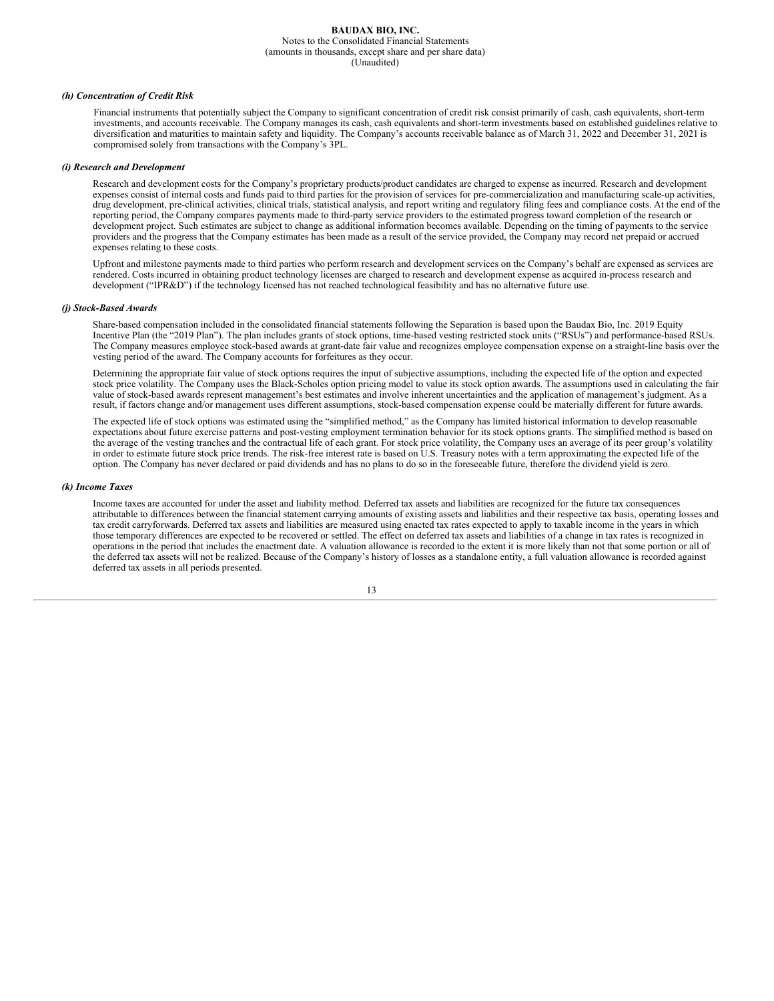#### *(h) Concentration of Credit Risk*

Financial instruments that potentially subject the Company to significant concentration of credit risk consist primarily of cash, cash equivalents, short-term investments, and accounts receivable. The Company manages its cash, cash equivalents and short-term investments based on established guidelines relative to diversification and maturities to maintain safety and liquidity. The Company's accounts receivable balance as of March 31, 2022 and December 31, 2021 is compromised solely from transactions with the Company's 3PL.

# *(i) Research and Development*

Research and development costs for the Company's proprietary products/product candidates are charged to expense as incurred. Research and development expenses consist of internal costs and funds paid to third parties for the provision of services for pre-commercialization and manufacturing scale-up activities, drug development, pre-clinical activities, clinical trials, statistical analysis, and report writing and regulatory filing fees and compliance costs. At the end of the reporting period, the Company compares payments made to third-party service providers to the estimated progress toward completion of the research or development project. Such estimates are subject to change as additional information becomes available. Depending on the timing of payments to the service providers and the progress that the Company estimates has been made as a result of the service provided, the Company may record net prepaid or accrued expenses relating to these costs.

Upfront and milestone payments made to third parties who perform research and development services on the Company's behalf are expensed as services are rendered. Costs incurred in obtaining product technology licenses are charged to research and development expense as acquired in-process research and development ("IPR&D") if the technology licensed has not reached technological feasibility and has no alternative future use.

#### *(j) Stock-Based Awards*

Share-based compensation included in the consolidated financial statements following the Separation is based upon the Baudax Bio, Inc. 2019 Equity Incentive Plan (the "2019 Plan"). The plan includes grants of stock options, time-based vesting restricted stock units ("RSUs") and performance-based RSUs. The Company measures employee stock-based awards at grant-date fair value and recognizes employee compensation expense on a straight-line basis over the vesting period of the award. The Company accounts for forfeitures as they occur.

Determining the appropriate fair value of stock options requires the input of subjective assumptions, including the expected life of the option and expected stock price volatility. The Company uses the Black-Scholes option pricing model to value its stock option awards. The assumptions used in calculating the fair value of stock-based awards represent management's best estimates and involve inherent uncertainties and the application of management's judgment. As a result, if factors change and/or management uses different assumptions, stock-based compensation expense could be materially different for future awards.

The expected life of stock options was estimated using the "simplified method," as the Company has limited historical information to develop reasonable expectations about future exercise patterns and post-vesting employment termination behavior for its stock options grants. The simplified method is based on the average of the vesting tranches and the contractual life of each grant. For stock price volatility, the Company uses an average of its peer group's volatility in order to estimate future stock price trends. The risk-free interest rate is based on U.S. Treasury notes with a term approximating the expected life of the option. The Company has never declared or paid dividends and has no plans to do so in the foreseeable future, therefore the dividend yield is zero.

#### *(k) Income Taxes*

Income taxes are accounted for under the asset and liability method. Deferred tax assets and liabilities are recognized for the future tax consequences attributable to differences between the financial statement carrying amounts of existing assets and liabilities and their respective tax basis, operating losses and tax credit carryforwards. Deferred tax assets and liabilities are measured using enacted tax rates expected to apply to taxable income in the years in which those temporary differences are expected to be recovered or settled. The effect on deferred tax assets and liabilities of a change in tax rates is recognized in operations in the period that includes the enactment date. A valuation allowance is recorded to the extent it is more likely than not that some portion or all of the deferred tax assets will not be realized. Because of the Company's history of losses as a standalone entity, a full valuation allowance is recorded against deferred tax assets in all periods presented.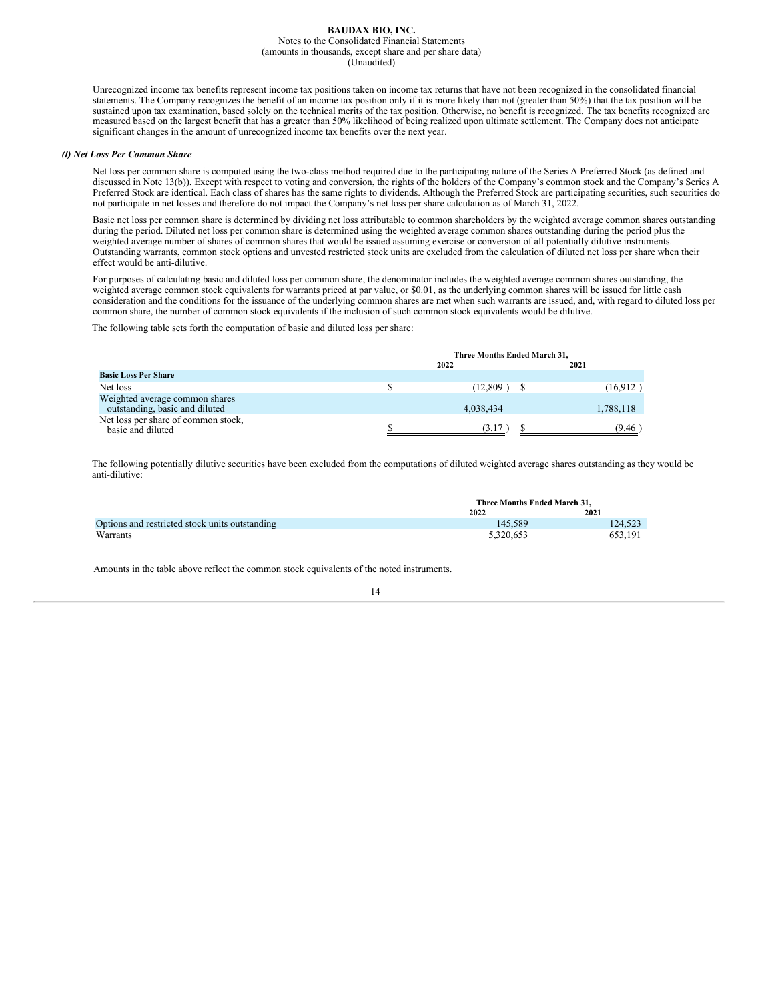Notes to the Consolidated Financial Statements (amounts in thousands, except share and per share data) (Unaudited)

Unrecognized income tax benefits represent income tax positions taken on income tax returns that have not been recognized in the consolidated financial statements. The Company recognizes the benefit of an income tax position only if it is more likely than not (greater than 50%) that the tax position will be sustained upon tax examination, based solely on the technical merits of the tax position. Otherwise, no benefit is recognized. The tax benefits recognized are measured based on the largest benefit that has a greater than 50% likelihood of being realized upon ultimate settlement. The Company does not anticipate significant changes in the amount of unrecognized income tax benefits over the next year.

#### *(l) Net Loss Per Common Share*

Net loss per common share is computed using the two-class method required due to the participating nature of the Series A Preferred Stock (as defined and discussed in Note 13(b)). Except with respect to voting and conversion, the rights of the holders of the Company's common stock and the Company's Series A Preferred Stock are identical. Each class of shares has the same rights to dividends. Although the Preferred Stock are participating securities, such securities do not participate in net losses and therefore do not impact the Company's net loss per share calculation as of March 31, 2022.

Basic net loss per common share is determined by dividing net loss attributable to common shareholders by the weighted average common shares outstanding during the period. Diluted net loss per common share is determined using the weighted average common shares outstanding during the period plus the weighted average number of shares of common shares that would be issued assuming exercise or conversion of all potentially dilutive instruments. Outstanding warrants, common stock options and unvested restricted stock units are excluded from the calculation of diluted net loss per share when their effect would be anti-dilutive.

For purposes of calculating basic and diluted loss per common share, the denominator includes the weighted average common shares outstanding, the weighted average common stock equivalents for warrants priced at par value, or \$0.01, as the underlying common shares will be issued for little cash consideration and the conditions for the issuance of the underlying common shares are met when such warrants are issued, and, with regard to diluted loss per common share, the number of common stock equivalents if the inclusion of such common stock equivalents would be dilutive.

The following table sets forth the computation of basic and diluted loss per share:

|                                                                  |  | Three Months Ended March 31, |      |           |  |  |  |
|------------------------------------------------------------------|--|------------------------------|------|-----------|--|--|--|
|                                                                  |  | 2022                         | 2021 |           |  |  |  |
| <b>Basic Loss Per Share</b>                                      |  |                              |      |           |  |  |  |
| Net loss                                                         |  | (12,809)                     | - S  | (16.912)  |  |  |  |
| Weighted average common shares<br>outstanding, basic and diluted |  | 4.038.434                    |      | 1,788,118 |  |  |  |
| Net loss per share of common stock,<br>basic and diluted         |  | (3.17                        |      | (9.46)    |  |  |  |

The following potentially dilutive securities have been excluded from the computations of diluted weighted average shares outstanding as they would be anti-dilutive:

|                                                |           | Three Months Ended March 31. |  |  |  |  |
|------------------------------------------------|-----------|------------------------------|--|--|--|--|
|                                                | 2022      | 2021                         |  |  |  |  |
| Options and restricted stock units outstanding | 145.589   | 124.523                      |  |  |  |  |
| Warrants                                       | 5.320.653 | 653.191                      |  |  |  |  |

Amounts in the table above reflect the common stock equivalents of the noted instruments.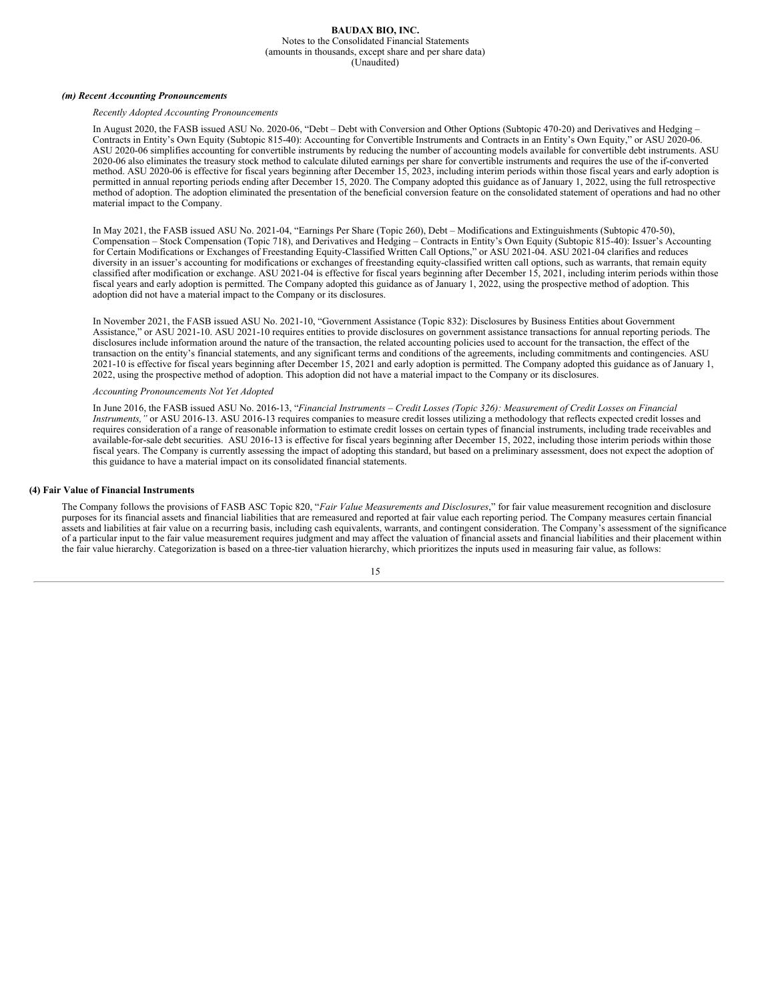#### *(m) Recent Accounting Pronouncements*

#### *Recently Adopted Accounting Pronouncements*

In August 2020, the FASB issued ASU No. 2020-06, "Debt – Debt with Conversion and Other Options (Subtopic 470-20) and Derivatives and Hedging – Contracts in Entity's Own Equity (Subtopic 815-40): Accounting for Convertible Instruments and Contracts in an Entity's Own Equity," or ASU 2020-06. ASU 2020-06 simplifies accounting for convertible instruments by reducing the number of accounting models available for convertible debt instruments. ASU 2020-06 also eliminates the treasury stock method to calculate diluted earnings per share for convertible instruments and requires the use of the if-converted method. ASU 2020-06 is effective for fiscal years beginning after December 15, 2023, including interim periods within those fiscal years and early adoption is permitted in annual reporting periods ending after December 15, 2020. The Company adopted this guidance as of January 1, 2022, using the full retrospective method of adoption. The adoption eliminated the presentation of the beneficial conversion feature on the consolidated statement of operations and had no other material impact to the Company.

In May 2021, the FASB issued ASU No. 2021-04, "Earnings Per Share (Topic 260), Debt – Modifications and Extinguishments (Subtopic 470-50), Compensation – Stock Compensation (Topic 718), and Derivatives and Hedging – Contracts in Entity's Own Equity (Subtopic 815-40): Issuer's Accounting for Certain Modifications or Exchanges of Freestanding Equity-Classified Written Call Options," or ASU 2021-04. ASU 2021-04 clarifies and reduces diversity in an issuer's accounting for modifications or exchanges of freestanding equity-classified written call options, such as warrants, that remain equity classified after modification or exchange. ASU 2021-04 is effective for fiscal years beginning after December 15, 2021, including interim periods within those fiscal years and early adoption is permitted. The Company adopted this guidance as of January 1, 2022, using the prospective method of adoption. This adoption did not have a material impact to the Company or its disclosures.

In November 2021, the FASB issued ASU No. 2021-10, "Government Assistance (Topic 832): Disclosures by Business Entities about Government Assistance," or ASU 2021-10. ASU 2021-10 requires entities to provide disclosures on government assistance transactions for annual reporting periods. The disclosures include information around the nature of the transaction, the related accounting policies used to account for the transaction, the effect of the transaction on the entity's financial statements, and any significant terms and conditions of the agreements, including commitments and contingencies. ASU 2021-10 is effective for fiscal years beginning after December 15, 2021 and early adoption is permitted. The Company adopted this guidance as of January 1, 2022, using the prospective method of adoption. This adoption did not have a material impact to the Company or its disclosures.

#### *Accounting Pronouncements Not Yet Adopted*

In June 2016, the FASB issued ASU No. 2016-13, "Financial Instruments - Credit Losses (Topic 326): Measurement of Credit Losses on Financial *Instruments,"* or ASU 2016-13. ASU 2016-13 requires companies to measure credit losses utilizing a methodology that reflects expected credit losses and requires consideration of a range of reasonable information to estimate credit losses on certain types of financial instruments, including trade receivables and available-for-sale debt securities. ASU 2016-13 is effective for fiscal years beginning after December 15, 2022, including those interim periods within those fiscal years. The Company is currently assessing the impact of adopting this standard, but based on a preliminary assessment, does not expect the adoption of this guidance to have a material impact on its consolidated financial statements.

#### **(4) Fair Value of Financial Instruments**

The Company follows the provisions of FASB ASC Topic 820, "*Fair Value Measurements and Disclosures*," for fair value measurement recognition and disclosure purposes for its financial assets and financial liabilities that are remeasured and reported at fair value each reporting period. The Company measures certain financial assets and liabilities at fair value on a recurring basis, including cash equivalents, warrants, and contingent consideration. The Company's assessment of the significance of a particular input to the fair value measurement requires judgment and may affect the valuation of financial assets and financial liabilities and their placement within the fair value hierarchy. Categorization is based on a three-tier valuation hierarchy, which prioritizes the inputs used in measuring fair value, as follows:

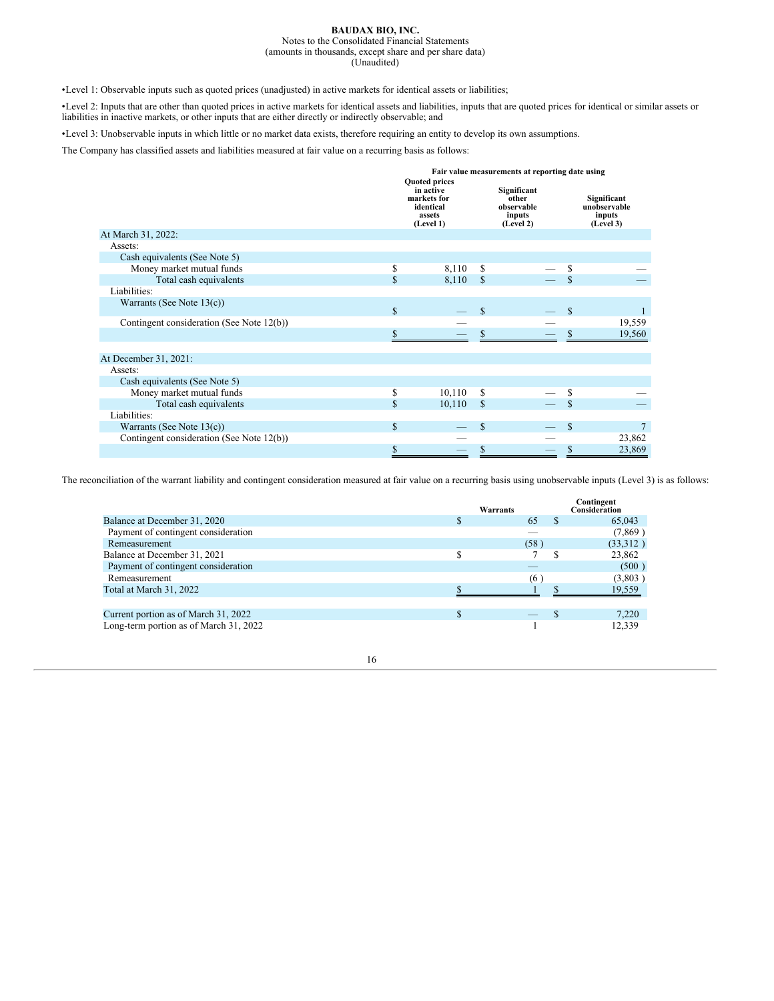# Notes to the Consolidated Financial Statements (amounts in thousands, except share and per share data) (Unaudited)

•Level 1: Observable inputs such as quoted prices (unadjusted) in active markets for identical assets or liabilities;

•Level 2: Inputs that are other than quoted prices in active markets for identical assets and liabilities, inputs that are quoted prices for identical or similar assets or liabilities in inactive markets, or other inputs that are either directly or indirectly observable; and

•Level 3: Unobservable inputs in which little or no market data exists, therefore requiring an entity to develop its own assumptions.

The Company has classified assets and liabilities measured at fair value on a recurring basis as follows:

|                                           |             | Fair value measurements at reporting date using                                      |               |                                                           |               |                                                    |  |  |
|-------------------------------------------|-------------|--------------------------------------------------------------------------------------|---------------|-----------------------------------------------------------|---------------|----------------------------------------------------|--|--|
|                                           |             | <b>Quoted prices</b><br>in active<br>markets for<br>identical<br>assets<br>(Level 1) |               | Significant<br>other<br>observable<br>inputs<br>(Level 2) |               | Significant<br>unobservable<br>inputs<br>(Level 3) |  |  |
| At March 31, 2022:                        |             |                                                                                      |               |                                                           |               |                                                    |  |  |
| Assets:                                   |             |                                                                                      |               |                                                           |               |                                                    |  |  |
| Cash equivalents (See Note 5)             |             |                                                                                      |               |                                                           |               |                                                    |  |  |
| Money market mutual funds                 | \$          | 8,110                                                                                | \$            |                                                           | \$            |                                                    |  |  |
| Total cash equivalents                    | S           | 8,110                                                                                | <sup>\$</sup> |                                                           |               |                                                    |  |  |
| Liabilities:                              |             |                                                                                      |               |                                                           |               |                                                    |  |  |
| Warrants (See Note $13(c)$ )              | $\mathbf S$ |                                                                                      | \$            |                                                           | \$            |                                                    |  |  |
| Contingent consideration (See Note 12(b)) |             |                                                                                      |               |                                                           |               | 19,559                                             |  |  |
|                                           | \$          |                                                                                      |               |                                                           |               | 19,560                                             |  |  |
| At December 31, 2021:                     |             |                                                                                      |               |                                                           |               |                                                    |  |  |
| Assets:                                   |             |                                                                                      |               |                                                           |               |                                                    |  |  |
| Cash equivalents (See Note 5)             |             |                                                                                      |               |                                                           |               |                                                    |  |  |
| Money market mutual funds                 | \$          | 10,110                                                                               | S             |                                                           | S             |                                                    |  |  |
| Total cash equivalents                    | S           | 10,110                                                                               | <sup>\$</sup> |                                                           | \$            |                                                    |  |  |
| Liabilities:                              |             |                                                                                      |               |                                                           |               |                                                    |  |  |
| Warrants (See Note $13(c)$ )              | \$          |                                                                                      | \$            |                                                           | <sup>\$</sup> | $7\phantom{.0}$                                    |  |  |
| Contingent consideration (See Note 12(b)) |             |                                                                                      |               |                                                           |               | 23,862                                             |  |  |
|                                           | \$          |                                                                                      | \$            |                                                           | $\mathbb{S}$  | 23,869                                             |  |  |

The reconciliation of the warrant liability and contingent consideration measured at fair value on a recurring basis using unobservable inputs (Level 3) is as follows:

|                                        | Warrants |     | Contingent<br>Consideration |
|----------------------------------------|----------|-----|-----------------------------|
| Balance at December 31, 2020           |          | 65  | 65,043                      |
| Payment of contingent consideration    |          |     | (7,869)                     |
| Remeasurement                          |          | (58 | (33,312)                    |
| Balance at December 31, 2021           | ¢        | S   | 23,862                      |
| Payment of contingent consideration    |          |     | (500)                       |
| Remeasurement                          |          | (6  | (3,803)                     |
| Total at March 31, 2022                |          |     | 19,559                      |
|                                        |          |     |                             |
| Current portion as of March 31, 2022   | \$.      |     | 7.220                       |
| Long-term portion as of March 31, 2022 |          |     | 12,339                      |

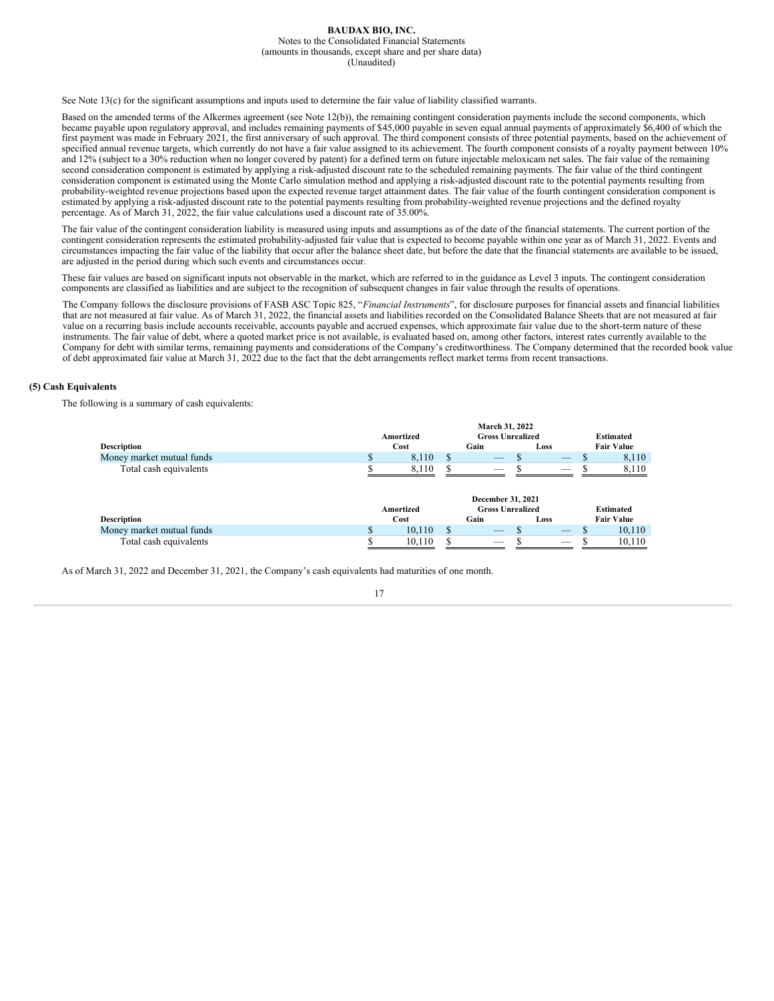See Note  $13(c)$  for the significant assumptions and inputs used to determine the fair value of liability classified warrants.

Based on the amended terms of the Alkermes agreement (see Note 12(b)), the remaining contingent consideration payments include the second components, which became payable upon regulatory approval, and includes remaining payments of \$45,000 payable in seven equal annual payments of approximately \$6,400 of which the first payment was made in February 2021, the first anniversary of such approval. The third component consists of three potential payments, based on the achievement of specified annual revenue targets, which currently do not have a fair value assigned to its achievement. The fourth component consists of a royalty payment between 10% and 12% (subject to a 30% reduction when no longer covered by patent) for a defined term on future injectable meloxicam net sales. The fair value of the remaining second consideration component is estimated by applying a risk-adjusted discount rate to the scheduled remaining payments. The fair value of the third contingent consideration component is estimated using the Monte Carlo simulation method and applying a risk-adjusted discount rate to the potential payments resulting from probability-weighted revenue projections based upon the expected revenue target attainment dates. The fair value of the fourth contingent consideration component is estimated by applying a risk-adjusted discount rate to the potential payments resulting from probability-weighted revenue projections and the defined royalty percentage. As of March 31, 2022, the fair value calculations used a discount rate of 35.00%.

The fair value of the contingent consideration liability is measured using inputs and assumptions as of the date of the financial statements. The current portion of the contingent consideration represents the estimated probability-adjusted fair value that is expected to become payable within one year as of March 31, 2022. Events and circumstances impacting the fair value of the liability that occur after the balance sheet date, but before the date that the financial statements are available to be issued, are adjusted in the period during which such events and circumstances occur.

These fair values are based on significant inputs not observable in the market, which are referred to in the guidance as Level 3 inputs. The contingent consideration components are classified as liabilities and are subject to the recognition of subsequent changes in fair value through the results of operations.

The Company follows the disclosure provisions of FASB ASC Topic 825, "*Financial Instruments*", for disclosure purposes for financial assets and financial liabilities that are not measured at fair value. As of March 31, 2022, the financial assets and liabilities recorded on the Consolidated Balance Sheets that are not measured at fair value on a recurring basis include accounts receivable, accounts payable and accrued expenses, which approximate fair value due to the short-term nature of these instruments. The fair value of debt, where a quoted market price is not available, is evaluated based on, among other factors, interest rates currently available to the Company for debt with similar terms, remaining payments and considerations of the Company's creditworthiness. The Company determined that the recorded book value of debt approximated fair value at March 31, 2022 due to the fact that the debt arrangements reflect market terms from recent transactions.

# **(5) Cash Equivalents**

The following is a summary of cash equivalents:

|                           | March 31, 2022                       |      |     |      |  |                   |  |
|---------------------------|--------------------------------------|------|-----|------|--|-------------------|--|
|                           | <b>Gross Unrealized</b><br>Amortized |      |     |      |  | <b>Estimated</b>  |  |
| <b>Description</b>        | Cost                                 | Gain |     | Loss |  | <b>Fair Value</b> |  |
| Money market mutual funds | 8.110                                |      | $-$ | $-$  |  | 8.110             |  |
| Total cash equivalents    | 8.110                                |      |     | $-$  |  | 8.110             |  |
|                           |                                      |      |     |      |  |                   |  |

|                           | December 31, 2021 |           |  |                                 |  |                          |  |                   |
|---------------------------|-------------------|-----------|--|---------------------------------|--|--------------------------|--|-------------------|
|                           |                   | Amortized |  | <b>Gross Unrealized</b>         |  |                          |  | <b>Estimated</b>  |
| <b>Description</b>        |                   | Cost      |  | Gain                            |  | Loss                     |  | <b>Fair Value</b> |
| Money market mutual funds |                   | 10.110    |  | $\hspace{0.1mm}-\hspace{0.1mm}$ |  | $-$                      |  | 10.110            |
| Total cash equivalents    |                   | 10.110    |  | $\overbrace{\phantom{12333}}$   |  | $\overline{\phantom{a}}$ |  | 10.110            |

As of March 31, 2022 and December 31, 2021, the Company's cash equivalents had maturities of one month.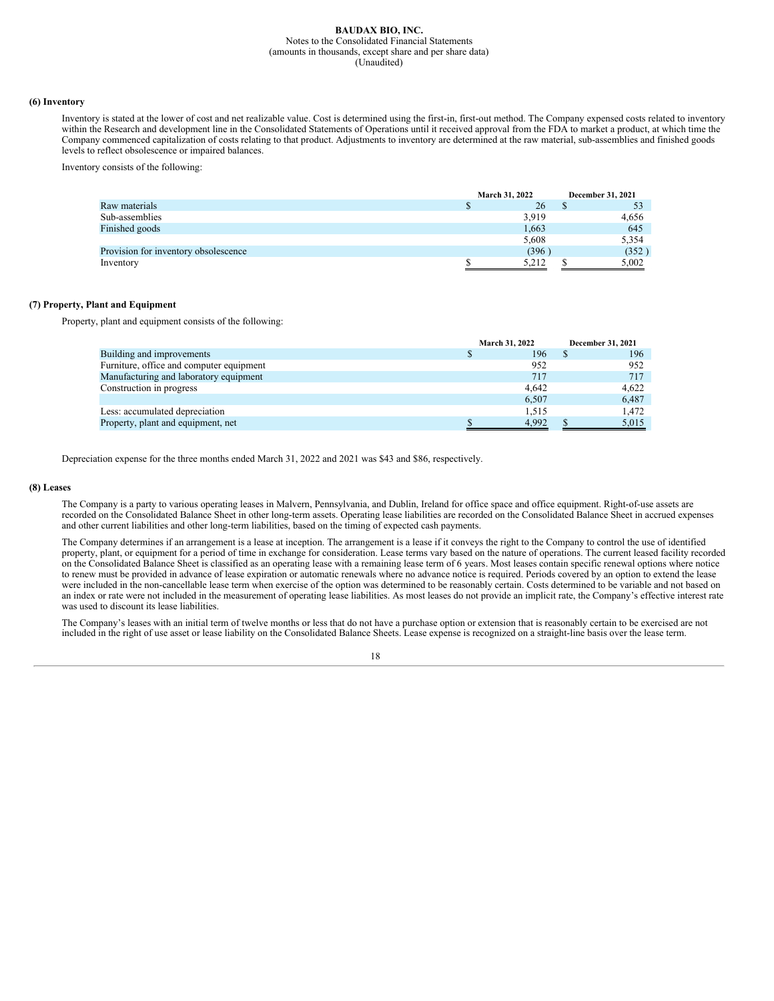#### **BAUDAX BIO, INC.** Notes to the Consolidated Financial Statements

(amounts in thousands, except share and per share data)

(Unaudited)

# **(6) Inventory**

Inventory is stated at the lower of cost and net realizable value. Cost is determined using the first-in, first-out method. The Company expensed costs related to inventory within the Research and development line in the Consolidated Statements of Operations until it received approval from the FDA to market a product, at which time the Company commenced capitalization of costs relating to that product. Adjustments to inventory are determined at the raw material, sub-assemblies and finished goods levels to reflect obsolescence or impaired balances.

Inventory consists of the following:

|                                      | March 31, 2022 | December 31, 2021 |
|--------------------------------------|----------------|-------------------|
| Raw materials                        | 26             | 53                |
| Sub-assemblies                       | 3,919          | 4,656             |
| Finished goods                       | 1,663          | 645               |
|                                      | 5,608          | 5,354             |
| Provision for inventory obsolescence | (396)          | (352)             |
| Inventory                            | 5.212          | 5,002             |

# **(7) Property, Plant and Equipment**

Property, plant and equipment consists of the following:

|                                          | March 31, 2022 |       | December 31, 2021 |     |
|------------------------------------------|----------------|-------|-------------------|-----|
| Building and improvements                | \$             | 196   |                   | 196 |
| Furniture, office and computer equipment |                | 952   | 952               |     |
| Manufacturing and laboratory equipment   |                | 717   | 717               |     |
| Construction in progress                 |                | 4.642 | 4.622             |     |
|                                          |                | 6.507 | 6.487             |     |
| Less: accumulated depreciation           |                | 1.515 | 1.472             |     |
| Property, plant and equipment, net       |                | 4.992 | 5,015             |     |

Depreciation expense for the three months ended March 31, 2022 and 2021 was \$43 and \$86, respectively.

#### **(8) Leases**

The Company is a party to various operating leases in Malvern, Pennsylvania, and Dublin, Ireland for office space and office equipment. Right-of-use assets are recorded on the Consolidated Balance Sheet in other long-term assets. Operating lease liabilities are recorded on the Consolidated Balance Sheet in accrued expenses and other current liabilities and other long-term liabilities, based on the timing of expected cash payments.

The Company determines if an arrangement is a lease at inception. The arrangement is a lease if it conveys the right to the Company to control the use of identified property, plant, or equipment for a period of time in exchange for consideration. Lease terms vary based on the nature of operations. The current leased facility recorded on the Consolidated Balance Sheet is classified as an operating lease with a remaining lease term of 6 years. Most leases contain specific renewal options where notice to renew must be provided in advance of lease expiration or automatic renewals where no advance notice is required. Periods covered by an option to extend the lease were included in the non-cancellable lease term when exercise of the option was determined to be reasonably certain. Costs determined to be variable and not based on an index or rate were not included in the measurement of operating lease liabilities. As most leases do not provide an implicit rate, the Company's effective interest rate was used to discount its lease liabilities.

The Company's leases with an initial term of twelve months or less that do not have a purchase option or extension that is reasonably certain to be exercised are not included in the right of use asset or lease liability on the Consolidated Balance Sheets. Lease expense is recognized on a straight-line basis over the lease term.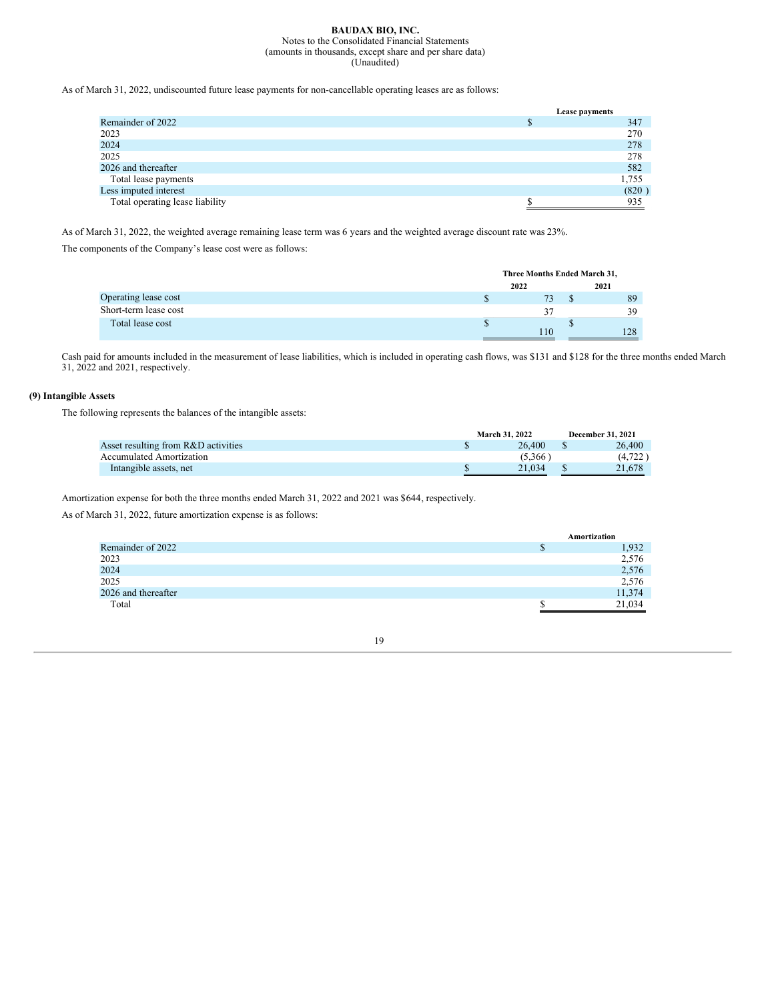# Notes to the Consolidated Financial Statements (amounts in thousands, except share and per share data) (Unaudited)

As of March 31, 2022, undiscounted future lease payments for non-cancellable operating leases are as follows:

|                                 | Lease payments |       |
|---------------------------------|----------------|-------|
| Remainder of 2022               |                | 347   |
| 2023                            |                | 270   |
| 2024                            |                | 278   |
| 2025                            |                | 278   |
| 2026 and thereafter             |                | 582   |
| Total lease payments            |                | 1,755 |
| Less imputed interest           |                | (820) |
| Total operating lease liability |                | 935   |

As of March 31, 2022, the weighted average remaining lease term was 6 years and the weighted average discount rate was 23%.

The components of the Company's lease cost were as follows:

| Three Months Ended March 31, |      |      |  |
|------------------------------|------|------|--|
|                              |      | 2021 |  |
| 73                           |      | 89   |  |
| 37                           |      | 39   |  |
| l 10                         |      | 128  |  |
|                              | 2022 |      |  |

Cash paid for amounts included in the measurement of lease liabilities, which is included in operating cash flows, was \$131 and \$128 for the three months ended March 31, 2022 and 2021, respectively.

# **(9) Intangible Assets**

The following represents the balances of the intangible assets:

|                                     | <b>March 31, 2022</b> | <b>December 31, 2021</b> |
|-------------------------------------|-----------------------|--------------------------|
| Asset resulting from R&D activities | 26.400                | 26,400                   |
| Accumulated Amortization            | (5.366)               | (4, 722)                 |
| Intangible assets, net              | 21.034                | 21.678                   |

Amortization expense for both the three months ended March 31, 2022 and 2021 was \$644, respectively.

As of March 31, 2022, future amortization expense is as follows:

|                     | Amortization |
|---------------------|--------------|
| Remainder of 2022   | 1,932        |
| 2023                | 2,576        |
| 2024                | 2,576        |
| 2025                | 2,576        |
| 2026 and thereafter | 11,374       |
| Total               | 21.034       |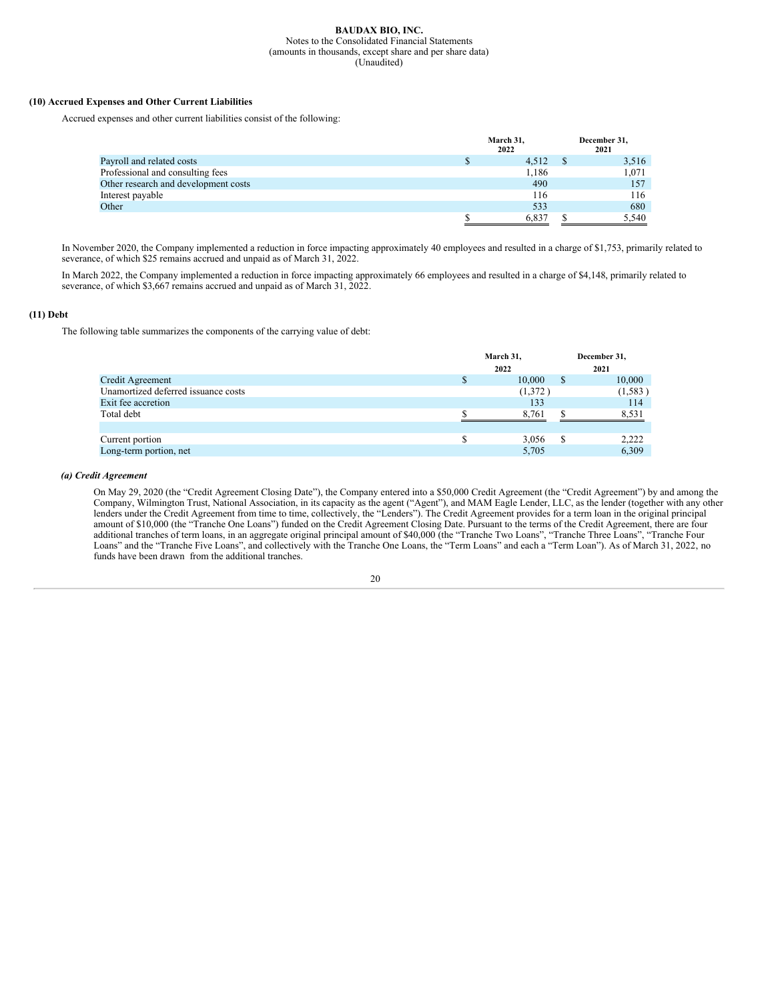# **(10) Accrued Expenses and Other Current Liabilities**

Accrued expenses and other current liabilities consist of the following:

|                                      | March 31,<br>2022 | December 31,<br>2021 |
|--------------------------------------|-------------------|----------------------|
| Payroll and related costs            | 4.512             | 3,516                |
| Professional and consulting fees     | 1.186             | 1.071                |
| Other research and development costs | 490               | 157                  |
| Interest payable                     | 116               | 116                  |
| Other                                | 533               | 680                  |
|                                      | 6.837             | 5.540                |

In November 2020, the Company implemented a reduction in force impacting approximately 40 employees and resulted in a charge of \$1,753, primarily related to severance, of which \$25 remains accrued and unpaid as of March 31, 2022.

In March 2022, the Company implemented a reduction in force impacting approximately 66 employees and resulted in a charge of \$4,148, primarily related to severance, of which \$3,667 remains accrued and unpaid as of March 31, 2022.

# **(11) Debt**

The following table summarizes the components of the carrying value of debt:

|                                     | March 31, |  | December 31, |
|-------------------------------------|-----------|--|--------------|
|                                     | 2022      |  | 2021         |
| Credit Agreement                    | 10,000    |  | 10,000       |
| Unamortized deferred issuance costs | (1,372)   |  | (1,583)      |
| Exit fee accretion                  | 133       |  | 114          |
| Total debt                          | 8,761     |  | 8,531        |
|                                     |           |  |              |
| Current portion                     | 3.056     |  | 2,222        |
| Long-term portion, net              | 5,705     |  | 6.309        |

#### *(a) Credit Agreement*

On May 29, 2020 (the "Credit Agreement Closing Date"), the Company entered into a \$50,000 Credit Agreement (the "Credit Agreement") by and among the Company, Wilmington Trust, National Association, in its capacity as the agent ("Agent"), and MAM Eagle Lender, LLC, as the lender (together with any other lenders under the Credit Agreement from time to time, collectively, the "Lenders"). The Credit Agreement provides for a term loan in the original principal amount of \$10,000 (the "Tranche One Loans") funded on the Credit Agreement Closing Date. Pursuant to the terms of the Credit Agreement, there are four additional tranches of term loans, in an aggregate original principal amount of \$40,000 (the "Tranche Two Loans", "Tranche Three Loans", "Tranche Four Loans" and the "Tranche Five Loans", and collectively with the Tranche One Loans, the "Term Loans" and each a "Term Loan"). As of March 31, 2022, no funds have been drawn from the additional tranches.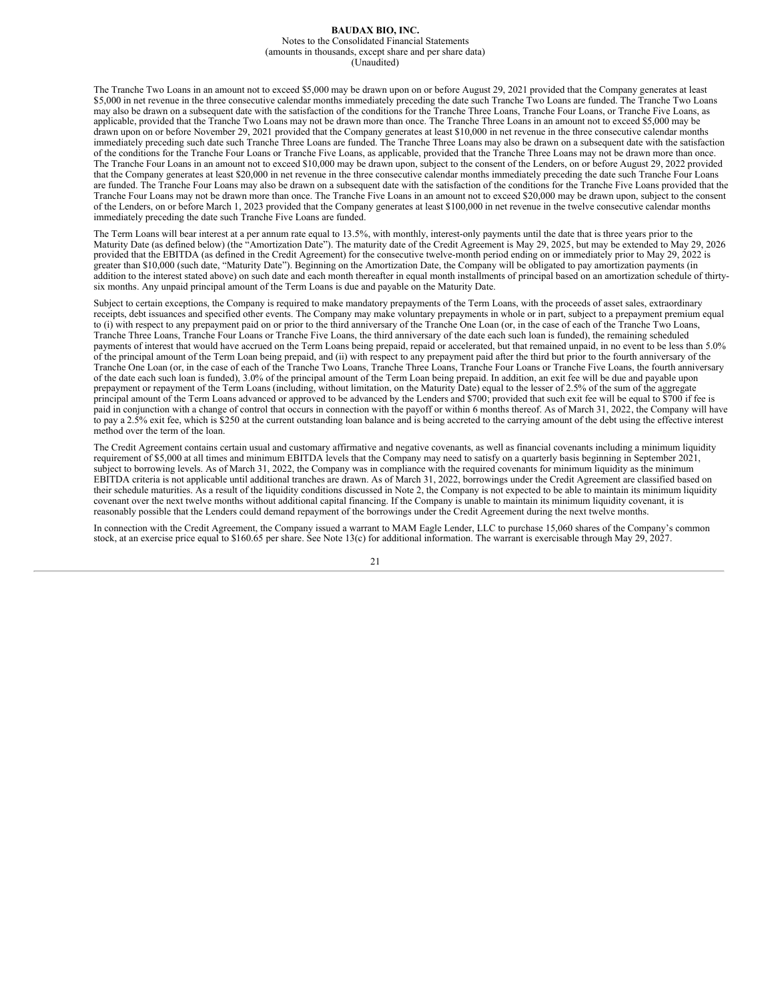The Tranche Two Loans in an amount not to exceed \$5,000 may be drawn upon on or before August 29, 2021 provided that the Company generates at least \$5,000 in net revenue in the three consecutive calendar months immediately preceding the date such Tranche Two Loans are funded. The Tranche Two Loans may also be drawn on a subsequent date with the satisfaction of the conditions for the Tranche Three Loans, Tranche Four Loans, or Tranche Five Loans, as applicable, provided that the Tranche Two Loans may not be drawn more than once. The Tranche Three Loans in an amount not to exceed \$5,000 may be drawn upon on or before November 29, 2021 provided that the Company generates at least \$10,000 in net revenue in the three consecutive calendar months immediately preceding such date such Tranche Three Loans are funded. The Tranche Three Loans may also be drawn on a subsequent date with the satisfaction of the conditions for the Tranche Four Loans or Tranche Five Loans, as applicable, provided that the Tranche Three Loans may not be drawn more than once. The Tranche Four Loans in an amount not to exceed \$10,000 may be drawn upon, subject to the consent of the Lenders, on or before August 29, 2022 provided that the Company generates at least \$20,000 in net revenue in the three consecutive calendar months immediately preceding the date such Tranche Four Loans are funded. The Tranche Four Loans may also be drawn on a subsequent date with the satisfaction of the conditions for the Tranche Five Loans provided that the Tranche Four Loans may not be drawn more than once. The Tranche Five Loans in an amount not to exceed \$20,000 may be drawn upon, subject to the consent of the Lenders, on or before March 1, 2023 provided that the Company generates at least \$100,000 in net revenue in the twelve consecutive calendar months immediately preceding the date such Tranche Five Loans are funded.

The Term Loans will bear interest at a per annum rate equal to 13.5%, with monthly, interest-only payments until the date that is three years prior to the Maturity Date (as defined below) (the "Amortization Date"). The maturity date of the Credit Agreement is May 29, 2025, but may be extended to May 29, 2026 provided that the EBITDA (as defined in the Credit Agreement) for the consecutive twelve-month period ending on or immediately prior to May 29, 2022 is greater than \$10,000 (such date, "Maturity Date"). Beginning on the Amortization Date, the Company will be obligated to pay amortization payments (in addition to the interest stated above) on such date and each month thereafter in equal month installments of principal based on an amortization schedule of thirtysix months. Any unpaid principal amount of the Term Loans is due and payable on the Maturity Date.

Subject to certain exceptions, the Company is required to make mandatory prepayments of the Term Loans, with the proceeds of asset sales, extraordinary receipts, debt issuances and specified other events. The Company may make voluntary prepayments in whole or in part, subject to a prepayment premium equal to (i) with respect to any prepayment paid on or prior to the third anniversary of the Tranche One Loan (or, in the case of each of the Tranche Two Loans, Tranche Three Loans, Tranche Four Loans or Tranche Five Loans, the third anniversary of the date each such loan is funded), the remaining scheduled payments of interest that would have accrued on the Term Loans being prepaid, repaid or accelerated, but that remained unpaid, in no event to be less than 5.0% of the principal amount of the Term Loan being prepaid, and (ii) with respect to any prepayment paid after the third but prior to the fourth anniversary of the Tranche One Loan (or, in the case of each of the Tranche Two Loans, Tranche Three Loans, Tranche Four Loans or Tranche Five Loans, the fourth anniversary of the date each such loan is funded), 3.0% of the principal amount of the Term Loan being prepaid. In addition, an exit fee will be due and payable upon prepayment or repayment of the Term Loans (including, without limitation, on the Maturity Date) equal to the lesser of 2.5% of the sum of the aggregate principal amount of the Term Loans advanced or approved to be advanced by the Lenders and \$700; provided that such exit fee will be equal to \$700 if fee is paid in conjunction with a change of control that occurs in connection with the payoff or within 6 months thereof. As of March 31, 2022, the Company will have to pay a 2.5% exit fee, which is \$250 at the current outstanding loan balance and is being accreted to the carrying amount of the debt using the effective interest method over the term of the loan.

The Credit Agreement contains certain usual and customary affirmative and negative covenants, as well as financial covenants including a minimum liquidity requirement of \$5,000 at all times and minimum EBITDA levels that the Company may need to satisfy on a quarterly basis beginning in September 2021, subject to borrowing levels. As of March 31, 2022, the Company was in compliance with the required covenants for minimum liquidity as the minimum EBITDA criteria is not applicable until additional tranches are drawn. As of March 31, 2022, borrowings under the Credit Agreement are classified based on their schedule maturities. As a result of the liquidity conditions discussed in Note 2, the Company is not expected to be able to maintain its minimum liquidity covenant over the next twelve months without additional capital financing. If the Company is unable to maintain its minimum liquidity covenant, it is reasonably possible that the Lenders could demand repayment of the borrowings under the Credit Agreement during the next twelve months.

In connection with the Credit Agreement, the Company issued a warrant to MAM Eagle Lender, LLC to purchase 15,060 shares of the Company's common stock, at an exercise price equal to \$160.65 per share. See Note 13(c) for additional information. The warrant is exercisable through May 29, 2027.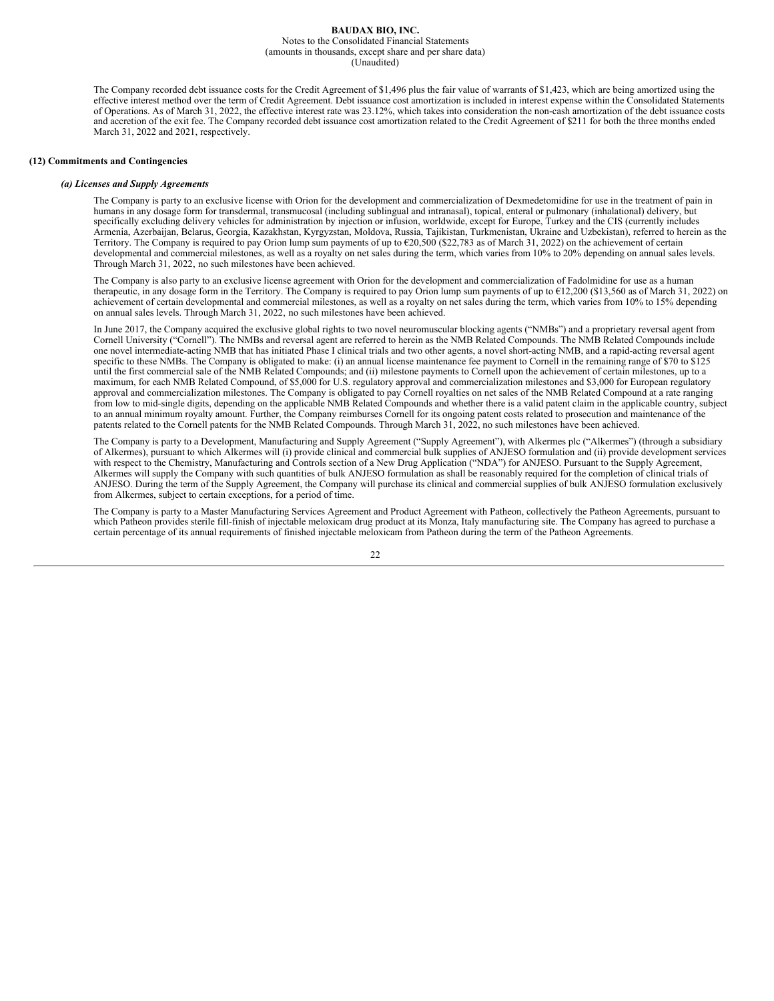#### Notes to the Consolidated Financial Statements (amounts in thousands, except share and per share data) (Unaudited)

The Company recorded debt issuance costs for the Credit Agreement of \$1,496 plus the fair value of warrants of \$1,423, which are being amortized using the effective interest method over the term of Credit Agreement. Debt issuance cost amortization is included in interest expense within the Consolidated Statements of Operations. As of March 31, 2022, the effective interest rate was 23.12%, which takes into consideration the non-cash amortization of the debt issuance costs and accretion of the exit fee. The Company recorded debt issuance cost amortization related to the Credit Agreement of \$211 for both the three months ended March 31, 2022 and 2021, respectively.

#### **(12) Commitments and Contingencies**

#### *(a) Licenses and Supply Agreements*

The Company is party to an exclusive license with Orion for the development and commercialization of Dexmedetomidine for use in the treatment of pain in humans in any dosage form for transdermal, transmucosal (including sublingual and intranasal), topical, enteral or pulmonary (inhalational) delivery, but specifically excluding delivery vehicles for administration by injection or infusion, worldwide, except for Europe, Turkey and the CIS (currently includes Armenia, Azerbaijan, Belarus, Georgia, Kazakhstan, Kyrgyzstan, Moldova, Russia, Tajikistan, Turkmenistan, Ukraine and Uzbekistan), referred to herein as the Territory. The Company is required to pay Orion lump sum payments of up to  $\epsilon$ 20,500 (\$22,783 as of March 31, 2022) on the achievement of certain developmental and commercial milestones, as well as a royalty on net sales during the term, which varies from 10% to 20% depending on annual sales levels. Through March 31, 2022, no such milestones have been achieved.

The Company is also party to an exclusive license agreement with Orion for the development and commercialization of Fadolmidine for use as a human therapeutic, in any dosage form in the Territory. The Company is required to pay Orion lump sum payments of up to €12,200 (\$13,560 as of March 31, 2022) on achievement of certain developmental and commercial milestones, as well as a royalty on net sales during the term, which varies from 10% to 15% depending on annual sales levels. Through March 31, 2022, no such milestones have been achieved.

In June 2017, the Company acquired the exclusive global rights to two novel neuromuscular blocking agents ("NMBs") and a proprietary reversal agent from Cornell University ("Cornell"). The NMBs and reversal agent are referred to herein as the NMB Related Compounds. The NMB Related Compounds include one novel intermediate-acting NMB that has initiated Phase I clinical trials and two other agents, a novel short-acting NMB, and a rapid-acting reversal agent specific to these NMBs. The Company is obligated to make: (i) an annual license maintenance fee payment to Cornell in the remaining range of \$70 to \$125 until the first commercial sale of the NMB Related Compounds; and (ii) milestone payments to Cornell upon the achievement of certain milestones, up to a maximum, for each NMB Related Compound, of \$5,000 for U.S. regulatory approval and commercialization milestones and \$3,000 for European regulatory approval and commercialization milestones. The Company is obligated to pay Cornell royalties on net sales of the NMB Related Compound at a rate ranging from low to mid-single digits, depending on the applicable NMB Related Compounds and whether there is a valid patent claim in the applicable country, subject to an annual minimum royalty amount. Further, the Company reimburses Cornell for its ongoing patent costs related to prosecution and maintenance of the patents related to the Cornell patents for the NMB Related Compounds. Through March 31, 2022, no such milestones have been achieved.

The Company is party to a Development, Manufacturing and Supply Agreement ("Supply Agreement"), with Alkermes plc ("Alkermes") (through a subsidiary of Alkermes), pursuant to which Alkermes will (i) provide clinical and commercial bulk supplies of ANJESO formulation and (ii) provide development services with respect to the Chemistry, Manufacturing and Controls section of a New Drug Application ("NDA") for ANJESO. Pursuant to the Supply Agreement, Alkermes will supply the Company with such quantities of bulk ANJESO formulation as shall be reasonably required for the completion of clinical trials of ANJESO. During the term of the Supply Agreement, the Company will purchase its clinical and commercial supplies of bulk ANJESO formulation exclusively from Alkermes, subject to certain exceptions, for a period of time.

The Company is party to a Master Manufacturing Services Agreement and Product Agreement with Patheon, collectively the Patheon Agreements, pursuant to which Patheon provides sterile fill-finish of injectable meloxicam drug product at its Monza, Italy manufacturing site. The Company has agreed to purchase a certain percentage of its annual requirements of finished injectable meloxicam from Patheon during the term of the Patheon Agreements.

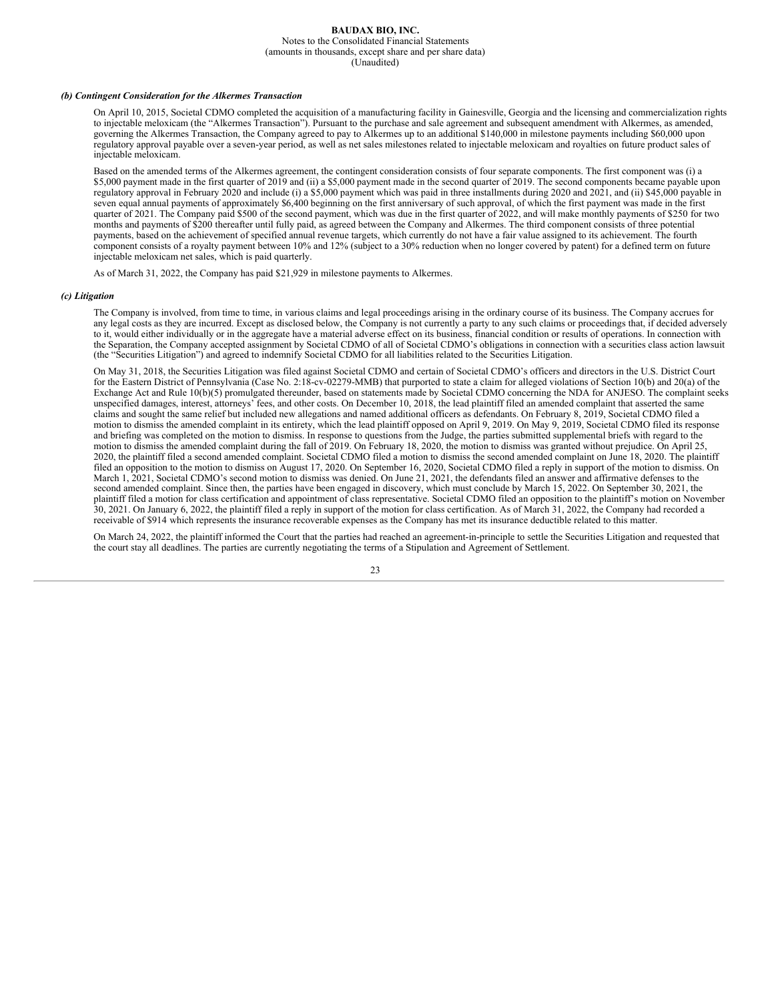#### Notes to the Consolidated Financial Statements (amounts in thousands, except share and per share data) (Unaudited)

#### *(b) Contingent Consideration for the Alkermes Transaction*

On April 10, 2015, Societal CDMO completed the acquisition of a manufacturing facility in Gainesville, Georgia and the licensing and commercialization rights to injectable meloxicam (the "Alkermes Transaction"). Pursuant to the purchase and sale agreement and subsequent amendment with Alkermes, as amended, governing the Alkermes Transaction, the Company agreed to pay to Alkermes up to an additional \$140,000 in milestone payments including \$60,000 upon regulatory approval payable over a seven-year period, as well as net sales milestones related to injectable meloxicam and royalties on future product sales of injectable meloxicam.

Based on the amended terms of the Alkermes agreement, the contingent consideration consists of four separate components. The first component was (i) a \$5,000 payment made in the first quarter of 2019 and (ii) a \$5,000 payment made in the second quarter of 2019. The second components became payable upon regulatory approval in February 2020 and include (i) a \$5,000 payment which was paid in three installments during 2020 and 2021, and (ii) \$45,000 payable in seven equal annual payments of approximately \$6,400 beginning on the first anniversary of such approval, of which the first payment was made in the first quarter of 2021. The Company paid \$500 of the second payment, which was due in the first quarter of 2022, and will make monthly payments of \$250 for two months and payments of \$200 thereafter until fully paid, as agreed between the Company and Alkermes. The third component consists of three potential payments, based on the achievement of specified annual revenue targets, which currently do not have a fair value assigned to its achievement. The fourth component consists of a royalty payment between 10% and 12% (subject to a 30% reduction when no longer covered by patent) for a defined term on future injectable meloxicam net sales, which is paid quarterly.

As of March 31, 2022, the Company has paid \$21,929 in milestone payments to Alkermes.

#### *(c) Litigation*

The Company is involved, from time to time, in various claims and legal proceedings arising in the ordinary course of its business. The Company accrues for any legal costs as they are incurred. Except as disclosed below, the Company is not currently a party to any such claims or proceedings that, if decided adversely to it, would either individually or in the aggregate have a material adverse effect on its business, financial condition or results of operations. In connection with the Separation, the Company accepted assignment by Societal CDMO of all of Societal CDMO's obligations in connection with a securities class action lawsuit (the "Securities Litigation") and agreed to indemnify Societal CDMO for all liabilities related to the Securities Litigation.

On May 31, 2018, the Securities Litigation was filed against Societal CDMO and certain of Societal CDMO's officers and directors in the U.S. District Court for the Eastern District of Pennsylvania (Case No. 2:18-cv-02279-MMB) that purported to state a claim for alleged violations of Section 10(b) and 20(a) of the Exchange Act and Rule 10(b)(5) promulgated thereunder, based on statements made by Societal CDMO concerning the NDA for ANJESO. The complaint seeks unspecified damages, interest, attorneys' fees, and other costs. On December 10, 2018, the lead plaintiff filed an amended complaint that asserted the same claims and sought the same relief but included new allegations and named additional officers as defendants. On February 8, 2019, Societal CDMO filed a motion to dismiss the amended complaint in its entirety, which the lead plaintiff opposed on April 9, 2019. On May 9, 2019, Societal CDMO filed its response and briefing was completed on the motion to dismiss. In response to questions from the Judge, the parties submitted supplemental briefs with regard to the motion to dismiss the amended complaint during the fall of 2019. On February 18, 2020, the motion to dismiss was granted without prejudice. On April 25, 2020, the plaintiff filed a second amended complaint. Societal CDMO filed a motion to dismiss the second amended complaint on June 18, 2020. The plaintiff filed an opposition to the motion to dismiss on August 17, 2020. On September 16, 2020, Societal CDMO filed a reply in support of the motion to dismiss. On March 1, 2021, Societal CDMO's second motion to dismiss was denied. On June 21, 2021, the defendants filed an answer and affirmative defenses to the second amended complaint. Since then, the parties have been engaged in discovery, which must conclude by March 15, 2022. On September 30, 2021, the plaintiff filed a motion for class certification and appointment of class representative. Societal CDMO filed an opposition to the plaintiff's motion on November 30, 2021. On January 6, 2022, the plaintiff filed a reply in support of the motion for class certification. As of March 31, 2022, the Company had recorded a receivable of \$914 which represents the insurance recoverable expenses as the Company has met its insurance deductible related to this matter.

On March 24, 2022, the plaintiff informed the Court that the parties had reached an agreement-in-principle to settle the Securities Litigation and requested that the court stay all deadlines. The parties are currently negotiating the terms of a Stipulation and Agreement of Settlement.

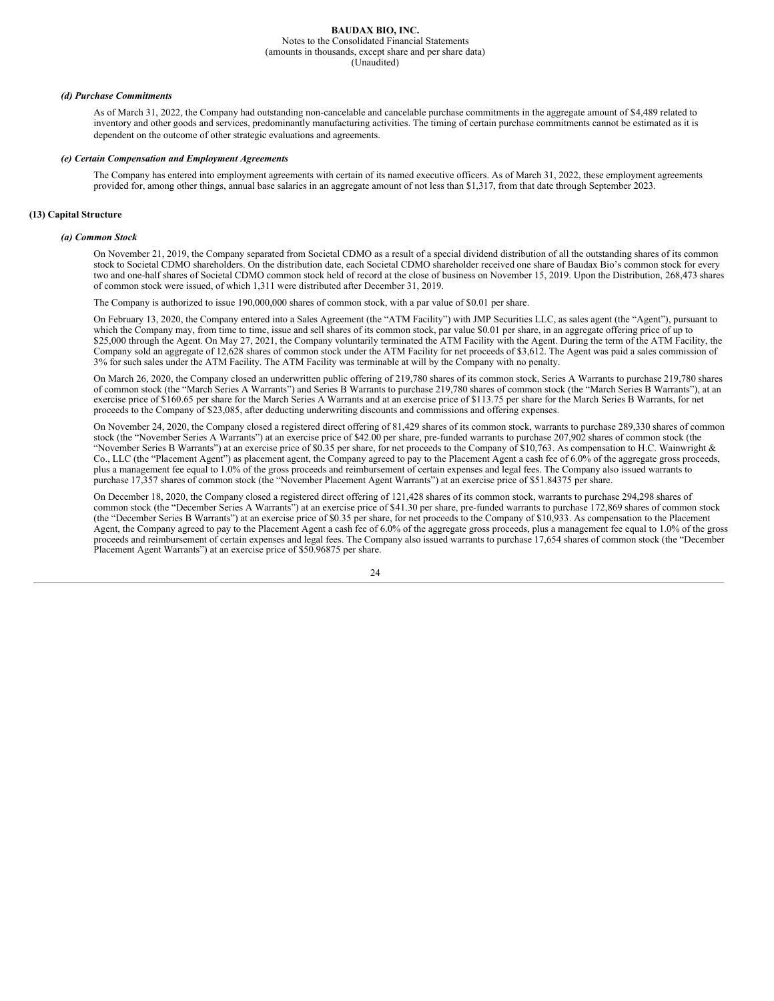#### *(d) Purchase Commitments*

As of March 31, 2022, the Company had outstanding non-cancelable and cancelable purchase commitments in the aggregate amount of \$4,489 related to inventory and other goods and services, predominantly manufacturing activities. The timing of certain purchase commitments cannot be estimated as it is dependent on the outcome of other strategic evaluations and agreements.

#### *(e) Certain Compensation and Employment Agreements*

The Company has entered into employment agreements with certain of its named executive officers. As of March 31, 2022, these employment agreements provided for, among other things, annual base salaries in an aggregate amount of not less than \$1,317, from that date through September 2023.

# **(13) Capital Structure**

# *(a) Common Stock*

On November 21, 2019, the Company separated from Societal CDMO as a result of a special dividend distribution of all the outstanding shares of its common stock to Societal CDMO shareholders. On the distribution date, each Societal CDMO shareholder received one share of Baudax Bio's common stock for every two and one-half shares of Societal CDMO common stock held of record at the close of business on November 15, 2019. Upon the Distribution, 268,473 shares of common stock were issued, of which 1,311 were distributed after December 31, 2019.

The Company is authorized to issue 190,000,000 shares of common stock, with a par value of \$0.01 per share.

On February 13, 2020, the Company entered into a Sales Agreement (the "ATM Facility") with JMP Securities LLC, as sales agent (the "Agent"), pursuant to which the Company may, from time to time, issue and sell shares of its common stock, par value \$0.01 per share, in an aggregate offering price of up to \$25,000 through the Agent. On May 27, 2021, the Company voluntarily terminated the ATM Facility with the Agent. During the term of the ATM Facility, the Company sold an aggregate of 12,628 shares of common stock under the ATM Facility for net proceeds of \$3,612. The Agent was paid a sales commission of 3% for such sales under the ATM Facility. The ATM Facility was terminable at will by the Company with no penalty.

On March 26, 2020, the Company closed an underwritten public offering of 219,780 shares of its common stock, Series A Warrants to purchase 219,780 shares of common stock (the "March Series A Warrants") and Series B Warrants to purchase 219,780 shares of common stock (the "March Series B Warrants"), at an exercise price of \$160.65 per share for the March Series A Warrants and at an exercise price of \$113.75 per share for the March Series B Warrants, for net proceeds to the Company of \$23,085, after deducting underwriting discounts and commissions and offering expenses.

On November 24, 2020, the Company closed a registered direct offering of 81,429 shares of its common stock, warrants to purchase 289,330 shares of common stock (the "November Series A Warrants") at an exercise price of \$42.00 per share, pre-funded warrants to purchase 207,902 shares of common stock (the "November Series B Warrants") at an exercise price of \$0.35 per share, for net proceeds to the Company of \$10,763. As compensation to H.C. Wainwright & Co., LLC (the "Placement Agent") as placement agent, the Company agreed to pay to the Placement Agent a cash fee of 6.0% of the aggregate gross proceeds, plus a management fee equal to 1.0% of the gross proceeds and reimbursement of certain expenses and legal fees. The Company also issued warrants to purchase 17,357 shares of common stock (the "November Placement Agent Warrants") at an exercise price of \$51.84375 per share.

On December 18, 2020, the Company closed a registered direct offering of 121,428 shares of its common stock, warrants to purchase 294,298 shares of common stock (the "December Series A Warrants") at an exercise price of \$41.30 per share, pre-funded warrants to purchase 172,869 shares of common stock (the "December Series B Warrants") at an exercise price of \$0.35 per share, for net proceeds to the Company of \$10,933. As compensation to the Placement Agent, the Company agreed to pay to the Placement Agent a cash fee of 6.0% of the aggregate gross proceeds, plus a management fee equal to 1.0% of the gross proceeds and reimbursement of certain expenses and legal fees. The Company also issued warrants to purchase 17,654 shares of common stock (the "December Placement Agent Warrants") at an exercise price of \$50.96875 per share.

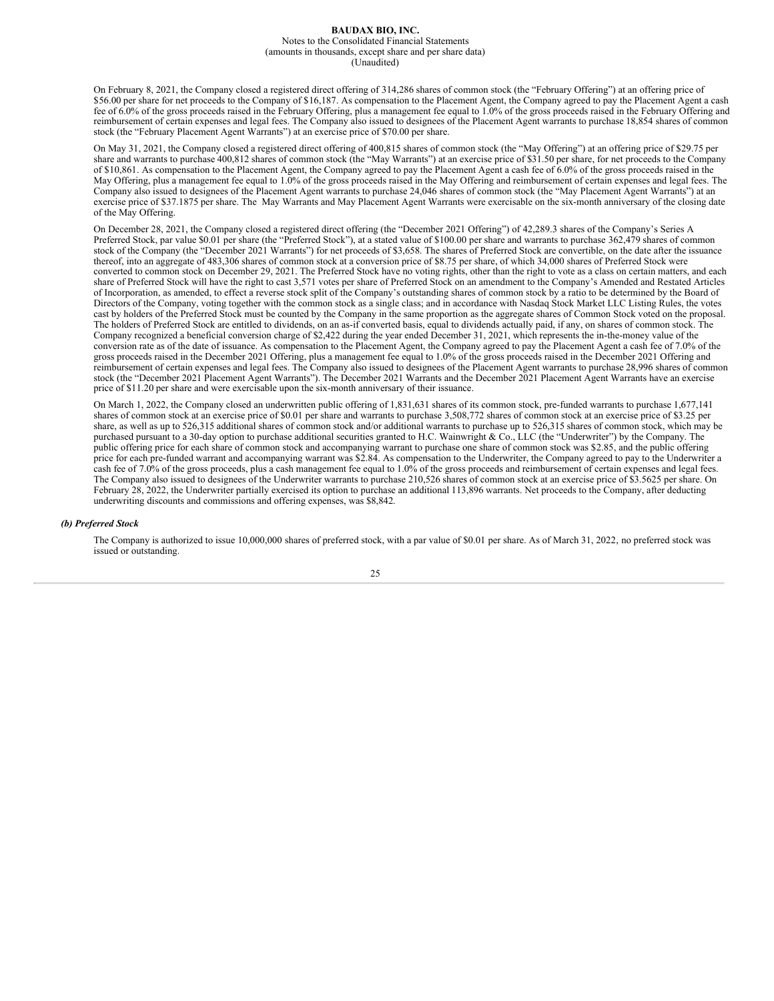#### Notes to the Consolidated Financial Statements (amounts in thousands, except share and per share data) (Unaudited)

On February 8, 2021, the Company closed a registered direct offering of 314,286 shares of common stock (the "February Offering") at an offering price of \$56.00 per share for net proceeds to the Company of \$16,187. As compensation to the Placement Agent, the Company agreed to pay the Placement Agent a cash fee of 6.0% of the gross proceeds raised in the February Offering, plus a management fee equal to 1.0% of the gross proceeds raised in the February Offering and reimbursement of certain expenses and legal fees. The Company also issued to designees of the Placement Agent warrants to purchase 18,854 shares of common stock (the "February Placement Agent Warrants") at an exercise price of \$70.00 per share.

On May 31, 2021, the Company closed a registered direct offering of 400,815 shares of common stock (the "May Offering") at an offering price of \$29.75 per share and warrants to purchase 400,812 shares of common stock (the "May Warrants") at an exercise price of \$31.50 per share, for net proceeds to the Company of \$10,861. As compensation to the Placement Agent, the Company agreed to pay the Placement Agent a cash fee of 6.0% of the gross proceeds raised in the May Offering, plus a management fee equal to 1.0% of the gross proceeds raised in the May Offering and reimbursement of certain expenses and legal fees. The Company also issued to designees of the Placement Agent warrants to purchase 24,046 shares of common stock (the "May Placement Agent Warrants") at an exercise price of \$37.1875 per share. The May Warrants and May Placement Agent Warrants were exercisable on the six-month anniversary of the closing date of the May Offering.

On December 28, 2021, the Company closed a registered direct offering (the "December 2021 Offering") of 42,289.3 shares of the Company's Series A Preferred Stock, par value \$0.01 per share (the "Preferred Stock"), at a stated value of \$100.00 per share and warrants to purchase 362,479 shares of common stock of the Company (the "December 2021 Warrants") for net proceeds of \$3,658. The shares of Preferred Stock are convertible, on the date after the issuance thereof, into an aggregate of 483,306 shares of common stock at a conversion price of \$8.75 per share, of which 34,000 shares of Preferred Stock were converted to common stock on December 29, 2021. The Preferred Stock have no voting rights, other than the right to vote as a class on certain matters, and each share of Preferred Stock will have the right to cast 3,571 votes per share of Preferred Stock on an amendment to the Company's Amended and Restated Articles of Incorporation, as amended, to effect a reverse stock split of the Company's outstanding shares of common stock by a ratio to be determined by the Board of Directors of the Company, voting together with the common stock as a single class; and in accordance with Nasdaq Stock Market LLC Listing Rules, the votes cast by holders of the Preferred Stock must be counted by the Company in the same proportion as the aggregate shares of Common Stock voted on the proposal. The holders of Preferred Stock are entitled to dividends, on an as-if converted basis, equal to dividends actually paid, if any, on shares of common stock. The Company recognized a beneficial conversion charge of \$2,422 during the year ended December 31, 2021, which represents the in-the-money value of the conversion rate as of the date of issuance. As compensation to the Placement Agent, the Company agreed to pay the Placement Agent a cash fee of 7.0% of the gross proceeds raised in the December 2021 Offering, plus a management fee equal to 1.0% of the gross proceeds raised in the December 2021 Offering and reimbursement of certain expenses and legal fees. The Company also issued to designees of the Placement Agent warrants to purchase 28,996 shares of common stock (the "December 2021 Placement Agent Warrants"). The December 2021 Warrants and the December 2021 Placement Agent Warrants have an exercise price of \$11.20 per share and were exercisable upon the six-month anniversary of their issuance.

On March 1, 2022, the Company closed an underwritten public offering of 1,831,631 shares of its common stock, pre-funded warrants to purchase 1,677,141 shares of common stock at an exercise price of \$0.01 per share and warrants to purchase 3,508,772 shares of common stock at an exercise price of \$3.25 per share, as well as up to 526,315 additional shares of common stock and/or additional warrants to purchase up to 526,315 shares of common stock, which may be purchased pursuant to a 30-day option to purchase additional securities granted to H.C. Wainwright & Co., LLC (the "Underwriter") by the Company. The public offering price for each share of common stock and accompanying warrant to purchase one share of common stock was \$2.85, and the public offering price for each pre-funded warrant and accompanying warrant was \$2.84. As compensation to the Underwriter, the Company agreed to pay to the Underwriter a cash fee of 7.0% of the gross proceeds, plus a cash management fee equal to 1.0% of the gross proceeds and reimbursement of certain expenses and legal fees. The Company also issued to designees of the Underwriter warrants to purchase 210,526 shares of common stock at an exercise price of \$3.5625 per share. On February 28, 2022, the Underwriter partially exercised its option to purchase an additional 113,896 warrants. Net proceeds to the Company, after deducting underwriting discounts and commissions and offering expenses, was \$8,842.

#### *(b) Preferred Stock*

The Company is authorized to issue 10,000,000 shares of preferred stock, with a par value of \$0.01 per share. As of March 31, 2022, no preferred stock was issued or outstanding.

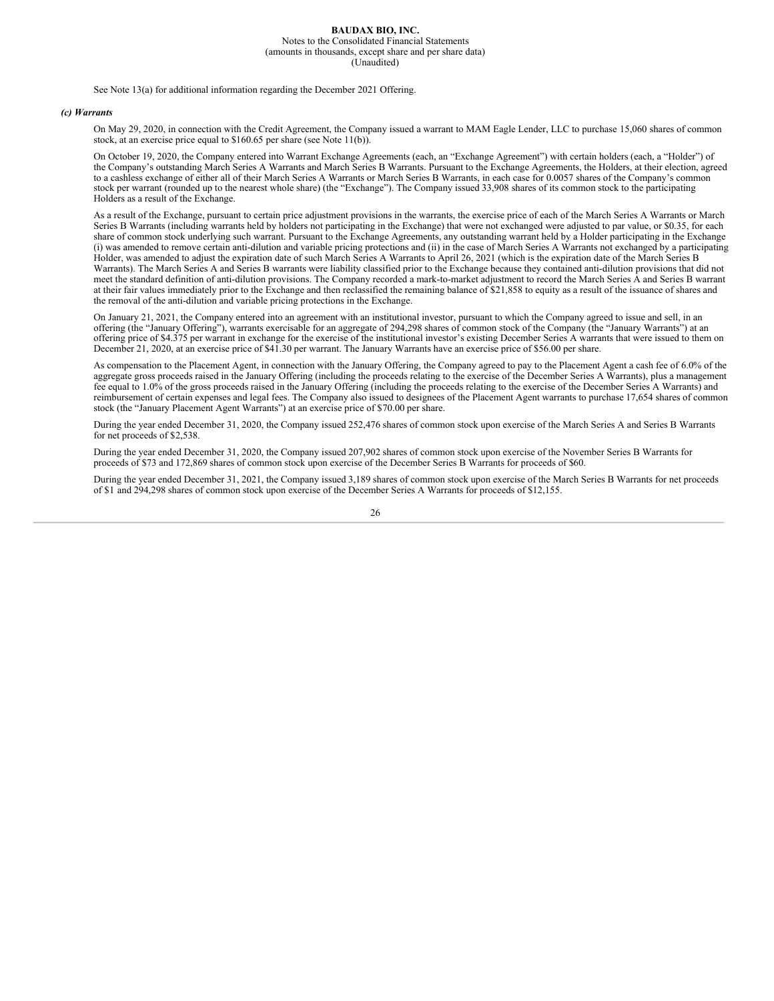Notes to the Consolidated Financial Statements (amounts in thousands, except share and per share data) (Unaudited)

See Note 13(a) for additional information regarding the December 2021 Offering.

#### *(c) Warrants*

On May 29, 2020, in connection with the Credit Agreement, the Company issued a warrant to MAM Eagle Lender, LLC to purchase 15,060 shares of common stock, at an exercise price equal to \$160.65 per share (see Note 11(b)).

On October 19, 2020, the Company entered into Warrant Exchange Agreements (each, an "Exchange Agreement") with certain holders (each, a "Holder") of the Company's outstanding March Series A Warrants and March Series B Warrants. Pursuant to the Exchange Agreements, the Holders, at their election, agreed to a cashless exchange of either all of their March Series A Warrants or March Series B Warrants, in each case for 0.0057 shares of the Company's common stock per warrant (rounded up to the nearest whole share) (the "Exchange"). The Company issued 33,908 shares of its common stock to the participating Holders as a result of the Exchange.

As a result of the Exchange, pursuant to certain price adjustment provisions in the warrants, the exercise price of each of the March Series A Warrants or March Series B Warrants (including warrants held by holders not participating in the Exchange) that were not exchanged were adjusted to par value, or \$0.35, for each share of common stock underlying such warrant. Pursuant to the Exchange Agreements, any outstanding warrant held by a Holder participating in the Exchange (i) was amended to remove certain anti-dilution and variable pricing protections and (ii) in the case of March Series A Warrants not exchanged by a participating Holder, was amended to adjust the expiration date of such March Series A Warrants to April 26, 2021 (which is the expiration date of the March Series B Warrants). The March Series A and Series B warrants were liability classified prior to the Exchange because they contained anti-dilution provisions that did not meet the standard definition of anti-dilution provisions. The Company recorded a mark-to-market adjustment to record the March Series A and Series B warrant at their fair values immediately prior to the Exchange and then reclassified the remaining balance of \$21,858 to equity as a result of the issuance of shares and the removal of the anti-dilution and variable pricing protections in the Exchange.

On January 21, 2021, the Company entered into an agreement with an institutional investor, pursuant to which the Company agreed to issue and sell, in an offering (the "January Offering"), warrants exercisable for an aggregate of 294,298 shares of common stock of the Company (the "January Warrants") at an offering price of \$4.375 per warrant in exchange for the exercise of the institutional investor's existing December Series A warrants that were issued to them on December 21, 2020, at an exercise price of \$41.30 per warrant. The January Warrants have an exercise price of \$56.00 per share.

As compensation to the Placement Agent, in connection with the January Offering, the Company agreed to pay to the Placement Agent a cash fee of 6.0% of the aggregate gross proceeds raised in the January Offering (including the proceeds relating to the exercise of the December Series A Warrants), plus a management fee equal to 1.0% of the gross proceeds raised in the January Offering (including the proceeds relating to the exercise of the December Series A Warrants) and reimbursement of certain expenses and legal fees. The Company also issued to designees of the Placement Agent warrants to purchase 17,654 shares of common stock (the "January Placement Agent Warrants") at an exercise price of \$70.00 per share.

During the year ended December 31, 2020, the Company issued 252,476 shares of common stock upon exercise of the March Series A and Series B Warrants for net proceeds of \$2,538.

During the year ended December 31, 2020, the Company issued 207,902 shares of common stock upon exercise of the November Series B Warrants for proceeds of \$73 and 172,869 shares of common stock upon exercise of the December Series B Warrants for proceeds of \$60.

During the year ended December 31, 2021, the Company issued 3,189 shares of common stock upon exercise of the March Series B Warrants for net proceeds of \$1 and 294,298 shares of common stock upon exercise of the December Series A Warrants for proceeds of \$12,155.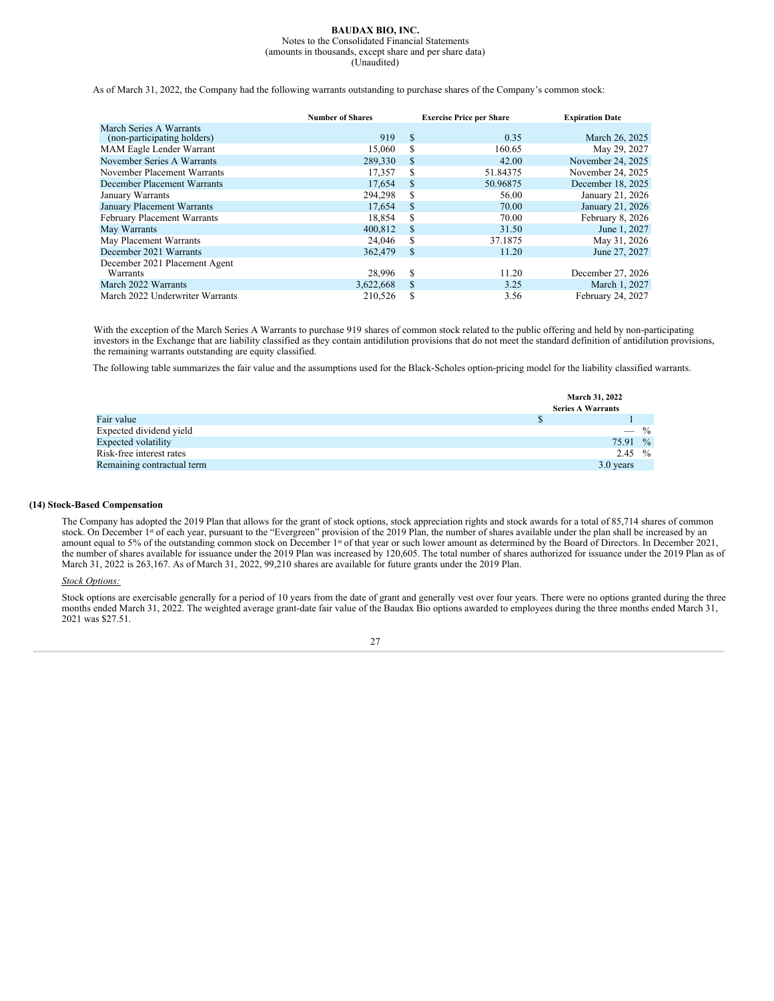As of March 31, 2022, the Company had the following warrants outstanding to purchase shares of the Company's common stock:

|                                                        | <b>Number of Shares</b> |    | <b>Exercise Price per Share</b> | <b>Expiration Date</b> |
|--------------------------------------------------------|-------------------------|----|---------------------------------|------------------------|
| March Series A Warrants<br>(non-participating holders) | 919                     | \$ | 0.35                            | March 26, 2025         |
| MAM Eagle Lender Warrant                               | 15,060                  | \$ | 160.65                          | May 29, 2027           |
| November Series A Warrants                             | 289,330                 | S  | 42.00                           | November 24, 2025      |
| November Placement Warrants                            | 17.357                  | \$ | 51.84375                        | November 24, 2025      |
| December Placement Warrants                            | 17,654                  | \$ | 50.96875                        | December 18, 2025      |
| January Warrants                                       | 294.298                 | \$ | 56.00                           | January 21, 2026       |
| <b>January Placement Warrants</b>                      | 17,654                  | S  | 70.00                           | January 21, 2026       |
| February Placement Warrants                            | 18,854                  | \$ | 70.00                           | February 8, 2026       |
| May Warrants                                           | 400,812                 | S  | 31.50                           | June 1, 2027           |
| May Placement Warrants                                 | 24,046                  | S  | 37.1875                         | May 31, 2026           |
| December 2021 Warrants                                 | 362,479                 | \$ | 11.20                           | June 27, 2027          |
| December 2021 Placement Agent<br>Warrants              | 28,996                  | S  | 11.20                           | December 27, 2026      |
| March 2022 Warrants                                    | 3,622,668               | \$ | 3.25                            | March 1, 2027          |
| March 2022 Underwriter Warrants                        | 210,526                 | \$ | 3.56                            | February 24, 2027      |

With the exception of the March Series A Warrants to purchase 919 shares of common stock related to the public offering and held by non-participating investors in the Exchange that are liability classified as they contain antidilution provisions that do not meet the standard definition of antidilution provisions, the remaining warrants outstanding are equity classified.

The following table summarizes the fair value and the assumptions used for the Black-Scholes option-pricing model for the liability classified warrants.

|                            | March 31, 2022 |                                           |  |
|----------------------------|----------------|-------------------------------------------|--|
|                            |                | <b>Series A Warrants</b>                  |  |
| Fair value                 |                |                                           |  |
| Expected dividend yield    |                | $\frac{0}{0}$<br>$\overline{\phantom{a}}$ |  |
| Expected volatility        |                | 75.91 %                                   |  |
| Risk-free interest rates   |                | 2.45 $\%$                                 |  |
| Remaining contractual term |                | 3.0 years                                 |  |

# **(14) Stock-Based Compensation**

The Company has adopted the 2019 Plan that allows for the grant of stock options, stock appreciation rights and stock awards for a total of 85,714 shares of common stock. On December 1st of each year, pursuant to the "Evergreen" provision of the 2019 Plan, the number of shares available under the plan shall be increased by an amount equal to 5% of the outstanding common stock on December 1<sup>st</sup> of that year or such lower amount as determined by the Board of Directors. In December 2021, the number of shares available for issuance under the 2019 Plan was increased by 120,605. The total number of shares authorized for issuance under the 2019 Plan as of March 31, 2022 is 263,167. As of March 31, 2022, 99,210 shares are available for future grants under the 2019 Plan.

#### *Stock Options:*

Stock options are exercisable generally for a period of 10 years from the date of grant and generally vest over four years. There were no options granted during the three months ended March 31, 2022. The weighted average grant-date fair value of the Baudax Bio options awarded to employees during the three months ended March 31, 2021 was \$27.51.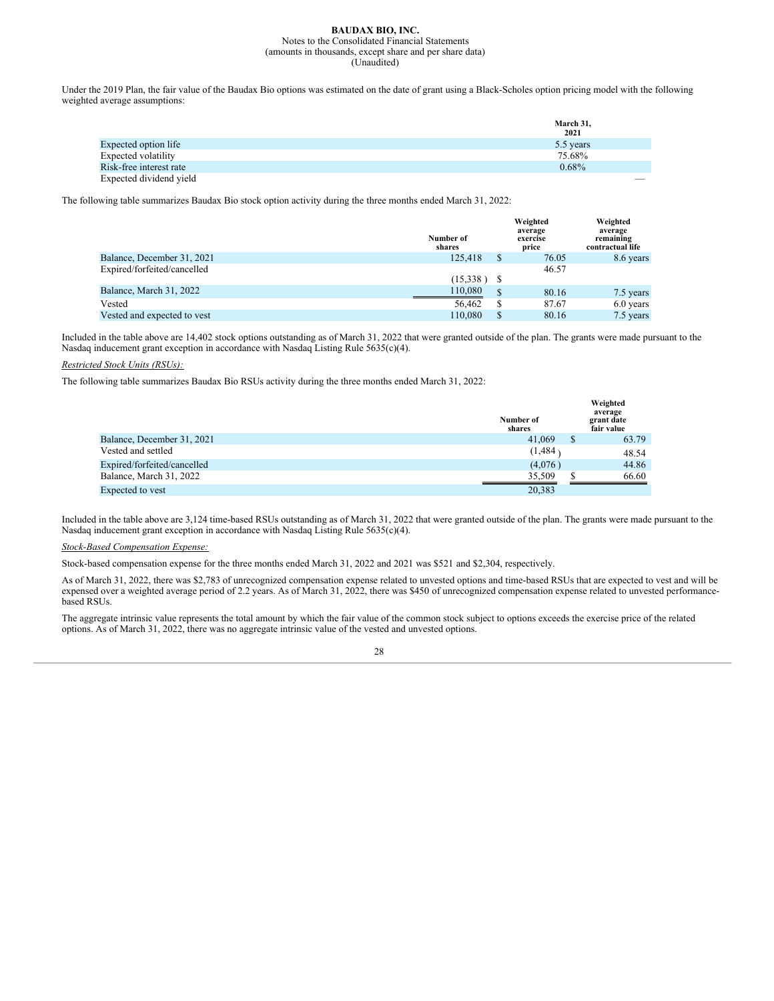Under the 2019 Plan, the fair value of the Baudax Bio options was estimated on the date of grant using a Black-Scholes option pricing model with the following weighted average assumptions:

|                         | March 31,<br>2021 |
|-------------------------|-------------------|
| Expected option life    | 5.5 years         |
| Expected volatility     | 75.68%            |
| Risk-free interest rate | $0.68\%$          |
| Expected dividend yield |                   |

The following table summarizes Baudax Bio stock option activity during the three months ended March 31, 2022:

|                             | Number of<br>shares |               | Weighted<br>average<br>exercise<br>price | Weighted<br>average<br>remaining<br>contractual life |
|-----------------------------|---------------------|---------------|------------------------------------------|------------------------------------------------------|
| Balance, December 31, 2021  | 125.418             | <sup>\$</sup> | 76.05                                    | 8.6 years                                            |
| Expired/forfeited/cancelled |                     |               | 46.57                                    |                                                      |
|                             | (15,338)            | - \$          |                                          |                                                      |
| Balance, March 31, 2022     | 110,080             | $\mathbf{s}$  | 80.16                                    | 7.5 years                                            |
| Vested                      | 56,462              | S             | 87.67                                    | 6.0 years                                            |
| Vested and expected to vest | 110,080             | <sup>\$</sup> | 80.16                                    | 7.5 years                                            |

Included in the table above are 14,402 stock options outstanding as of March 31, 2022 that were granted outside of the plan. The grants were made pursuant to the Nasdaq inducement grant exception in accordance with Nasdaq Listing Rule 5635(c)(4).

# *Restricted Stock Units (RSUs):*

The following table summarizes Baudax Bio RSUs activity during the three months ended March 31, 2022:

|                             | Number of<br>shares | Weighted<br>average<br>grant date<br>fair value |
|-----------------------------|---------------------|-------------------------------------------------|
| Balance, December 31, 2021  | 41,069              | 63.79<br>S                                      |
| Vested and settled          | (1,484)             | 48.54                                           |
| Expired/forfeited/cancelled | (4,076)             | 44.86                                           |
| Balance, March 31, 2022     | 35,509              | 66.60                                           |
| Expected to vest            | 20.383              |                                                 |

Included in the table above are 3,124 time-based RSUs outstanding as of March 31, 2022 that were granted outside of the plan. The grants were made pursuant to the Nasdaq inducement grant exception in accordance with Nasdaq Listing Rule 5635(c)(4).

# *Stock-Based Compensation Expense:*

Stock-based compensation expense for the three months ended March 31, 2022 and 2021 was \$521 and \$2,304, respectively.

As of March 31, 2022, there was \$2,783 of unrecognized compensation expense related to unvested options and time-based RSUs that are expected to vest and will be expensed over a weighted average period of 2.2 years. As of March 31, 2022, there was \$450 of unrecognized compensation expense related to unvested performancebased RSUs.

The aggregate intrinsic value represents the total amount by which the fair value of the common stock subject to options exceeds the exercise price of the related options. As of March 31, 2022, there was no aggregate intrinsic value of the vested and unvested options.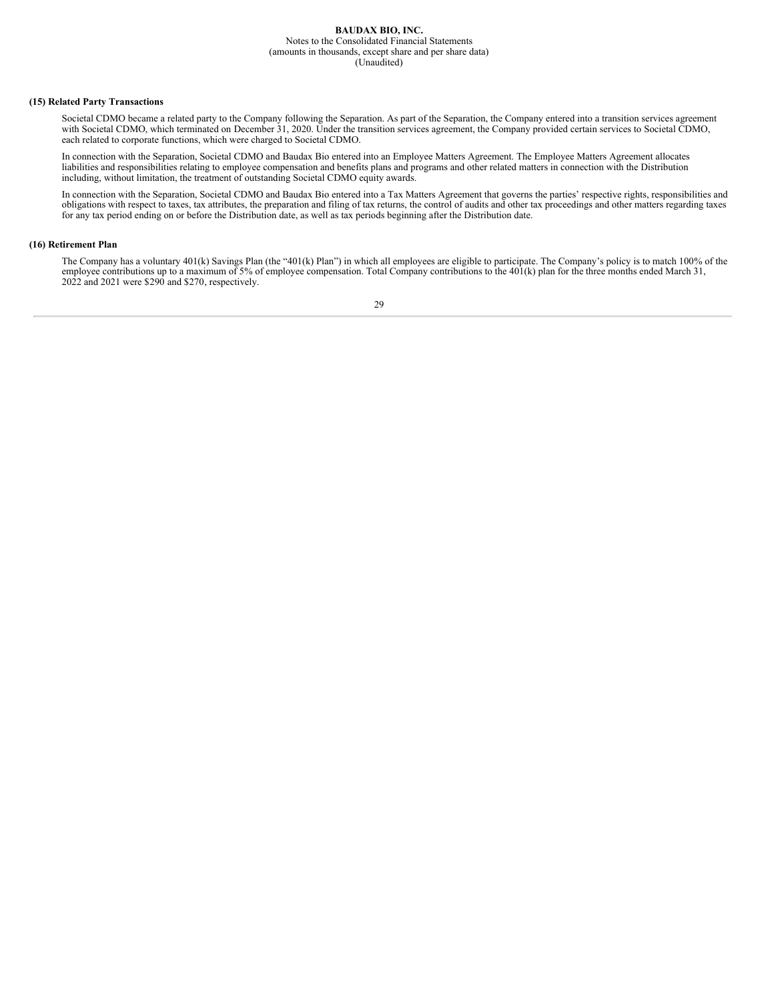# **(15) Related Party Transactions**

Societal CDMO became a related party to the Company following the Separation. As part of the Separation, the Company entered into a transition services agreement with Societal CDMO, which terminated on December 31, 2020. Under the transition services agreement, the Company provided certain services to Societal CDMO, each related to corporate functions, which were charged to Societal CDMO.

In connection with the Separation, Societal CDMO and Baudax Bio entered into an Employee Matters Agreement. The Employee Matters Agreement allocates liabilities and responsibilities relating to employee compensation and benefits plans and programs and other related matters in connection with the Distribution including, without limitation, the treatment of outstanding Societal CDMO equity awards.

In connection with the Separation, Societal CDMO and Baudax Bio entered into a Tax Matters Agreement that governs the parties' respective rights, responsibilities and obligations with respect to taxes, tax attributes, the preparation and filing of tax returns, the control of audits and other tax proceedings and other matters regarding taxes for any tax period ending on or before the Distribution date, as well as tax periods beginning after the Distribution date.

#### **(16) Retirement Plan**

The Company has a voluntary 401(k) Savings Plan (the "401(k) Plan") in which all employees are eligible to participate. The Company's policy is to match 100% of the employee contributions up to a maximum of 5% of employee compensation. Total Company contributions to the 401(k) plan for the three months ended March 31, 2022 and 2021 were \$290 and \$270, respectively.

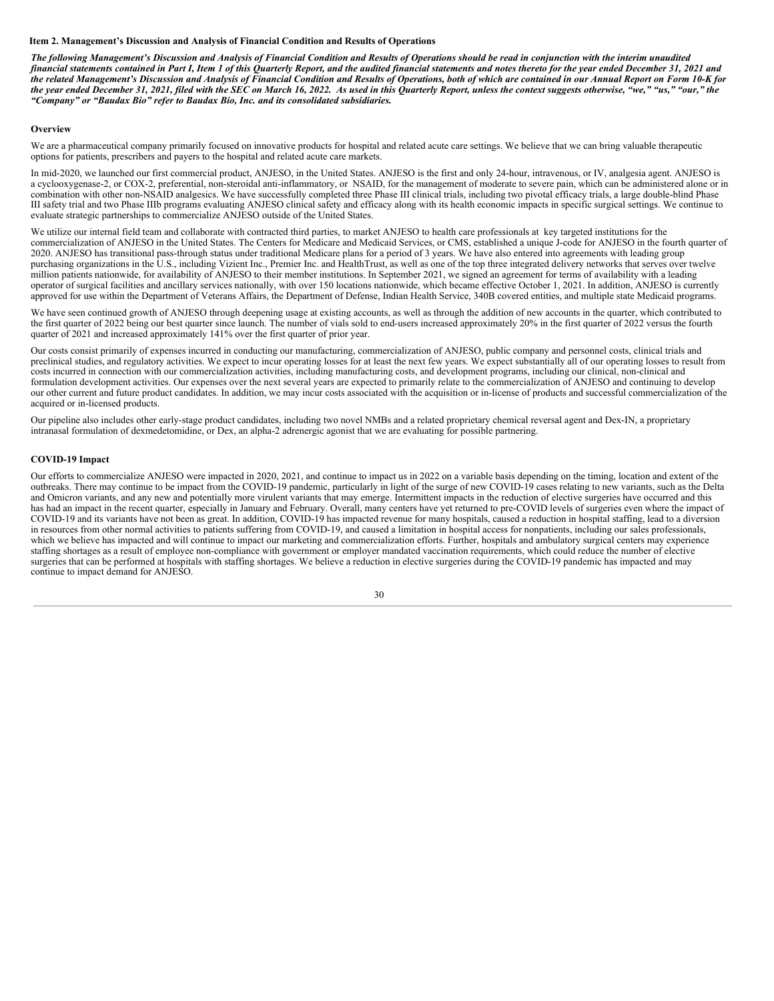#### <span id="page-29-0"></span>**Item 2. Management's Discussion and Analysis of Financial Condition and Results of Operations**

The following Management's Discussion and Analysis of Financial Condition and Results of Operations should be read in conjunction with the interim unaudited financial statements contained in Part I, Item 1 of this Quarterly Report, and the audited financial statements and notes thereto for the year ended December 31, 2021 and the related Management's Discussion and Analysis of Financial Condition and Results of Operations, both of which are contained in our Annual Report on Form 10-K for the year ended December 31, 2021, filed with the SEC on March 16, 2022. As used in this Quarterly Report, unless the context suggests otherwise, "we," "us," "our," the *"Company" or "Baudax Bio" refer to Baudax Bio, Inc. and its consolidated subsidiaries.*

#### **Overview**

We are a pharmaceutical company primarily focused on innovative products for hospital and related acute care settings. We believe that we can bring valuable therapeutic options for patients, prescribers and payers to the hospital and related acute care markets.

In mid-2020, we launched our first commercial product, ANJESO, in the United States. ANJESO is the first and only 24-hour, intravenous, or IV, analgesia agent. ANJESO is a cyclooxygenase-2, or COX-2, preferential, non-steroidal anti-inflammatory, or NSAID, for the management of moderate to severe pain, which can be administered alone or in combination with other non-NSAID analgesics. We have successfully completed three Phase III clinical trials, including two pivotal efficacy trials, a large double-blind Phase III safety trial and two Phase IIIb programs evaluating ANJESO clinical safety and efficacy along with its health economic impacts in specific surgical settings. We continue to evaluate strategic partnerships to commercialize ANJESO outside of the United States.

We utilize our internal field team and collaborate with contracted third parties, to market ANJESO to health care professionals at key targeted institutions for the commercialization of ANJESO in the United States. The Centers for Medicare and Medicaid Services, or CMS, established a unique J-code for ANJESO in the fourth quarter of 2020. ANJESO has transitional pass-through status under traditional Medicare plans for a period of 3 years. We have also entered into agreements with leading group purchasing organizations in the U.S., including Vizient Inc., Premier Inc. and HealthTrust, as well as one of the top three integrated delivery networks that serves over twelve million patients nationwide, for availability of ANJESO to their member institutions. In September 2021, we signed an agreement for terms of availability with a leading operator of surgical facilities and ancillary services nationally, with over 150 locations nationwide, which became effective October 1, 2021. In addition, ANJESO is currently approved for use within the Department of Veterans Affairs, the Department of Defense, Indian Health Service, 340B covered entities, and multiple state Medicaid programs.

We have seen continued growth of ANJESO through deepening usage at existing accounts, as well as through the addition of new accounts in the quarter, which contributed to the first quarter of 2022 being our best quarter since launch. The number of vials sold to end-users increased approximately 20% in the first quarter of 2022 versus the fourth quarter of 2021 and increased approximately 141% over the first quarter of prior year.

Our costs consist primarily of expenses incurred in conducting our manufacturing, commercialization of ANJESO, public company and personnel costs, clinical trials and preclinical studies, and regulatory activities. We expect to incur operating losses for at least the next few years. We expect substantially all of our operating losses to result from costs incurred in connection with our commercialization activities, including manufacturing costs, and development programs, including our clinical, non-clinical and formulation development activities. Our expenses over the next several years are expected to primarily relate to the commercialization of ANJESO and continuing to develop our other current and future product candidates. In addition, we may incur costs associated with the acquisition or in-license of products and successful commercialization of the acquired or in-licensed products.

Our pipeline also includes other early-stage product candidates, including two novel NMBs and a related proprietary chemical reversal agent and Dex-IN, a proprietary intranasal formulation of dexmedetomidine, or Dex, an alpha-2 adrenergic agonist that we are evaluating for possible partnering.

#### **COVID-19 Impact**

Our efforts to commercialize ANJESO were impacted in 2020, 2021, and continue to impact us in 2022 on a variable basis depending on the timing, location and extent of the outbreaks. There may continue to be impact from the COVID-19 pandemic, particularly in light of the surge of new COVID-19 cases relating to new variants, such as the Delta and Omicron variants, and any new and potentially more virulent variants that may emerge. Intermittent impacts in the reduction of elective surgeries have occurred and this has had an impact in the recent quarter, especially in January and February. Overall, many centers have yet returned to pre-COVID levels of surgeries even where the impact of COVID-19 and its variants have not been as great. In addition, COVID-19 has impacted revenue for many hospitals, caused a reduction in hospital staffing, lead to a diversion in resources from other normal activities to patients suffering from COVID-19, and caused a limitation in hospital access for nonpatients, including our sales professionals, which we believe has impacted and will continue to impact our marketing and commercialization efforts. Further, hospitals and ambulatory surgical centers may experience staffing shortages as a result of employee non-compliance with government or employer mandated vaccination requirements, which could reduce the number of elective surgeries that can be performed at hospitals with staffing shortages. We believe a reduction in elective surgeries during the COVID-19 pandemic has impacted and may continue to impact demand for ANJESO.

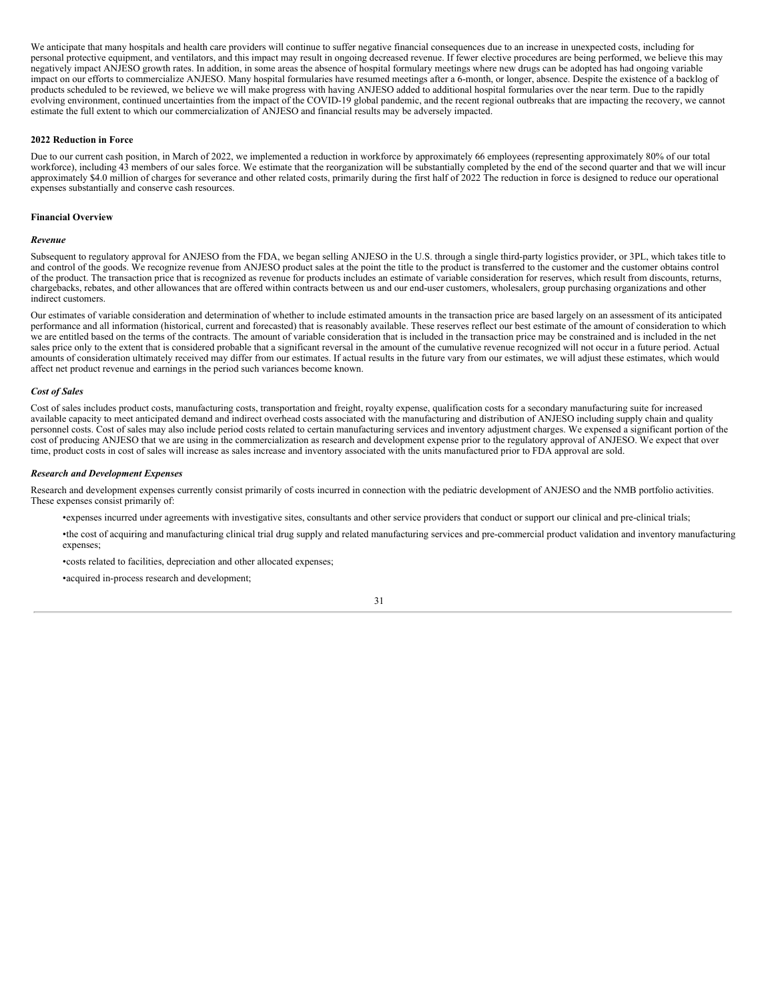We anticipate that many hospitals and health care providers will continue to suffer negative financial consequences due to an increase in unexpected costs, including for personal protective equipment, and ventilators, and this impact may result in ongoing decreased revenue. If fewer elective procedures are being performed, we believe this may negatively impact ANJESO growth rates. In addition, in some areas the absence of hospital formulary meetings where new drugs can be adopted has had ongoing variable impact on our efforts to commercialize ANJESO. Many hospital formularies have resumed meetings after a 6-month, or longer, absence. Despite the existence of a backlog of products scheduled to be reviewed, we believe we will make progress with having ANJESO added to additional hospital formularies over the near term. Due to the rapidly evolving environment, continued uncertainties from the impact of the COVID-19 global pandemic, and the recent regional outbreaks that are impacting the recovery, we cannot estimate the full extent to which our commercialization of ANJESO and financial results may be adversely impacted.

#### **2022 Reduction in Force**

Due to our current cash position, in March of 2022, we implemented a reduction in workforce by approximately 66 employees (representing approximately 80% of our total workforce), including 43 members of our sales force. We estimate that the reorganization will be substantially completed by the end of the second quarter and that we will incur approximately \$4.0 million of charges for severance and other related costs, primarily during the first half of 2022 The reduction in force is designed to reduce our operational expenses substantially and conserve cash resources.

#### **Financial Overview**

#### *Revenue*

Subsequent to regulatory approval for ANJESO from the FDA, we began selling ANJESO in the U.S. through a single third-party logistics provider, or 3PL, which takes title to and control of the goods. We recognize revenue from ANJESO product sales at the point the title to the product is transferred to the customer and the customer obtains control of the product. The transaction price that is recognized as revenue for products includes an estimate of variable consideration for reserves, which result from discounts, returns, chargebacks, rebates, and other allowances that are offered within contracts between us and our end-user customers, wholesalers, group purchasing organizations and other indirect customers.

Our estimates of variable consideration and determination of whether to include estimated amounts in the transaction price are based largely on an assessment of its anticipated performance and all information (historical, current and forecasted) that is reasonably available. These reserves reflect our best estimate of the amount of consideration to which we are entitled based on the terms of the contracts. The amount of variable consideration that is included in the transaction price may be constrained and is included in the net sales price only to the extent that is considered probable that a significant reversal in the amount of the cumulative revenue recognized will not occur in a future period. Actual amounts of consideration ultimately received may differ from our estimates. If actual results in the future vary from our estimates, we will adjust these estimates, which would affect net product revenue and earnings in the period such variances become known.

#### *Cost of Sales*

Cost of sales includes product costs, manufacturing costs, transportation and freight, royalty expense, qualification costs for a secondary manufacturing suite for increased available capacity to meet anticipated demand and indirect overhead costs associated with the manufacturing and distribution of ANJESO including supply chain and quality personnel costs. Cost of sales may also include period costs related to certain manufacturing services and inventory adjustment charges. We expensed a significant portion of the cost of producing ANJESO that we are using in the commercialization as research and development expense prior to the regulatory approval of ANJESO. We expect that over time, product costs in cost of sales will increase as sales increase and inventory associated with the units manufactured prior to FDA approval are sold.

#### *Research and Development Expenses*

Research and development expenses currently consist primarily of costs incurred in connection with the pediatric development of ANJESO and the NMB portfolio activities. These expenses consist primarily of:

•expenses incurred under agreements with investigative sites, consultants and other service providers that conduct or support our clinical and pre-clinical trials;

•the cost of acquiring and manufacturing clinical trial drug supply and related manufacturing services and pre-commercial product validation and inventory manufacturing expenses;

•costs related to facilities, depreciation and other allocated expenses;

•acquired in-process research and development;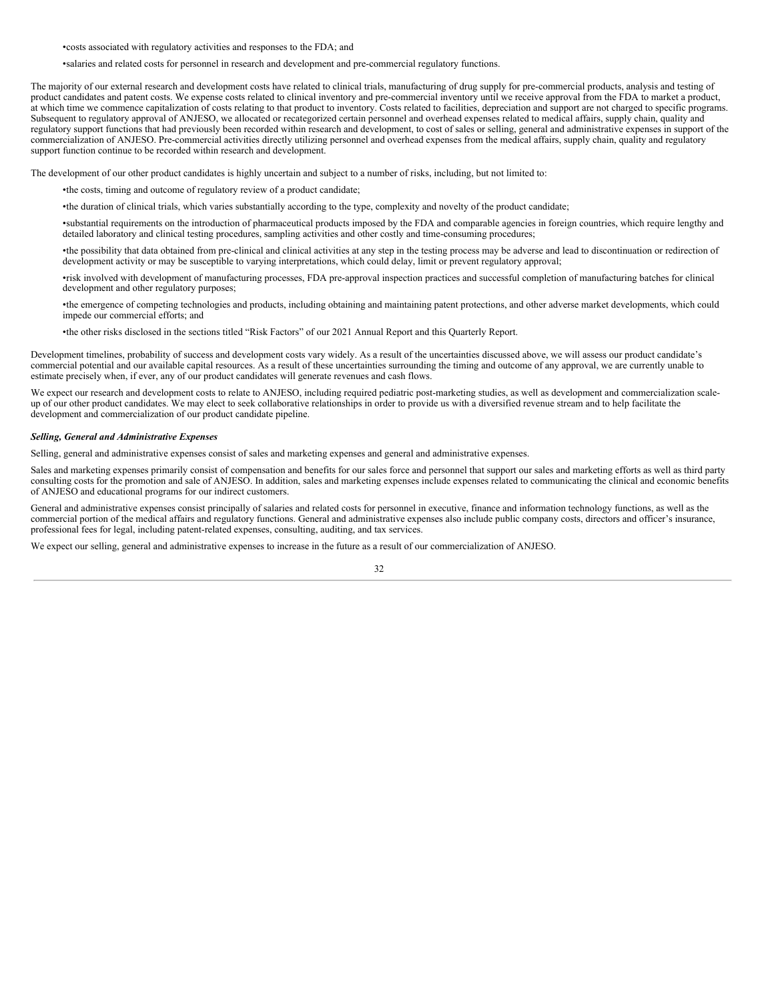•costs associated with regulatory activities and responses to the FDA; and

•salaries and related costs for personnel in research and development and pre-commercial regulatory functions.

The majority of our external research and development costs have related to clinical trials, manufacturing of drug supply for pre-commercial products, analysis and testing of product candidates and patent costs. We expense costs related to clinical inventory and pre-commercial inventory until we receive approval from the FDA to market a product, at which time we commence capitalization of costs relating to that product to inventory. Costs related to facilities, depreciation and support are not charged to specific programs. Subsequent to regulatory approval of ANJESO, we allocated or recategorized certain personnel and overhead expenses related to medical affairs, supply chain, quality and regulatory support functions that had previously been recorded within research and development, to cost of sales or selling, general and administrative expenses in support of the commercialization of ANJESO. Pre-commercial activities directly utilizing personnel and overhead expenses from the medical affairs, supply chain, quality and regulatory support function continue to be recorded within research and development.

The development of our other product candidates is highly uncertain and subject to a number of risks, including, but not limited to:

•the costs, timing and outcome of regulatory review of a product candidate;

•the duration of clinical trials, which varies substantially according to the type, complexity and novelty of the product candidate;

•substantial requirements on the introduction of pharmaceutical products imposed by the FDA and comparable agencies in foreign countries, which require lengthy and detailed laboratory and clinical testing procedures, sampling activities and other costly and time-consuming procedures;

•the possibility that data obtained from pre-clinical and clinical activities at any step in the testing process may be adverse and lead to discontinuation or redirection of development activity or may be susceptible to varying interpretations, which could delay, limit or prevent regulatory approval;

•risk involved with development of manufacturing processes, FDA pre-approval inspection practices and successful completion of manufacturing batches for clinical development and other regulatory purposes;

•the emergence of competing technologies and products, including obtaining and maintaining patent protections, and other adverse market developments, which could impede our commercial efforts; and

•the other risks disclosed in the sections titled "Risk Factors" of our 2021 Annual Report and this Quarterly Report.

Development timelines, probability of success and development costs vary widely. As a result of the uncertainties discussed above, we will assess our product candidate's commercial potential and our available capital resources. As a result of these uncertainties surrounding the timing and outcome of any approval, we are currently unable to estimate precisely when, if ever, any of our product candidates will generate revenues and cash flows.

We expect our research and development costs to relate to ANJESO, including required pediatric post-marketing studies, as well as development and commercialization scaleup of our other product candidates. We may elect to seek collaborative relationships in order to provide us with a diversified revenue stream and to help facilitate the development and commercialization of our product candidate pipeline.

# *Selling, General and Administrative Expenses*

Selling, general and administrative expenses consist of sales and marketing expenses and general and administrative expenses.

Sales and marketing expenses primarily consist of compensation and benefits for our sales force and personnel that support our sales and marketing efforts as well as third party consulting costs for the promotion and sale of ANJESO. In addition, sales and marketing expenses include expenses related to communicating the clinical and economic benefits of ANJESO and educational programs for our indirect customers.

General and administrative expenses consist principally of salaries and related costs for personnel in executive, finance and information technology functions, as well as the commercial portion of the medical affairs and regulatory functions. General and administrative expenses also include public company costs, directors and officer's insurance, professional fees for legal, including patent-related expenses, consulting, auditing, and tax services.

We expect our selling, general and administrative expenses to increase in the future as a result of our commercialization of ANJESO.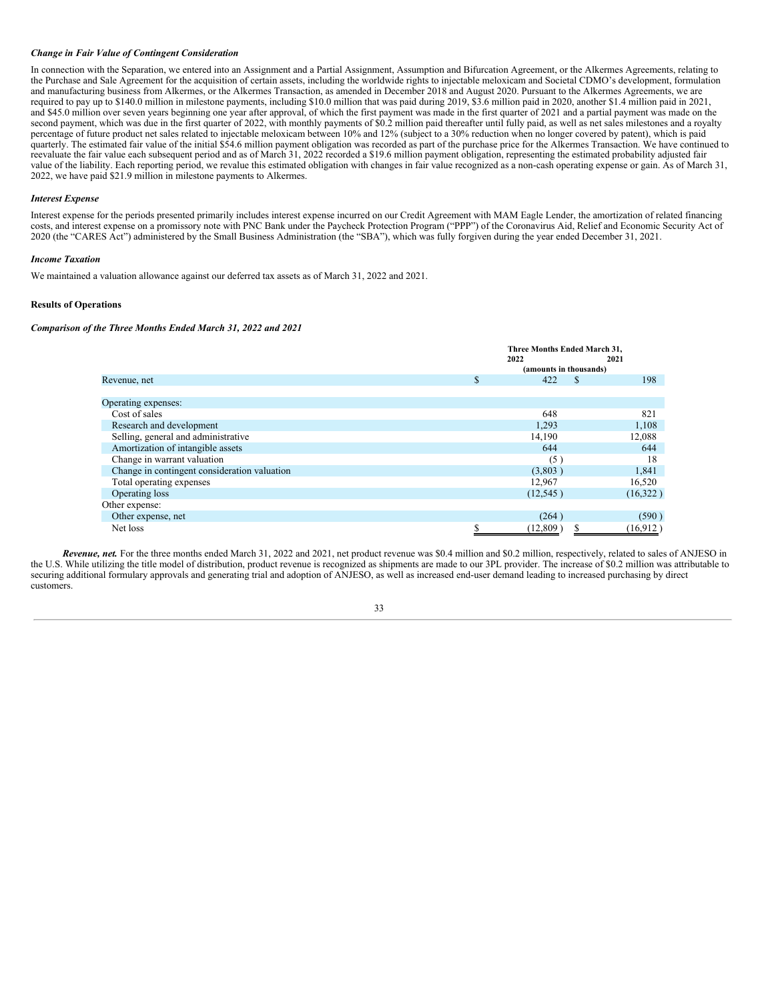# *Change in Fair Value of Contingent Consideration*

In connection with the Separation, we entered into an Assignment and a Partial Assignment, Assumption and Bifurcation Agreement, or the Alkermes Agreements, relating to the Purchase and Sale Agreement for the acquisition of certain assets, including the worldwide rights to injectable meloxicam and Societal CDMO's development, formulation and manufacturing business from Alkermes, or the Alkermes Transaction, as amended in December 2018 and August 2020. Pursuant to the Alkermes Agreements, we are required to pay up to \$140.0 million in milestone payments, including \$10.0 million that was paid during 2019, \$3.6 million paid in 2020, another \$1.4 million paid in 2021, and \$45.0 million over seven years beginning one year after approval, of which the first payment was made in the first quarter of 2021 and a partial payment was made on the second payment, which was due in the first quarter of 2022, with monthly payments of \$0.2 million paid thereafter until fully paid, as well as net sales milestones and a royalty percentage of future product net sales related to injectable meloxicam between 10% and 12% (subject to a 30% reduction when no longer covered by patent), which is paid quarterly. The estimated fair value of the initial \$54.6 million payment obligation was recorded as part of the purchase price for the Alkermes Transaction. We have continued to reevaluate the fair value each subsequent period and as of March 31, 2022 recorded a \$19.6 million payment obligation, representing the estimated probability adjusted fair value of the liability. Each reporting period, we revalue this estimated obligation with changes in fair value recognized as a non-cash operating expense or gain. As of March 31, 2022, we have paid \$21.9 million in milestone payments to Alkermes.

#### *Interest Expense*

Interest expense for the periods presented primarily includes interest expense incurred on our Credit Agreement with MAM Eagle Lender, the amortization of related financing costs, and interest expense on a promissory note with PNC Bank under the Paycheck Protection Program ("PPP") of the Coronavirus Aid, Relief and Economic Security Act of 2020 (the "CARES Act") administered by the Small Business Administration (the "SBA"), which was fully forgiven during the year ended December 31, 2021.

#### *Income Taxation*

We maintained a valuation allowance against our deferred tax assets as of March 31, 2022 and 2021.

#### **Results of Operations**

#### *Comparison of the Three Months Ended March 31, 2022 and 2021*

|                                              | Three Months Ended March 31, |                        |   |          |
|----------------------------------------------|------------------------------|------------------------|---|----------|
|                                              |                              | 2022                   |   | 2021     |
|                                              |                              | (amounts in thousands) |   |          |
| Revenue, net                                 | \$                           | 422                    | S | 198      |
|                                              |                              |                        |   |          |
| Operating expenses:                          |                              |                        |   |          |
| Cost of sales                                |                              | 648                    |   | 821      |
| Research and development                     |                              | 1,293                  |   | 1,108    |
| Selling, general and administrative          |                              | 14,190                 |   | 12,088   |
| Amortization of intangible assets            |                              | 644                    |   | 644      |
| Change in warrant valuation                  |                              | (5)                    |   | 18       |
| Change in contingent consideration valuation |                              | (3,803)                |   | 1,841    |
| Total operating expenses                     |                              | 12,967                 |   | 16,520   |
| Operating loss                               |                              | (12, 545)              |   | (16,322) |
| Other expense:                               |                              |                        |   |          |
| Other expense, net                           |                              | (264)                  |   | (590)    |
| Net loss                                     | \$                           | (12, 809)              | S | (16.912) |

*Revenue, net.* For the three months ended March 31, 2022 and 2021, net product revenue was \$0.4 million and \$0.2 million, respectively, related to sales of ANJESO in the U.S. While utilizing the title model of distribution, product revenue is recognized as shipments are made to our 3PL provider. The increase of \$0.2 million was attributable to securing additional formulary approvals and generating trial and adoption of ANJESO, as well as increased end-user demand leading to increased purchasing by direct customers.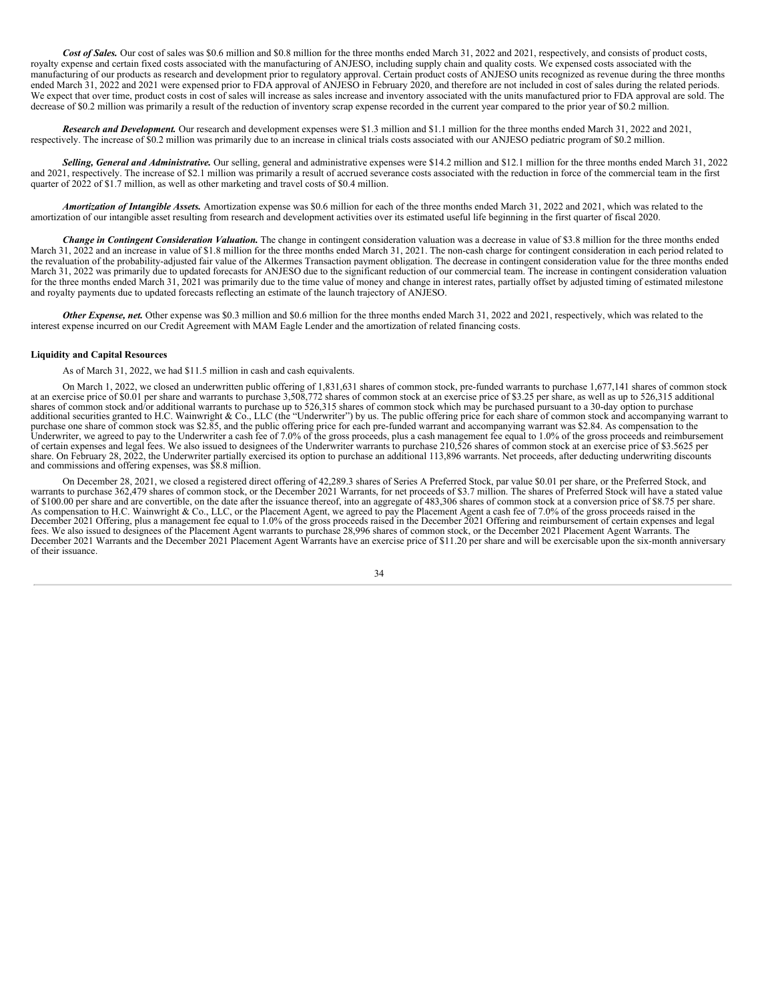Cost of Sales. Our cost of sales was \$0.6 million and \$0.8 million for the three months ended March 31, 2022 and 2021, respectively, and consists of product costs, royalty expense and certain fixed costs associated with the manufacturing of ANJESO, including supply chain and quality costs. We expensed costs associated with the manufacturing of our products as research and development prior to regulatory approval. Certain product costs of ANJESO units recognized as revenue during the three months ended March 31, 2022 and 2021 were expensed prior to FDA approval of ANJESO in February 2020, and therefore are not included in cost of sales during the related periods. We expect that over time, product costs in cost of sales will increase as sales increase and inventory associated with the units manufactured prior to FDA approval are sold. The decrease of \$0.2 million was primarily a result of the reduction of inventory scrap expense recorded in the current year compared to the prior year of \$0.2 million.

*Research and Development.* Our research and development expenses were \$1.3 million and \$1.1 million for the three months ended March 31, 2022 and 2021, respectively. The increase of \$0.2 million was primarily due to an increase in clinical trials costs associated with our ANJESO pediatric program of \$0.2 million.

*Selling, General and Administrative.* Our selling, general and administrative expenses were \$14.2 million and \$12.1 million for the three months ended March 31, 2022 and 2021, respectively. The increase of \$2.1 million was primarily a result of accrued severance costs associated with the reduction in force of the commercial team in the first quarter of 2022 of \$1.7 million, as well as other marketing and travel costs of \$0.4 million.

*Amortization of Intangible Assets.* Amortization expense was \$0.6 million for each of the three months ended March 31, 2022 and 2021, which was related to the amortization of our intangible asset resulting from research and development activities over its estimated useful life beginning in the first quarter of fiscal 2020.

*Change in Contingent Consideration Valuation.* The change in contingent consideration valuation was a decrease in value of \$3.8 million for the three months ended March 31, 2022 and an increase in value of \$1.8 million for the three months ended March 31, 2021. The non-cash charge for contingent consideration in each period related to the revaluation of the probability-adjusted fair value of the Alkermes Transaction payment obligation. The decrease in contingent consideration value for the three months ended March 31, 2022 was primarily due to updated forecasts for ANJESO due to the significant reduction of our commercial team. The increase in contingent consideration valuation for the three months ended March 31, 2021 was primarily due to the time value of money and change in interest rates, partially offset by adjusted timing of estimated milestone and royalty payments due to updated forecasts reflecting an estimate of the launch trajectory of ANJESO.

*Other Expense, net.* Other expense was \$0.3 million and \$0.6 million for the three months ended March 31, 2022 and 2021, respectively, which was related to the interest expense incurred on our Credit Agreement with MAM Eagle Lender and the amortization of related financing costs.

#### **Liquidity and Capital Resources**

As of March 31, 2022, we had \$11.5 million in cash and cash equivalents.

On March 1, 2022, we closed an underwritten public offering of 1,831,631 shares of common stock, pre-funded warrants to purchase 1,677,141 shares of common stock at an exercise price of \$0.01 per share and warrants to purchase 3,508,772 shares of common stock at an exercise price of \$3.25 per share, as well as up to 526,315 additional shares of common stock and/or additional warrants to purchase up to 526,315 shares of common stock which may be purchased pursuant to a 30-day option to purchase additional securities granted to H.C. Wainwright & Co., LLC (the "Underwriter") by us. The public offering price for each share of common stock and accompanying warrant to purchase one share of common stock was \$2.85, and the public offering price for each pre-funded warrant and accompanying warrant was \$2.84. As compensation to the Underwriter, we agreed to pay to the Underwriter a cash fee of 7.0% of the gross proceeds, plus a cash management fee equal to 1.0% of the gross proceeds and reimbursement<br>of certain expenses and legal fees. We also issued and commissions and offering expenses, was \$8.8 million.

On December 28, 2021, we closed a registered direct offering of 42,289.3 shares of Series A Preferred Stock, par value \$0.01 per share, or the Preferred Stock, and<br>warrants to purchase 362,479 shares of common stock, or th As compensation to H.C. Wainwright & Co., LLC, or the Placement Agent, we agreed to pay the Placement Agent a cash fee of 7.0% of the gross proceeds raised in the<br>December 2021 Offering, plus a management fee equal to 1.0% fees. We also issued to designees of the Placement Agent warrants to purchase 28,996 shares of common stock, or the December 2021 Placement Agent Warrants. The<br>December 2021 Warrants and the December 2021 Placement Agent W of their issuance.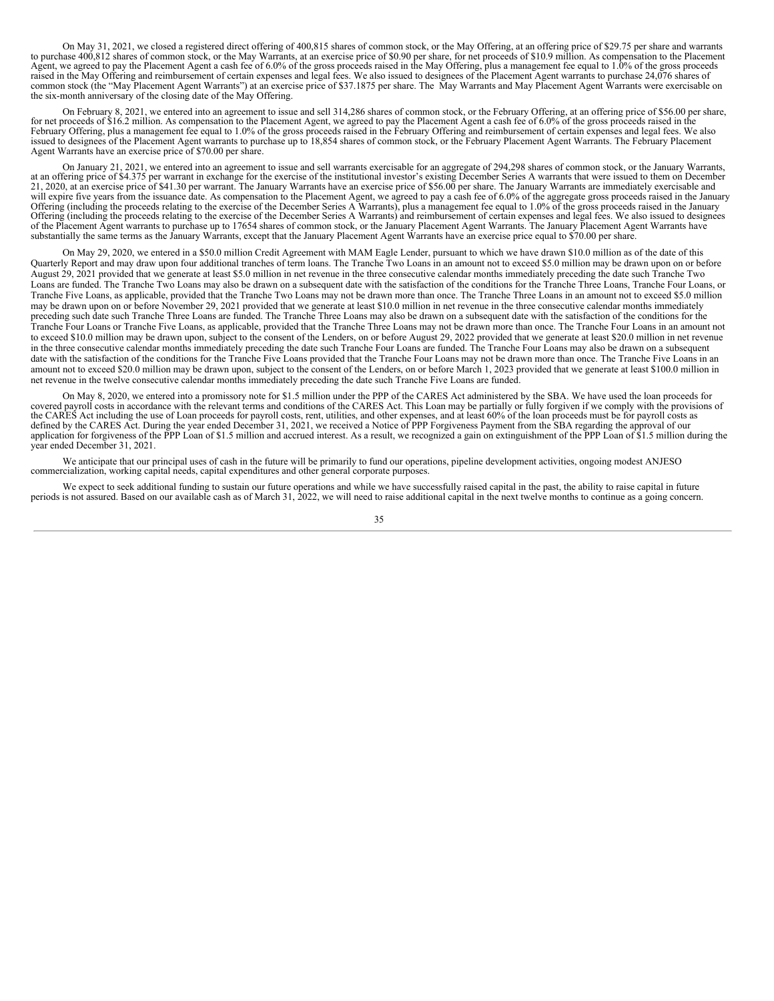On May 31, 2021, we closed a registered direct offering of 400,815 shares of common stock, or the May Offering, at an offering price of \$29.75 per share and warrants to purchase 400,812 shares of common stock, or the May Warrants, at an exercise price of \$0.90 per share, for net proceeds of \$10.9 million. As compensation to the Placement Agent, we agreed to pay the Placement Agent a cash fee of 6.0% of the gross proceeds raised in the May Offering, plus a management fee equal to 1.0% of the gross proceeds raised in the May Offering and reimbursement of certain expenses and legal fees. We also issued to designees of the Placement Agent warrants to purchase 24,076 shares of common stock (the "May Placement Agent Warrants") at an exercise price of \$37.1875 per share. The May Warrants and May Placement Agent Warrants were exercisable on the six-month anniversary of the closing date of the May Offering.

On February 8, 2021, we entered into an agreement to issue and sell 314,286 shares of common stock, or the February Offering, at an offering price of \$56.00 per share, for net proceeds of \$16.2 million. As compensation to the Placement Agent, we agreed to pay the Placement Agent a cash fee of 6.0% of the gross proceeds raised in the<br>February Offering, plus a management fee equal to 1.0% Agent Warrants have an exercise price of \$70.00 per share.

On January 21, 2021, we entered into an agreement to issue and sell warrants exercisable for an aggregate of 294,298 shares of common stock, or the January Warrants, at an offering price of \$4.375 per warrant in exchange for the exercise of the institutional investor's existing December Series A warrants that were issued to them on December 21, 2020, at an exercise price of \$41.30 per warrant. The January Warrants have an exercise price of \$56.00 per share. The January Warrants are immediately exercisable and will expire five years from the issuance date. As compensation to the Placement Agent, we agreed to pay a cash fee of 6.0% of the aggregate gross proceeds raised in the January<br>Offering (including the proceeds relating to Offering (including the proceeds relating to the exercise of the December Series A Warrants) and reimbursement of certain expenses and legal fees. We also issued to designees of the Placement Agent warrants to purchase up

On May 29, 2020, we entered in a \$50.0 million Credit Agreement with MAM Eagle Lender, pursuant to which we have drawn \$10.0 million as of the date of this Quarterly Report and may draw upon four additional tranches of term loans. The Tranche Two Loans in an amount not to exceed \$5.0 million may be drawn upon on or before August 29, 2021 provided that we generate at least \$5.0 million in net revenue in the three consecutive calendar months immediately preceding the date such Tranche Two Loans are funded. The Tranche Two Loans may also be drawn on a subsequent date with the satisfaction of the conditions for the Tranche Three Loans, Tranche Four Loans, or Tranche Five Loans, as applicable, provided that the Tranche Two Loans may not be drawn more than once. The Tranche Three Loans in an amount not to exceed \$5.0 million may be drawn upon on or before November 29, 2021 provided that we generate at least \$10.0 million in net revenue in the three consecutive calendar months immediately preceding such date such Tranche Three Loans are funded. The Tranche Three Loans may also be drawn on a subsequent date with the satisfaction of the conditions for the Tranche Four Loans or Tranche Five Loans, as applicable, provided that the Tranche Three Loans may not be drawn more than once. The Tranche Four Loans in an amount not to exceed \$10.0 million may be drawn upon, subject to the consent of the Lenders, on or before August 29, 2022 provided that we generate at least \$20.0 million in net revenue in the three consecutive calendar months immediately preceding the date such Tranche Four Loans are funded. The Tranche Four Loans may also be drawn on a subsequent date with the satisfaction of the conditions for the Tranche Five Loans provided that the Tranche Four Loans may not be drawn more than once. The Tranche Five Loans in an amount not to exceed \$20.0 million may be drawn upon, subject to the consent of the Lenders, on or before March 1, 2023 provided that we generate at least \$100.0 million in net revenue in the twelve consecutive calendar months immediately preceding the date such Tranche Five Loans are funded.

On May 8, 2020, we entered into a promissory note for \$1.5 million under the PPP of the CARES Act administered by the SBA. We have used the loan proceeds for covered payroll costs in accordance with the relevant terms and conditions of the CARES Act. This Loan may be partially or fully forgiven if we comply with the provisions of the CARES Act including the use of Loan proceeds for payroll costs, rent, utilities, and other expenses, and at least 60% of the loan proceeds must be for payroll costs as defined by the CARES Act. During the year ended December 31, 2021, we received a Notice of PPP Forgiveness Payment from the SBA regarding the approval of our application for forgiveness of the PPP Loan of \$1.5 million and accrued interest. As a result, we recognized a gain on extinguishment of the PPP Loan of \$1.5 million during the year ended December 31, 2021.

We anticipate that our principal uses of cash in the future will be primarily to fund our operations, pipeline development activities, ongoing modest ANJESO commercialization, working capital needs, capital expenditures and other general corporate purposes.

We expect to seek additional funding to sustain our future operations and while we have successfully raised capital in the past, the ability to raise capital in future periods is not assured. Based on our available cash as of March 31, 2022, we will need to raise additional capital in the next twelve months to continue as a going concern.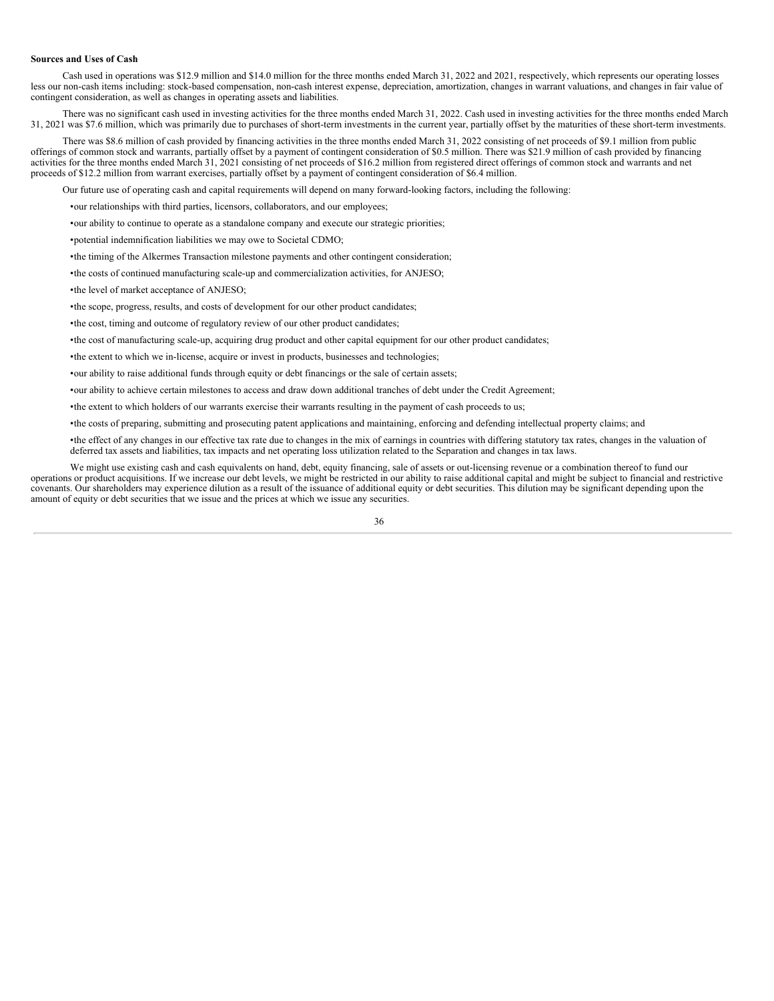#### **Sources and Uses of Cash**

Cash used in operations was \$12.9 million and \$14.0 million for the three months ended March 31, 2022 and 2021, respectively, which represents our operating losses less our non-cash items including: stock-based compensation, non-cash interest expense, depreciation, amortization, changes in warrant valuations, and changes in fair value of contingent consideration, as well as changes in operating assets and liabilities.

There was no significant cash used in investing activities for the three months ended March 31, 2022. Cash used in investing activities for the three months ended March 31, 2021 was \$7.6 million, which was primarily due to purchases of short-term investments in the current year, partially offset by the maturities of these short-term investments.

There was \$8.6 million of cash provided by financing activities in the three months ended March 31, 2022 consisting of net proceeds of \$9.1 million from public offerings of common stock and warrants, partially offset by a payment of contingent consideration of \$0.5 million. There was \$21.9 million of cash provided by financing activities for the three months ended March 31, 2021 consisting of net proceeds of \$16.2 million from registered direct offerings of common stock and warrants and net proceeds of \$12.2 million from warrant exercises, partially offset by a payment of contingent consideration of \$6.4 million.

Our future use of operating cash and capital requirements will depend on many forward-looking factors, including the following:

•our relationships with third parties, licensors, collaborators, and our employees;

•our ability to continue to operate as a standalone company and execute our strategic priorities;

•potential indemnification liabilities we may owe to Societal CDMO;

•the timing of the Alkermes Transaction milestone payments and other contingent consideration;

•the costs of continued manufacturing scale-up and commercialization activities, for ANJESO;

•the level of market acceptance of ANJESO;

•the scope, progress, results, and costs of development for our other product candidates;

•the cost, timing and outcome of regulatory review of our other product candidates;

•the cost of manufacturing scale-up, acquiring drug product and other capital equipment for our other product candidates;

•the extent to which we in-license, acquire or invest in products, businesses and technologies;

•our ability to raise additional funds through equity or debt financings or the sale of certain assets;

•our ability to achieve certain milestones to access and draw down additional tranches of debt under the Credit Agreement;

•the extent to which holders of our warrants exercise their warrants resulting in the payment of cash proceeds to us;

•the costs of preparing, submitting and prosecuting patent applications and maintaining, enforcing and defending intellectual property claims; and

•the effect of any changes in our effective tax rate due to changes in the mix of earnings in countries with differing statutory tax rates, changes in the valuation of deferred tax assets and liabilities, tax impacts and net operating loss utilization related to the Separation and changes in tax laws.

We might use existing cash and cash equivalents on hand, debt, equity financing, sale of assets or out-licensing revenue or a combination thereof to fund our operations or product acquisitions. If we increase our debt levels, we might be restricted in our ability to raise additional capital and might be subject to financial and restrictive covenants. Our shareholders may experience dilution as a result of the issuance of additional equity or debt securities. This dilution may be significant depending upon the amount of equity or debt securities that we issue and the prices at which we issue any securities.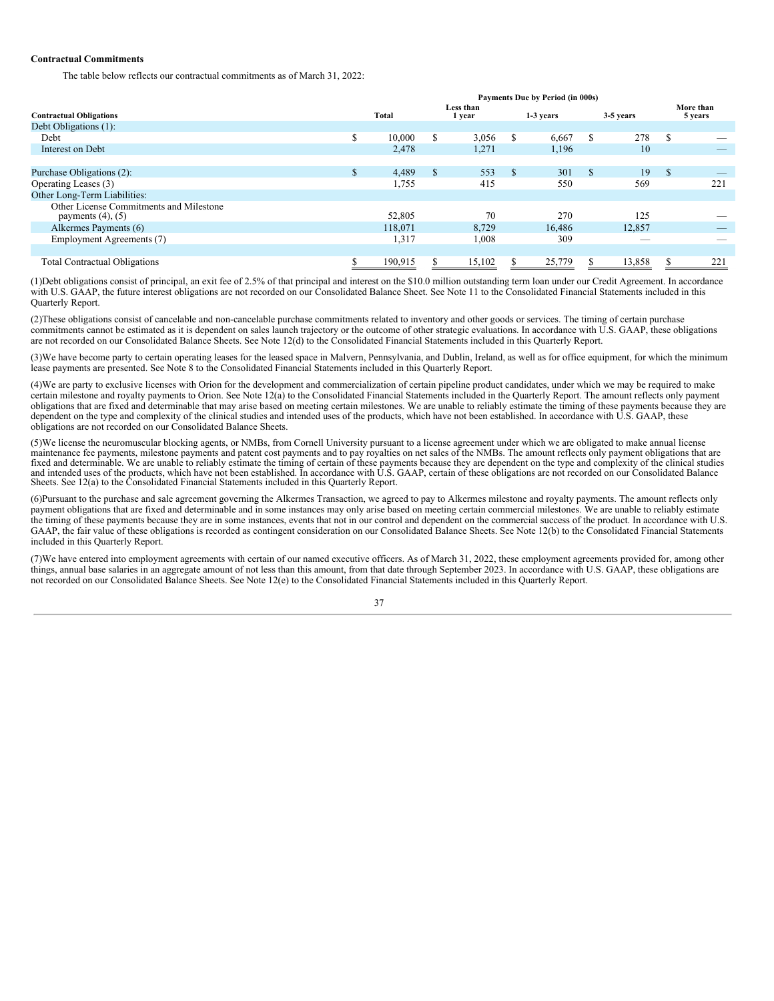#### **Contractual Commitments**

The table below reflects our contractual commitments as of March 31, 2022:

|                                                                   | Payments Due by Period (in 000s) |     |                     |          |           |               |           |               |                      |
|-------------------------------------------------------------------|----------------------------------|-----|---------------------|----------|-----------|---------------|-----------|---------------|----------------------|
| <b>Contractual Obligations</b>                                    | Total                            |     | Less than<br>1 year |          | 1-3 years |               | 3-5 years |               | More than<br>5 years |
| Debt Obligations (1):                                             |                                  |     |                     |          |           |               |           |               |                      |
| Debt                                                              | \$<br>10,000                     | S   | 3,056               | S        | 6,667     | S             | 278       | S             |                      |
| Interest on Debt                                                  | 2,478                            |     | 1,271               |          | 1,196     |               | 10        |               |                      |
|                                                                   |                                  |     |                     |          |           |               |           |               |                      |
| Purchase Obligations (2):                                         | \$<br>4.489                      | \$. | 553                 | <b>S</b> | 301       | <sup>\$</sup> | 19        | <sup>\$</sup> |                      |
| Operating Leases (3)                                              | 1,755                            |     | 415                 |          | 550       |               | 569       |               | 221                  |
| Other Long-Term Liabilities:                                      |                                  |     |                     |          |           |               |           |               |                      |
| Other License Commitments and Milestone<br>payments $(4)$ , $(5)$ | 52,805                           |     | 70                  |          | 270       |               | 125       |               |                      |
| Alkermes Payments (6)                                             | 118,071                          |     | 8,729               |          | 16.486    |               | 12,857    |               |                      |
| Employment Agreements (7)                                         | 1,317                            |     | 1,008               |          | 309       |               |           |               |                      |
|                                                                   |                                  |     |                     |          |           |               |           |               |                      |
| <b>Total Contractual Obligations</b>                              | 190,915                          |     | 15,102              |          | 25,779    |               | 13,858    |               | 221                  |

(1)Debt obligations consist of principal, an exit fee of 2.5% of that principal and interest on the \$10.0 million outstanding term loan under our Credit Agreement. In accordance with U.S. GAAP, the future interest obligations are not recorded on our Consolidated Balance Sheet. See Note 11 to the Consolidated Financial Statements included in this Quarterly Report.

(2)These obligations consist of cancelable and non-cancelable purchase commitments related to inventory and other goods or services. The timing of certain purchase commitments cannot be estimated as it is dependent on sales launch trajectory or the outcome of other strategic evaluations. In accordance with U.S. GAAP, these obligations are not recorded on our Consolidated Balance Sheets. See Note 12(d) to the Consolidated Financial Statements included in this Quarterly Report.

(3)We have become party to certain operating leases for the leased space in Malvern, Pennsylvania, and Dublin, Ireland, as well as for office equipment, for which the minimum lease payments are presented. See Note 8 to the Consolidated Financial Statements included in this Quarterly Report.

(4)We are party to exclusive licenses with Orion for the development and commercialization of certain pipeline product candidates, under which we may be required to make certain milestone and royalty payments to Orion. See Note 12(a) to the Consolidated Financial Statements included in the Quarterly Report. The amount reflects only payment obligations that are fixed and determinable that may arise based on meeting certain milestones. We are unable to reliably estimate the timing of these payments because they are dependent on the type and complexity of the clinical studies and intended uses of the products, which have not been established. In accordance with U.S. GAAP, these obligations are not recorded on our Consolidated Balance Sheets.

(5)We license the neuromuscular blocking agents, or NMBs, from Cornell University pursuant to a license agreement under which we are obligated to make annual license maintenance fee payments, milestone payments and patent cost payments and to pay royalties on net sales of the NMBs. The amount reflects only payment obligations that are fixed and determinable. We are unable to reliably estimate the timing of certain of these payments because they are dependent on the type and complexity of the clinical studies and intended uses of the products, which have Sheets. See 12(a) to the Consolidated Financial Statements included in this Quarterly Report.

(6)Pursuant to the purchase and sale agreement governing the Alkermes Transaction, we agreed to pay to Alkermes milestone and royalty payments. The amount reflects only payment obligations that are fixed and determinable and in some instances may only arise based on meeting certain commercial milestones. We are unable to reliably estimate the timing of these payments because they are in some instances, events that not in our control and dependent on the commercial success of the product. In accordance with U.S. GAAP, the fair value of these obligations is recorded as contingent consideration on our Consolidated Balance Sheets. See Note 12(b) to the Consolidated Financial Statements included in this Quarterly Report.

(7)We have entered into employment agreements with certain of our named executive officers. As of March 31, 2022, these employment agreements provided for, among other things, annual base salaries in an aggregate amount of not less than this amount, from that date through September 2023. In accordance with U.S. GAAP, these obligations are not recorded on our Consolidated Balance Sheets. See Note 12(e) to the Consolidated Financial Statements included in this Quarterly Report.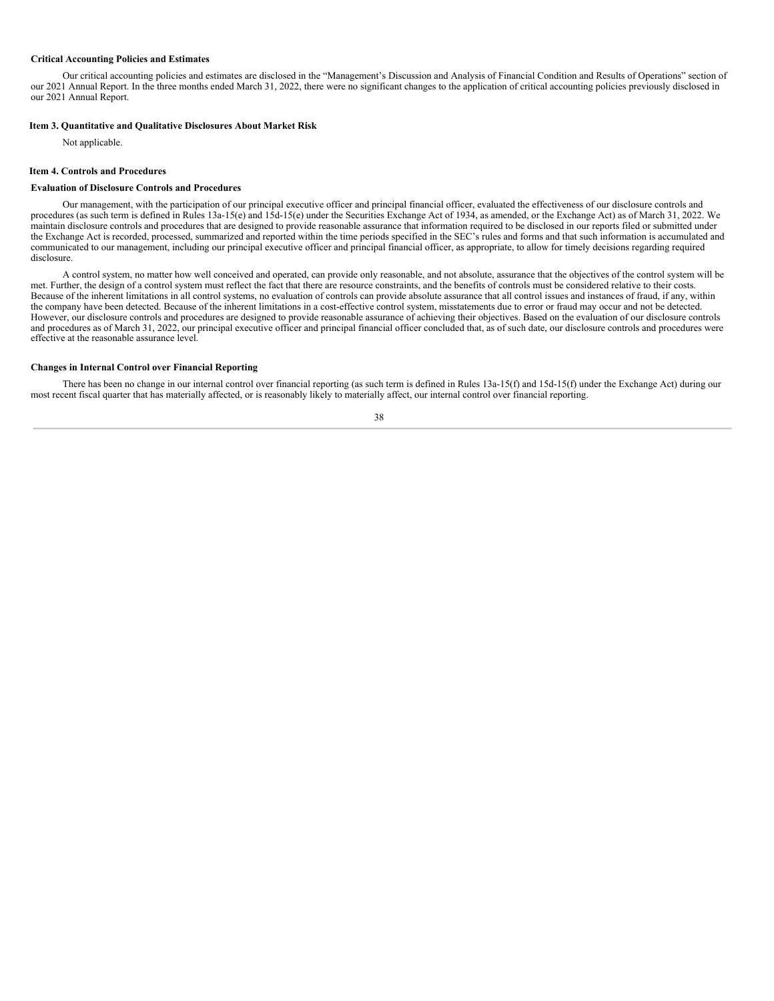#### **Critical Accounting Policies and Estimates**

Our critical accounting policies and estimates are disclosed in the "Management's Discussion and Analysis of Financial Condition and Results of Operations" section of our 2021 Annual Report. In the three months ended March 31, 2022, there were no significant changes to the application of critical accounting policies previously disclosed in our 2021 Annual Report.

#### **Item 3. Quantitative and Qualitative Disclosures About Market Risk**

<span id="page-37-0"></span>Not applicable.

#### <span id="page-37-1"></span>**Item 4. Controls and Procedures**

#### **Evaluation of Disclosure Controls and Procedures**

Our management, with the participation of our principal executive officer and principal financial officer, evaluated the effectiveness of our disclosure controls and procedures (as such term is defined in Rules 13a-15(e) and 15d-15(e) under the Securities Exchange Act of 1934, as amended, or the Exchange Act) as of March 31, 2022. We maintain disclosure controls and procedures that are designed to provide reasonable assurance that information required to be disclosed in our reports filed or submitted under the Exchange Act is recorded, processed, summarized and reported within the time periods specified in the SEC's rules and forms and that such information is accumulated and communicated to our management, including our principal executive officer and principal financial officer, as appropriate, to allow for timely decisions regarding required disclosure.

A control system, no matter how well conceived and operated, can provide only reasonable, and not absolute, assurance that the objectives of the control system will be met. Further, the design of a control system must reflect the fact that there are resource constraints, and the benefits of controls must be considered relative to their costs. Because of the inherent limitations in all control systems, no evaluation of controls can provide absolute assurance that all control issues and instances of fraud, if any, within the company have been detected. Because of the inherent limitations in a cost-effective control system, misstatements due to error or fraud may occur and not be detected. However, our disclosure controls and procedures are designed to provide reasonable assurance of achieving their objectives. Based on the evaluation of our disclosure controls and procedures as of March 31, 2022, our principal executive officer and principal financial officer concluded that, as of such date, our disclosure controls and procedures were effective at the reasonable assurance level.

# **Changes in Internal Control over Financial Reporting**

There has been no change in our internal control over financial reporting (as such term is defined in Rules 13a-15(f) and 15d-15(f) under the Exchange Act) during our most recent fiscal quarter that has materially affected, or is reasonably likely to materially affect, our internal control over financial reporting.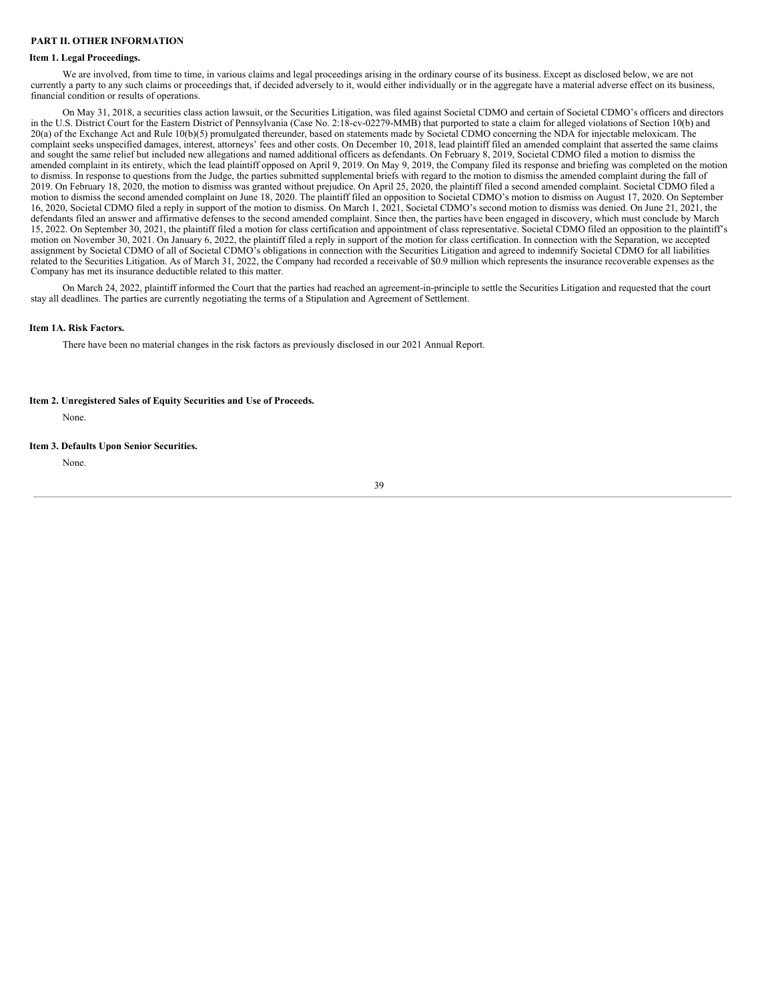# <span id="page-38-0"></span>**PART II. OTHER INFORMATION**

#### <span id="page-38-1"></span>**Item 1. Legal Proceedings.**

We are involved, from time to time, in various claims and legal proceedings arising in the ordinary course of its business. Except as disclosed below, we are not currently a party to any such claims or proceedings that, if decided adversely to it, would either individually or in the aggregate have a material adverse effect on its business, financial condition or results of operations.

On May 31, 2018, a securities class action lawsuit, or the Securities Litigation, was filed against Societal CDMO and certain of Societal CDMO's officers and directors in the U.S. District Court for the Eastern District of Pennsylvania (Case No. 2:18-cv-02279-MMB) that purported to state a claim for alleged violations of Section 10(b) and 20(a) of the Exchange Act and Rule 10(b)(5) promulgated thereunder, based on statements made by Societal CDMO concerning the NDA for injectable meloxicam. The complaint seeks unspecified damages, interest, attorneys' fees and other costs. On December 10, 2018, lead plaintiff filed an amended complaint that asserted the same claims and sought the same relief but included new allegations and named additional officers as defendants. On February 8, 2019, Societal CDMO filed a motion to dismiss the amended complaint in its entirety, which the lead plaintiff opposed on April 9, 2019. On May 9, 2019, the Company filed its response and briefing was completed on the motion to dismiss. In response to questions from the Judge, the parties submitted supplemental briefs with regard to the motion to dismiss the amended complaint during the fall of 2019. On February 18, 2020, the motion to dismiss was granted without prejudice. On April 25, 2020, the plaintiff filed a second amended complaint. Societal CDMO filed a motion to dismiss the second amended complaint on June 18, 2020. The plaintiff filed an opposition to Societal CDMO's motion to dismiss on August 17, 2020. On September 16, 2020, Societal CDMO filed a reply in support of the motion to dismiss. On March 1, 2021, Societal CDMO's second motion to dismiss was denied. On June 21, 2021, the defendants filed an answer and affirmative defenses to the second amended complaint. Since then, the parties have been engaged in discovery, which must conclude by March 15, 2022. On September 30, 2021, the plaintiff filed a motion for class certification and appointment of class representative. Societal CDMO filed an opposition to the plaintiff's motion on November 30, 2021. On January 6, 2022, the plaintiff filed a reply in support of the motion for class certification. In connection with the Separation, we accepted assignment by Societal CDMO of all of Societal CDMO's obligations in connection with the Securities Litigation and agreed to indemnify Societal CDMO for all liabilities related to the Securities Litigation. As of March 31, 2022, the Company had recorded a receivable of \$0.9 million which represents the insurance recoverable expenses as the Company has met its insurance deductible related to this matter.

On March 24, 2022, plaintiff informed the Court that the parties had reached an agreement-in-principle to settle the Securities Litigation and requested that the court stay all deadlines. The parties are currently negotiating the terms of a Stipulation and Agreement of Settlement.

#### <span id="page-38-2"></span>**Item 1A. Risk Factors.**

There have been no material changes in the risk factors as previously disclosed in our 2021 Annual Report.

# <span id="page-38-3"></span>**Item 2. Unregistered Sales of Equity Securities and Use of Proceeds.**

None.

#### <span id="page-38-4"></span>**Item 3. Defaults Upon Senior Securities.**

None.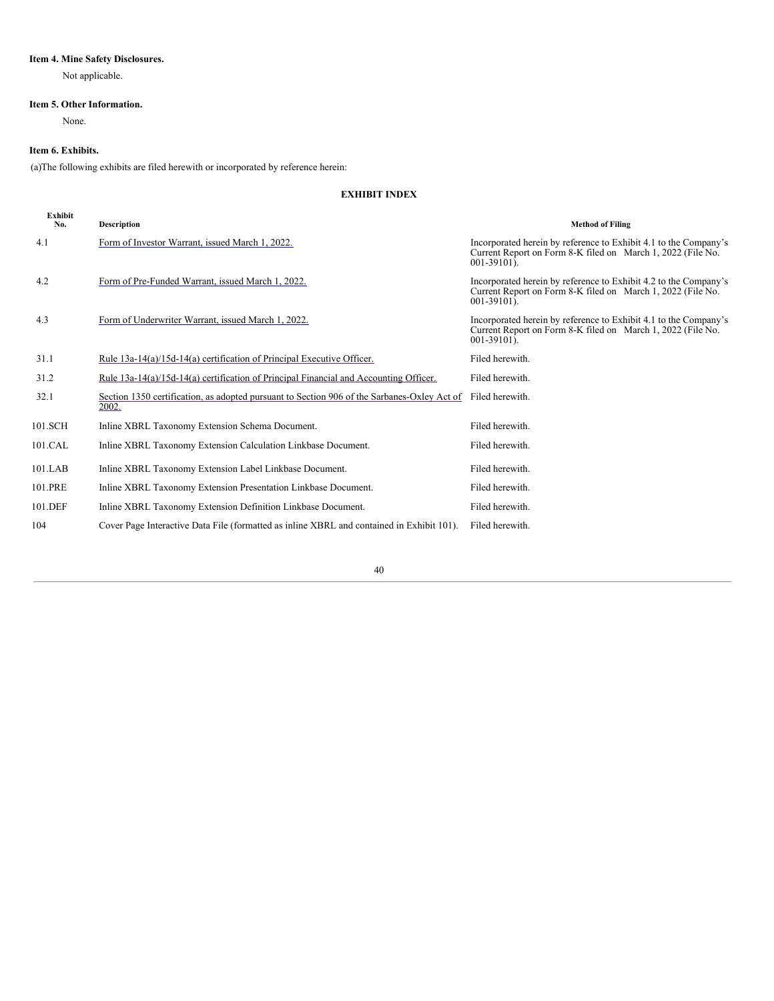# <span id="page-39-0"></span>**Item 4. Mine Safety Disclosures.**

Not applicable.

# <span id="page-39-1"></span>**Item 5. Other Information.**

None.

# <span id="page-39-2"></span>**Item 6. Exhibits.**

(a)The following exhibits are filed herewith or incorporated by reference herein:

| Exhibit<br>No. | <b>Description</b>                                                                                   | <b>Method of Filing</b>                                                                                                                            |
|----------------|------------------------------------------------------------------------------------------------------|----------------------------------------------------------------------------------------------------------------------------------------------------|
| 4.1            | Form of Investor Warrant, issued March 1, 2022.                                                      | Incorporated herein by reference to Exhibit 4.1 to the Company's<br>Current Report on Form 8-K filed on March 1, 2022 (File No.<br>$001 - 39101$ . |
| 4.2            | Form of Pre-Funded Warrant, issued March 1, 2022.                                                    | Incorporated herein by reference to Exhibit 4.2 to the Company's<br>Current Report on Form 8-K filed on March 1, 2022 (File No.<br>$001-39101$ ).  |
| 4.3            | Form of Underwriter Warrant, issued March 1, 2022.                                                   | Incorporated herein by reference to Exhibit 4.1 to the Company's<br>Current Report on Form 8-K filed on March 1, 2022 (File No.<br>$001 - 39101$ . |
| 31.1           | Rule 13a-14(a)/15d-14(a) certification of Principal Executive Officer.                               | Filed herewith.                                                                                                                                    |
| 31.2           | Rule $13a-14(a)/15d-14(a)$ certification of Principal Financial and Accounting Officer.              | Filed herewith.                                                                                                                                    |
| 32.1           | Section 1350 certification, as adopted pursuant to Section 906 of the Sarbanes-Oxley Act of<br>2002. | Filed herewith.                                                                                                                                    |
| 101.SCH        | Inline XBRL Taxonomy Extension Schema Document.                                                      | Filed herewith.                                                                                                                                    |
| 101.CAL        | Inline XBRL Taxonomy Extension Calculation Linkbase Document.                                        | Filed herewith.                                                                                                                                    |
| 101.LAB        | Inline XBRL Taxonomy Extension Label Linkbase Document.                                              | Filed herewith.                                                                                                                                    |
| 101.PRE        | Inline XBRL Taxonomy Extension Presentation Linkbase Document.                                       | Filed herewith.                                                                                                                                    |
| 101.DEF        | Inline XBRL Taxonomy Extension Definition Linkbase Document.                                         | Filed herewith.                                                                                                                                    |
| 104            | Cover Page Interactive Data File (formatted as inline XBRL and contained in Exhibit 101).            | Filed herewith.                                                                                                                                    |

**EXHIBIT INDEX**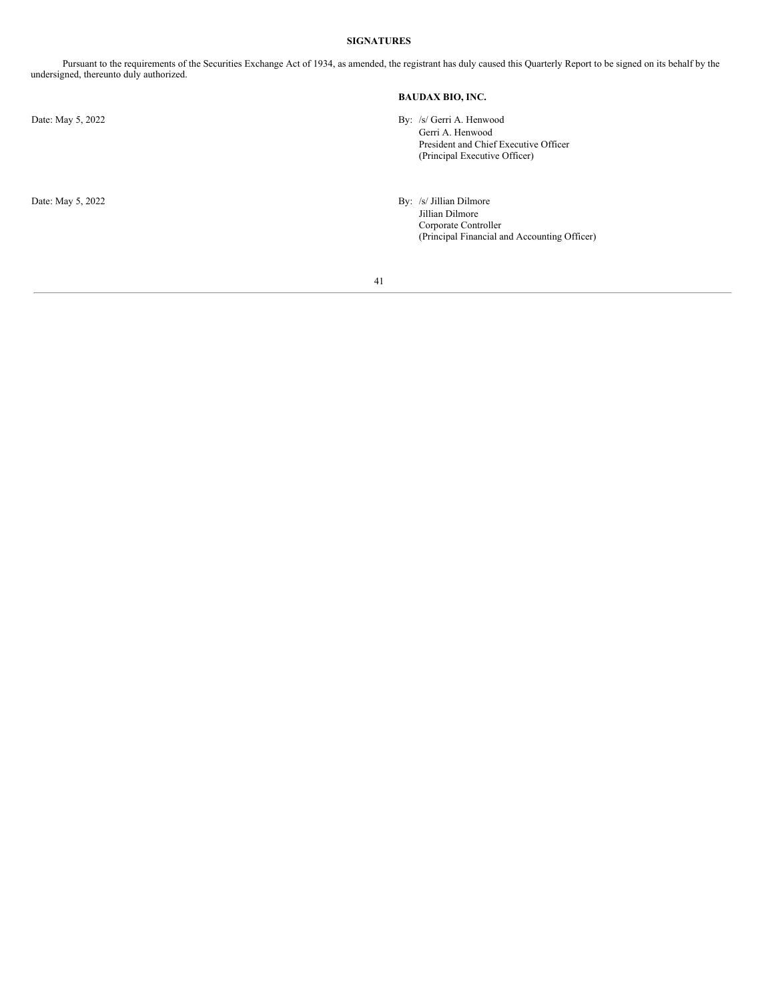# **SIGNATURES**

<span id="page-40-0"></span>Pursuant to the requirements of the Securities Exchange Act of 1934, as amended, the registrant has duly caused this Quarterly Report to be signed on its behalf by the undersigned, thereunto duly authorized.

|                   | <b>BAUDAX BIO, INC.</b>                                                                                                |
|-------------------|------------------------------------------------------------------------------------------------------------------------|
| Date: May 5, 2022 | By: /s/ Gerri A. Henwood<br>Gerri A. Henwood<br>President and Chief Executive Officer<br>(Principal Executive Officer) |
| Date: May 5, 2022 | By: /s/ Jillian Dilmore<br>Jillian Dilmore<br>Corporate Controller<br>(Principal Financial and Accounting Officer)     |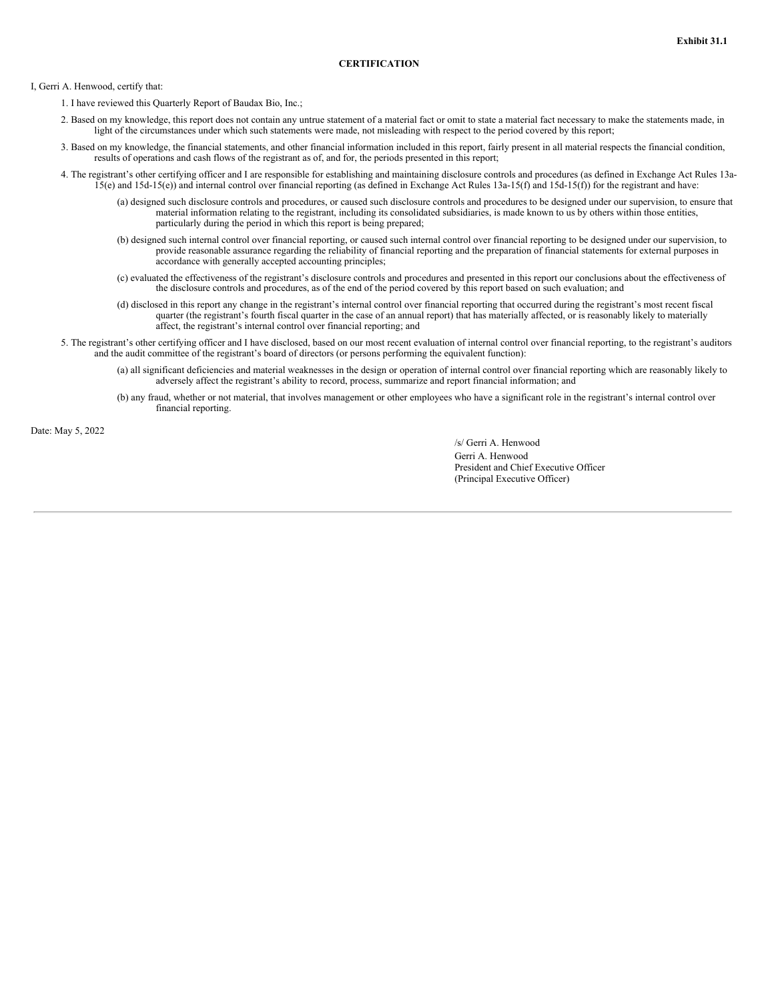# **CERTIFICATION**

<span id="page-42-0"></span>I, Gerri A. Henwood, certify that:

1. I have reviewed this Quarterly Report of Baudax Bio, Inc.;

- 2. Based on my knowledge, this report does not contain any untrue statement of a material fact or omit to state a material fact necessary to make the statements made, in light of the circumstances under which such statements were made, not misleading with respect to the period covered by this report;
- 3. Based on my knowledge, the financial statements, and other financial information included in this report, fairly present in all material respects the financial condition, results of operations and cash flows of the registrant as of, and for, the periods presented in this report;
- 4. The registrant's other certifying officer and I are responsible for establishing and maintaining disclosure controls and procedures (as defined in Exchange Act Rules 13a-15(e) and 15d-15(e)) and internal control over financial reporting (as defined in Exchange Act Rules 13a-15(f) and 15d-15(f)) for the registrant and have:
	- (a) designed such disclosure controls and procedures, or caused such disclosure controls and procedures to be designed under our supervision, to ensure that material information relating to the registrant, including its consolidated subsidiaries, is made known to us by others within those entities, particularly during the period in which this report is being prepared;
	- (b) designed such internal control over financial reporting, or caused such internal control over financial reporting to be designed under our supervision, to provide reasonable assurance regarding the reliability of financial reporting and the preparation of financial statements for external purposes in accordance with generally accepted accounting principles;
	- (c) evaluated the effectiveness of the registrant's disclosure controls and procedures and presented in this report our conclusions about the effectiveness of the disclosure controls and procedures, as of the end of the period covered by this report based on such evaluation; and
	- (d) disclosed in this report any change in the registrant's internal control over financial reporting that occurred during the registrant's most recent fiscal quarter (the registrant's fourth fiscal quarter in the case of an annual report) that has materially affected, or is reasonably likely to materially affect, the registrant's internal control over financial reporting; and
- 5. The registrant's other certifying officer and I have disclosed, based on our most recent evaluation of internal control over financial reporting, to the registrant's auditors and the audit committee of the registrant's board of directors (or persons performing the equivalent function):
	- (a) all significant deficiencies and material weaknesses in the design or operation of internal control over financial reporting which are reasonably likely to adversely affect the registrant's ability to record, process, summarize and report financial information; and
	- (b) any fraud, whether or not material, that involves management or other employees who have a significant role in the registrant's internal control over financial reporting.

Date: May 5, 2022

/s/ Gerri A. Henwood Gerri A. Henwood President and Chief Executive Officer (Principal Executive Officer)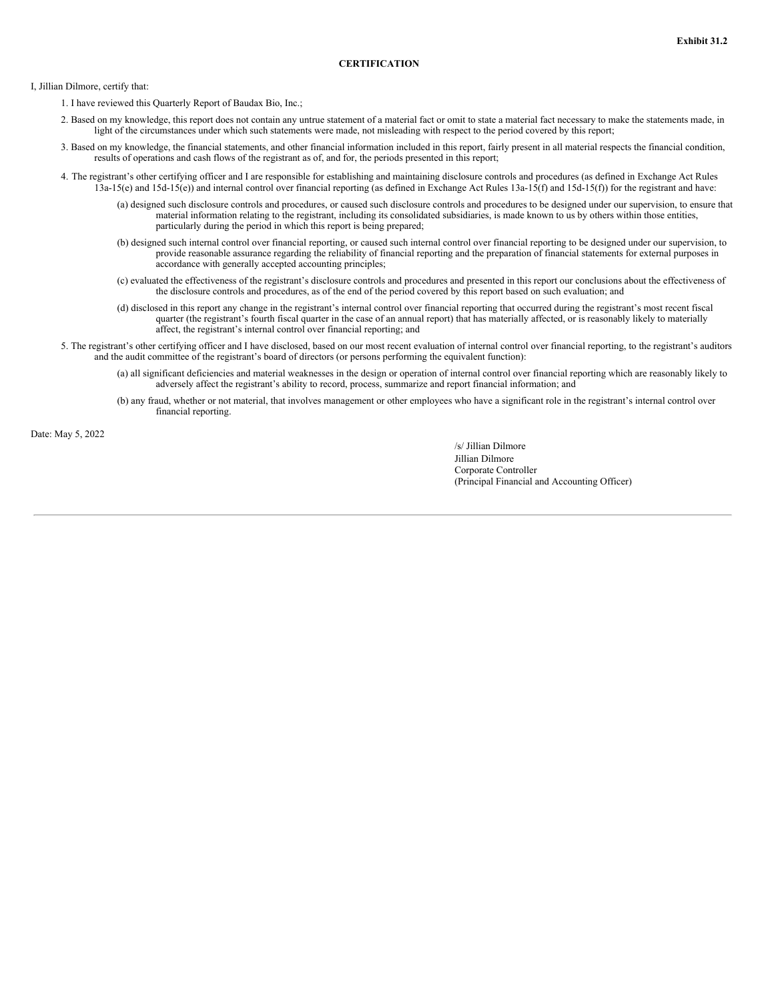# **CERTIFICATION**

<span id="page-44-0"></span>I, Jillian Dilmore, certify that:

1. I have reviewed this Quarterly Report of Baudax Bio, Inc.;

- 2. Based on my knowledge, this report does not contain any untrue statement of a material fact or omit to state a material fact necessary to make the statements made, in light of the circumstances under which such statements were made, not misleading with respect to the period covered by this report;
- 3. Based on my knowledge, the financial statements, and other financial information included in this report, fairly present in all material respects the financial condition, results of operations and cash flows of the registrant as of, and for, the periods presented in this report;
- 4. The registrant's other certifying officer and I are responsible for establishing and maintaining disclosure controls and procedures (as defined in Exchange Act Rules 13a-15(e) and 15d-15(e)) and internal control over financial reporting (as defined in Exchange Act Rules 13a-15(f) and 15d-15(f)) for the registrant and have:
	- (a) designed such disclosure controls and procedures, or caused such disclosure controls and procedures to be designed under our supervision, to ensure that material information relating to the registrant, including its consolidated subsidiaries, is made known to us by others within those entities, particularly during the period in which this report is being prepared;
	- (b) designed such internal control over financial reporting, or caused such internal control over financial reporting to be designed under our supervision, to provide reasonable assurance regarding the reliability of financial reporting and the preparation of financial statements for external purposes in accordance with generally accepted accounting principles;
	- (c) evaluated the effectiveness of the registrant's disclosure controls and procedures and presented in this report our conclusions about the effectiveness of the disclosure controls and procedures, as of the end of the period covered by this report based on such evaluation; and
	- (d) disclosed in this report any change in the registrant's internal control over financial reporting that occurred during the registrant's most recent fiscal quarter (the registrant's fourth fiscal quarter in the case of an annual report) that has materially affected, or is reasonably likely to materially affect, the registrant's internal control over financial reporting; and
- 5. The registrant's other certifying officer and I have disclosed, based on our most recent evaluation of internal control over financial reporting, to the registrant's auditors and the audit committee of the registrant's board of directors (or persons performing the equivalent function):
	- (a) all significant deficiencies and material weaknesses in the design or operation of internal control over financial reporting which are reasonably likely to adversely affect the registrant's ability to record, process, summarize and report financial information; and
	- (b) any fraud, whether or not material, that involves management or other employees who have a significant role in the registrant's internal control over financial reporting.

Date: May 5, 2022

/s/ Jillian Dilmore Jillian Dilmore Corporate Controller (Principal Financial and Accounting Officer)